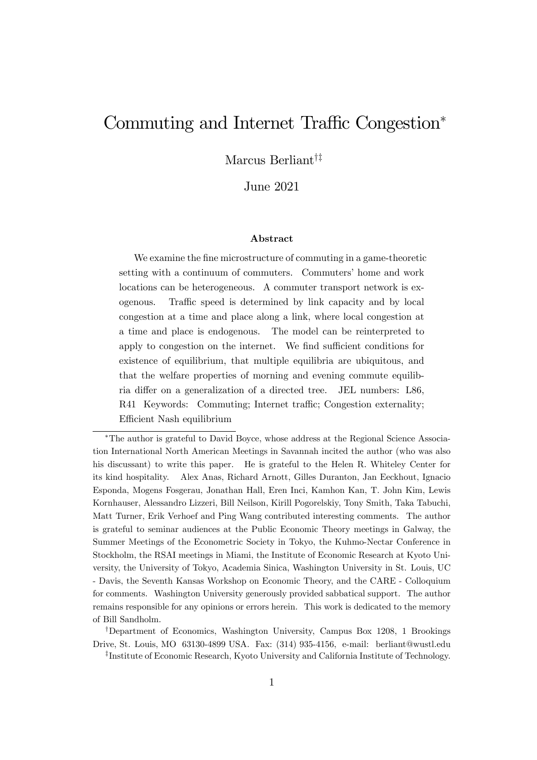# Commuting and Internet Traffic Congestion<sup>\*</sup>

Marcus Berliant<sup>†‡</sup>

June 2021

#### Abstract

We examine the fine microstructure of commuting in a game-theoretic setting with a continuum of commuters. Commuters' home and work locations can be heterogeneous. A commuter transport network is exogenous. Traffic speed is determined by link capacity and by local congestion at a time and place along a link, where local congestion at a time and place is endogenous. The model can be reinterpreted to apply to congestion on the internet. We find sufficient conditions for existence of equilibrium, that multiple equilibria are ubiquitous, and that the welfare properties of morning and evening commute equilibria differ on a generalization of a directed tree. JEL numbers: L86, R41 Keywords: Commuting; Internet traffic; Congestion externality; Efficient Nash equilibrium

<sup>†</sup>Department of Economics, Washington University, Campus Box 1208, 1 Brookings Drive, St. Louis, MO 63130-4899 USA. Fax: (314) 935-4156, e-mail: berliant@wustl.edu z Institute of Economic Research, Kyoto University and California Institute of Technology.

The author is grateful to David Boyce, whose address at the Regional Science Association International North American Meetings in Savannah incited the author (who was also his discussant) to write this paper. He is grateful to the Helen R. Whiteley Center for its kind hospitality. Alex Anas, Richard Arnott, Gilles Duranton, Jan Eeckhout, Ignacio Esponda, Mogens Fosgerau, Jonathan Hall, Eren Inci, Kamhon Kan, T. John Kim, Lewis Kornhauser, Alessandro Lizzeri, Bill Neilson, Kirill Pogorelskiy, Tony Smith, Taka Tabuchi, Matt Turner, Erik Verhoef and Ping Wang contributed interesting comments. The author is grateful to seminar audiences at the Public Economic Theory meetings in Galway, the Summer Meetings of the Econometric Society in Tokyo, the Kuhmo-Nectar Conference in Stockholm, the RSAI meetings in Miami, the Institute of Economic Research at Kyoto University, the University of Tokyo, Academia Sinica, Washington University in St. Louis, UC - Davis, the Seventh Kansas Workshop on Economic Theory, and the CARE - Colloquium for comments. Washington University generously provided sabbatical support. The author remains responsible for any opinions or errors herein. This work is dedicated to the memory of Bill Sandholm.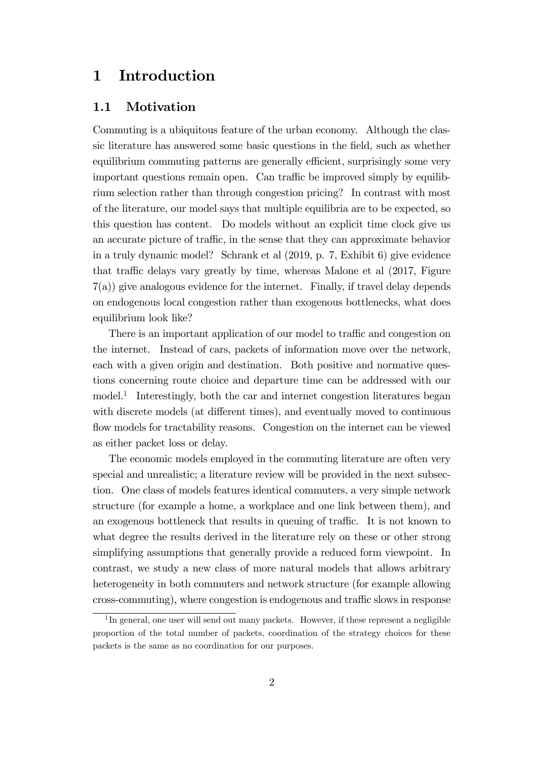## 1 Introduction

### 1.1 Motivation

Commuting is a ubiquitous feature of the urban economy. Although the classic literature has answered some basic questions in the Öeld, such as whether equilibrium commuting patterns are generally efficient, surprisingly some very important questions remain open. Can traffic be improved simply by equilibrium selection rather than through congestion pricing? In contrast with most of the literature, our model says that multiple equilibria are to be expected, so this question has content. Do models without an explicit time clock give us an accurate picture of traffic, in the sense that they can approximate behavior in a truly dynamic model? Schrank et al (2019, p. 7, Exhibit 6) give evidence that traffic delays vary greatly by time, whereas Malone et al  $(2017,$  Figure 7(a)) give analogous evidence for the internet. Finally, if travel delay depends on endogenous local congestion rather than exogenous bottlenecks, what does equilibrium look like?

There is an important application of our model to traffic and congestion on the internet. Instead of cars, packets of information move over the network, each with a given origin and destination. Both positive and normative questions concerning route choice and departure time can be addressed with our model.<sup>1</sup> Interestingly, both the car and internet congestion literatures began with discrete models (at different times), and eventually moved to continuous flow models for tractability reasons. Congestion on the internet can be viewed as either packet loss or delay.

The economic models employed in the commuting literature are often very special and unrealistic; a literature review will be provided in the next subsection. One class of models features identical commuters, a very simple network structure (for example a home, a workplace and one link between them), and an exogenous bottleneck that results in queuing of traffic. It is not known to what degree the results derived in the literature rely on these or other strong simplifying assumptions that generally provide a reduced form viewpoint. In contrast, we study a new class of more natural models that allows arbitrary heterogeneity in both commuters and network structure (for example allowing cross-commuting), where congestion is endogenous and traffic slows in response

<sup>&</sup>lt;sup>1</sup>In general, one user will send out many packets. However, if these represent a negligible proportion of the total number of packets, coordination of the strategy choices for these packets is the same as no coordination for our purposes.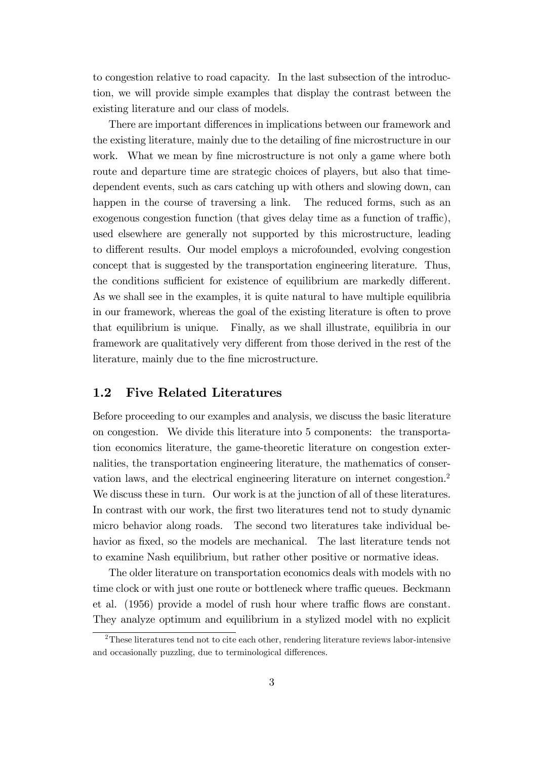to congestion relative to road capacity. In the last subsection of the introduction, we will provide simple examples that display the contrast between the existing literature and our class of models.

There are important differences in implications between our framework and the existing literature, mainly due to the detailing of fine microstructure in our work. What we mean by fine microstructure is not only a game where both route and departure time are strategic choices of players, but also that timedependent events, such as cars catching up with others and slowing down, can happen in the course of traversing a link. The reduced forms, such as an exogenous congestion function (that gives delay time as a function of traffic), used elsewhere are generally not supported by this microstructure, leading to different results. Our model employs a microfounded, evolving congestion concept that is suggested by the transportation engineering literature. Thus, the conditions sufficient for existence of equilibrium are markedly different. As we shall see in the examples, it is quite natural to have multiple equilibria in our framework, whereas the goal of the existing literature is often to prove that equilibrium is unique. Finally, as we shall illustrate, equilibria in our framework are qualitatively very different from those derived in the rest of the literature, mainly due to the fine microstructure.

## 1.2 Five Related Literatures

Before proceeding to our examples and analysis, we discuss the basic literature on congestion. We divide this literature into 5 components: the transportation economics literature, the game-theoretic literature on congestion externalities, the transportation engineering literature, the mathematics of conservation laws, and the electrical engineering literature on internet congestion.<sup>2</sup> We discuss these in turn. Our work is at the junction of all of these literatures. In contrast with our work, the first two literatures tend not to study dynamic micro behavior along roads. The second two literatures take individual behavior as fixed, so the models are mechanical. The last literature tends not to examine Nash equilibrium, but rather other positive or normative ideas.

The older literature on transportation economics deals with models with no time clock or with just one route or bottleneck where traffic queues. Beckmann et al.  $(1956)$  provide a model of rush hour where traffic flows are constant. They analyze optimum and equilibrium in a stylized model with no explicit

<sup>2</sup>These literatures tend not to cite each other, rendering literature reviews labor-intensive and occasionally puzzling, due to terminological differences.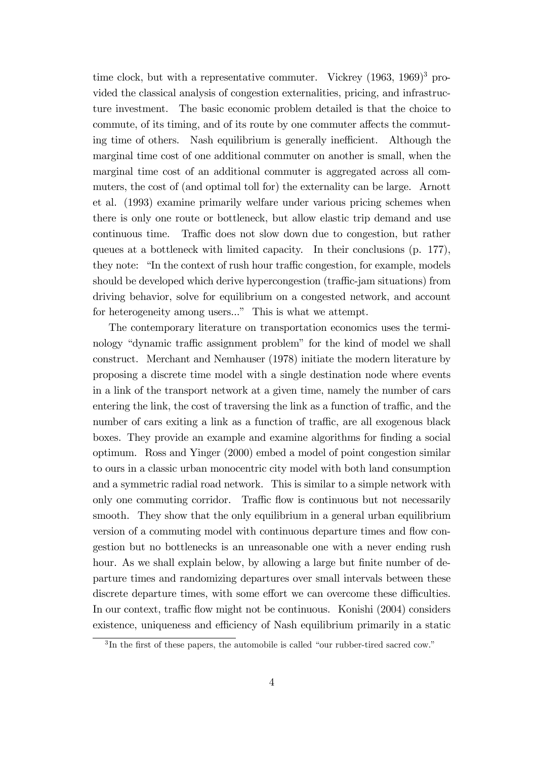time clock, but with a representative commuter. Vickrey  $(1963, 1969)^3$  provided the classical analysis of congestion externalities, pricing, and infrastructure investment. The basic economic problem detailed is that the choice to commute, of its timing, and of its route by one commuter affects the commuting time of others. Nash equilibrium is generally inefficient. Although the marginal time cost of one additional commuter on another is small, when the marginal time cost of an additional commuter is aggregated across all commuters, the cost of (and optimal toll for) the externality can be large. Arnott et al. (1993) examine primarily welfare under various pricing schemes when there is only one route or bottleneck, but allow elastic trip demand and use continuous time. Traffic does not slow down due to congestion, but rather queues at a bottleneck with limited capacity. In their conclusions (p. 177), they note: "In the context of rush hour traffic congestion, for example, models should be developed which derive hypercongestion (traffic-jam situations) from driving behavior, solve for equilibrium on a congested network, and account for heterogeneity among users..." This is what we attempt.

The contemporary literature on transportation economics uses the terminology "dynamic traffic assignment problem" for the kind of model we shall construct. Merchant and Nemhauser (1978) initiate the modern literature by proposing a discrete time model with a single destination node where events in a link of the transport network at a given time, namely the number of cars entering the link, the cost of traversing the link as a function of traffic, and the number of cars exiting a link as a function of traffic, are all exogenous black boxes. They provide an example and examine algorithms for Önding a social optimum. Ross and Yinger (2000) embed a model of point congestion similar to ours in a classic urban monocentric city model with both land consumption and a symmetric radial road network. This is similar to a simple network with only one commuting corridor. Traffic flow is continuous but not necessarily smooth. They show that the only equilibrium in a general urban equilibrium version of a commuting model with continuous departure times and flow congestion but no bottlenecks is an unreasonable one with a never ending rush hour. As we shall explain below, by allowing a large but finite number of departure times and randomizing departures over small intervals between these discrete departure times, with some effort we can overcome these difficulties. In our context, traffic flow might not be continuous. Konishi  $(2004)$  considers existence, uniqueness and efficiency of Nash equilibrium primarily in a static

 ${}^{3}$ In the first of these papers, the automobile is called "our rubber-tired sacred cow."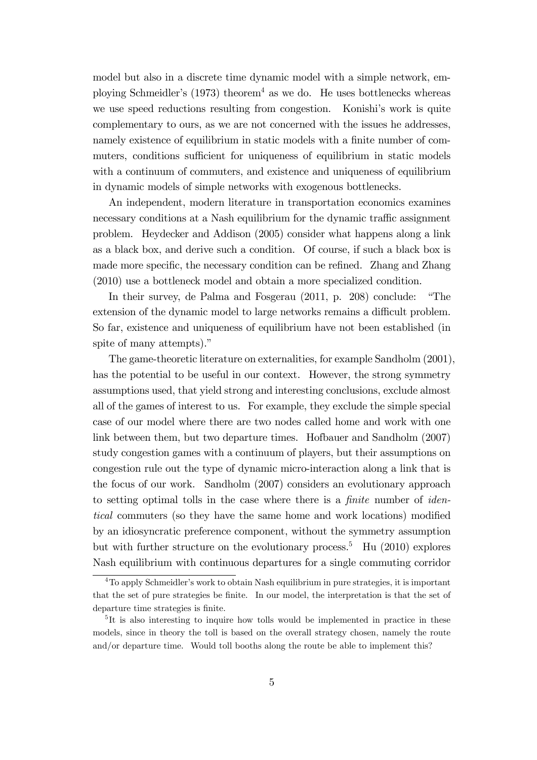model but also in a discrete time dynamic model with a simple network, employing Schmeidler's  $(1973)$  theorem<sup>4</sup> as we do. He uses bottlenecks whereas we use speed reductions resulting from congestion. Konishi's work is quite complementary to ours, as we are not concerned with the issues he addresses, namely existence of equilibrium in static models with a finite number of commuters, conditions sufficient for uniqueness of equilibrium in static models with a continuum of commuters, and existence and uniqueness of equilibrium in dynamic models of simple networks with exogenous bottlenecks.

An independent, modern literature in transportation economics examines necessary conditions at a Nash equilibrium for the dynamic traffic assignment problem. Heydecker and Addison (2005) consider what happens along a link as a black box, and derive such a condition. Of course, if such a black box is made more specific, the necessary condition can be refined. Zhang and Zhang (2010) use a bottleneck model and obtain a more specialized condition.

In their survey, de Palma and Fosgerau  $(2011, p. 208)$  conclude: "The extension of the dynamic model to large networks remains a difficult problem. So far, existence and uniqueness of equilibrium have not been established (in spite of many attempts)."

The game-theoretic literature on externalities, for example Sandholm (2001), has the potential to be useful in our context. However, the strong symmetry assumptions used, that yield strong and interesting conclusions, exclude almost all of the games of interest to us. For example, they exclude the simple special case of our model where there are two nodes called home and work with one link between them, but two departure times. Hofbauer and Sandholm (2007) study congestion games with a continuum of players, but their assumptions on congestion rule out the type of dynamic micro-interaction along a link that is the focus of our work. Sandholm (2007) considers an evolutionary approach to setting optimal tolls in the case where there is a *finite* number of *iden*tical commuters (so they have the same home and work locations) modified by an idiosyncratic preference component, without the symmetry assumption but with further structure on the evolutionary process.<sup>5</sup> Hu (2010) explores Nash equilibrium with continuous departures for a single commuting corridor

<sup>&</sup>lt;sup>4</sup>To apply Schmeidler's work to obtain Nash equilibrium in pure strategies, it is important that the set of pure strategies be finite. In our model, the interpretation is that the set of departure time strategies is finite.

<sup>5</sup> It is also interesting to inquire how tolls would be implemented in practice in these models, since in theory the toll is based on the overall strategy chosen, namely the route and/or departure time. Would toll booths along the route be able to implement this?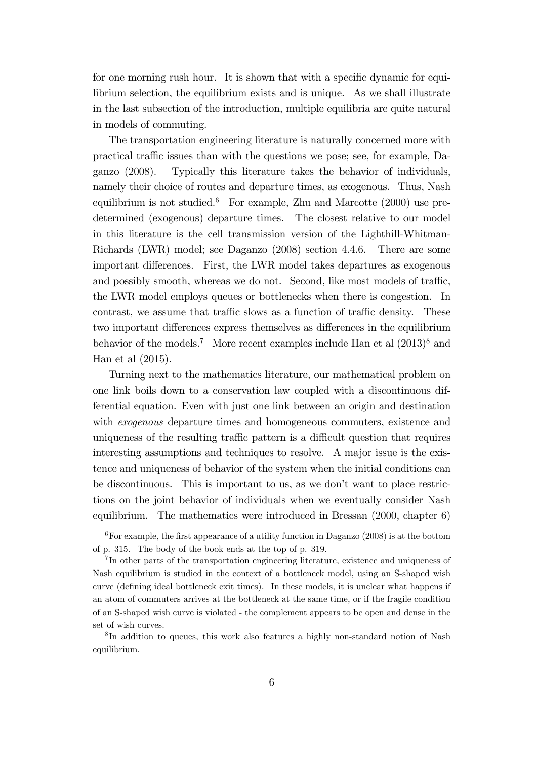for one morning rush hour. It is shown that with a specific dynamic for equilibrium selection, the equilibrium exists and is unique. As we shall illustrate in the last subsection of the introduction, multiple equilibria are quite natural in models of commuting.

The transportation engineering literature is naturally concerned more with practical traffic issues than with the questions we pose; see, for example, Daganzo (2008). Typically this literature takes the behavior of individuals, namely their choice of routes and departure times, as exogenous. Thus, Nash equilibrium is not studied.<sup>6</sup> For example, Zhu and Marcotte  $(2000)$  use predetermined (exogenous) departure times. The closest relative to our model in this literature is the cell transmission version of the Lighthill-Whitman-Richards (LWR) model; see Daganzo (2008) section 4.4.6. There are some important differences. First, the LWR model takes departures as exogenous and possibly smooth, whereas we do not. Second, like most models of traffic, the LWR model employs queues or bottlenecks when there is congestion. In contrast, we assume that traffic slows as a function of traffic density. These two important differences express themselves as differences in the equilibrium behavior of the models.<sup>7</sup> More recent examples include Han et al  $(2013)^8$  and Han et al (2015).

Turning next to the mathematics literature, our mathematical problem on one link boils down to a conservation law coupled with a discontinuous differential equation. Even with just one link between an origin and destination with *exogenous* departure times and homogeneous commuters, existence and uniqueness of the resulting traffic pattern is a difficult question that requires interesting assumptions and techniques to resolve. A major issue is the existence and uniqueness of behavior of the system when the initial conditions can be discontinuous. This is important to us, as we donít want to place restrictions on the joint behavior of individuals when we eventually consider Nash equilibrium. The mathematics were introduced in Bressan (2000, chapter 6)

 ${}^{6}$ For example, the first appearance of a utility function in Daganzo (2008) is at the bottom of p. 315. The body of the book ends at the top of p. 319.

<sup>7</sup> In other parts of the transportation engineering literature, existence and uniqueness of Nash equilibrium is studied in the context of a bottleneck model, using an S-shaped wish curve (defining ideal bottleneck exit times). In these models, it is unclear what happens if an atom of commuters arrives at the bottleneck at the same time, or if the fragile condition of an S-shaped wish curve is violated - the complement appears to be open and dense in the set of wish curves.

<sup>8</sup> In addition to queues, this work also features a highly non-standard notion of Nash equilibrium.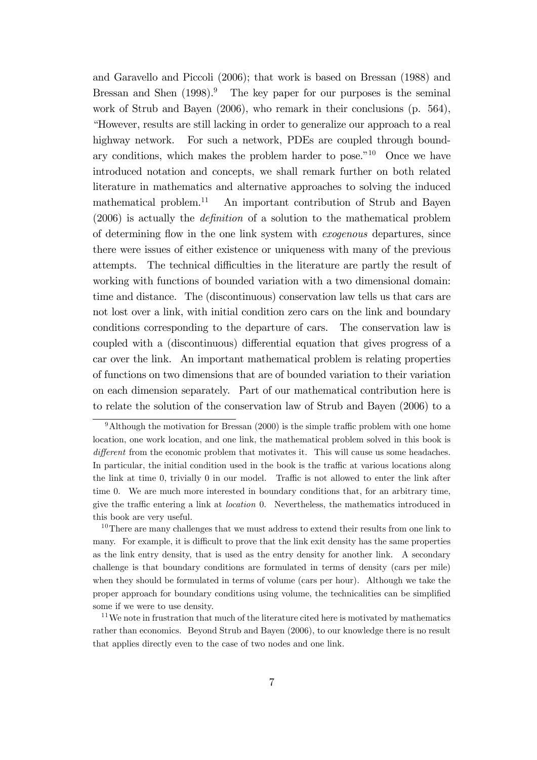and Garavello and Piccoli (2006); that work is based on Bressan (1988) and Bressan and Shen  $(1998)^9$ . The key paper for our purposes is the seminal work of Strub and Bayen (2006), who remark in their conclusions (p. 564), ìHowever, results are still lacking in order to generalize our approach to a real highway network. For such a network, PDEs are coupled through boundary conditions, which makes the problem harder to pose.<sup>"10</sup> Once we have introduced notation and concepts, we shall remark further on both related literature in mathematics and alternative approaches to solving the induced mathematical problem.<sup>11</sup> An important contribution of Strub and Bayen  $(2006)$  is actually the *definition* of a solution to the mathematical problem of determining áow in the one link system with exogenous departures, since there were issues of either existence or uniqueness with many of the previous attempts. The technical difficulties in the literature are partly the result of working with functions of bounded variation with a two dimensional domain: time and distance. The (discontinuous) conservation law tells us that cars are not lost over a link, with initial condition zero cars on the link and boundary conditions corresponding to the departure of cars. The conservation law is coupled with a (discontinuous) differential equation that gives progress of a car over the link. An important mathematical problem is relating properties of functions on two dimensions that are of bounded variation to their variation on each dimension separately. Part of our mathematical contribution here is to relate the solution of the conservation law of Strub and Bayen (2006) to a

 $9$ Although the motivation for Bressan (2000) is the simple traffic problem with one home location, one work location, and one link, the mathematical problem solved in this book is different from the economic problem that motivates it. This will cause us some headaches. In particular, the initial condition used in the book is the traffic at various locations along the link at time 0, trivially 0 in our model. Traffic is not allowed to enter the link after time 0. We are much more interested in boundary conditions that, for an arbitrary time, give the traffic entering a link at *location* 0. Nevertheless, the mathematics introduced in this book are very useful.

<sup>&</sup>lt;sup>10</sup>There are many challenges that we must address to extend their results from one link to many. For example, it is difficult to prove that the link exit density has the same properties as the link entry density, that is used as the entry density for another link. A secondary challenge is that boundary conditions are formulated in terms of density (cars per mile) when they should be formulated in terms of volume (cars per hour). Although we take the proper approach for boundary conditions using volume, the technicalities can be simplified some if we were to use density.

<sup>&</sup>lt;sup>11</sup>We note in frustration that much of the literature cited here is motivated by mathematics rather than economics. Beyond Strub and Bayen (2006), to our knowledge there is no result that applies directly even to the case of two nodes and one link.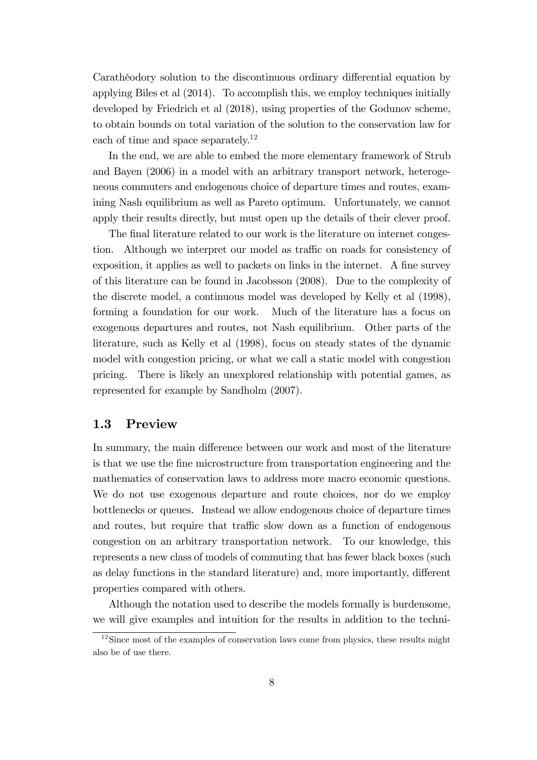Carathéodory solution to the discontinuous ordinary differential equation by applying Biles et al (2014). To accomplish this, we employ techniques initially developed by Friedrich et al (2018), using properties of the Godunov scheme, to obtain bounds on total variation of the solution to the conservation law for each of time and space separately.<sup>12</sup>

In the end, we are able to embed the more elementary framework of Strub and Bayen (2006) in a model with an arbitrary transport network, heterogeneous commuters and endogenous choice of departure times and routes, examining Nash equilibrium as well as Pareto optimum. Unfortunately, we cannot apply their results directly, but must open up the details of their clever proof.

The final literature related to our work is the literature on internet congestion. Although we interpret our model as traffic on roads for consistency of exposition, it applies as well to packets on links in the internet. A fine survey of this literature can be found in Jacobsson (2008). Due to the complexity of the discrete model, a continuous model was developed by Kelly et al (1998), forming a foundation for our work. Much of the literature has a focus on exogenous departures and routes, not Nash equilibrium. Other parts of the literature, such as Kelly et al (1998), focus on steady states of the dynamic model with congestion pricing, or what we call a static model with congestion pricing. There is likely an unexplored relationship with potential games, as represented for example by Sandholm (2007).

## 1.3 Preview

In summary, the main difference between our work and most of the literature is that we use the Öne microstructure from transportation engineering and the mathematics of conservation laws to address more macro economic questions. We do not use exogenous departure and route choices, nor do we employ bottlenecks or queues. Instead we allow endogenous choice of departure times and routes, but require that traffic slow down as a function of endogenous congestion on an arbitrary transportation network. To our knowledge, this represents a new class of models of commuting that has fewer black boxes (such as delay functions in the standard literature) and, more importantly, different properties compared with others.

Although the notation used to describe the models formally is burdensome, we will give examples and intuition for the results in addition to the techni-

 $12$ Since most of the examples of conservation laws come from physics, these results might also be of use there.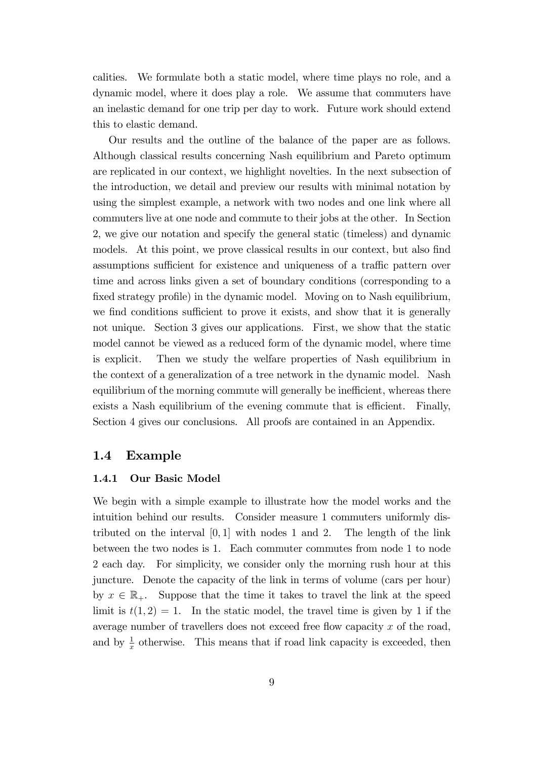calities. We formulate both a static model, where time plays no role, and a dynamic model, where it does play a role. We assume that commuters have an inelastic demand for one trip per day to work. Future work should extend this to elastic demand.

Our results and the outline of the balance of the paper are as follows. Although classical results concerning Nash equilibrium and Pareto optimum are replicated in our context, we highlight novelties. In the next subsection of the introduction, we detail and preview our results with minimal notation by using the simplest example, a network with two nodes and one link where all commuters live at one node and commute to their jobs at the other. In Section 2, we give our notation and specify the general static (timeless) and dynamic models. At this point, we prove classical results in our context, but also find assumptions sufficient for existence and uniqueness of a traffic pattern over time and across links given a set of boundary conditions (corresponding to a fixed strategy profile) in the dynamic model. Moving on to Nash equilibrium, we find conditions sufficient to prove it exists, and show that it is generally not unique. Section 3 gives our applications. First, we show that the static model cannot be viewed as a reduced form of the dynamic model, where time is explicit. Then we study the welfare properties of Nash equilibrium in the context of a generalization of a tree network in the dynamic model. Nash equilibrium of the morning commute will generally be inefficient, whereas there exists a Nash equilibrium of the evening commute that is efficient. Finally, Section 4 gives our conclusions. All proofs are contained in an Appendix.

## 1.4 Example

#### 1.4.1 Our Basic Model

We begin with a simple example to illustrate how the model works and the intuition behind our results. Consider measure 1 commuters uniformly distributed on the interval  $[0, 1]$  with nodes 1 and 2. The length of the link between the two nodes is 1. Each commuter commutes from node 1 to node 2 each day. For simplicity, we consider only the morning rush hour at this juncture. Denote the capacity of the link in terms of volume (cars per hour) by  $x \in \mathbb{R}_+$ . Suppose that the time it takes to travel the link at the speed limit is  $t(1,2) = 1$ . In the static model, the travel time is given by 1 if the average number of travellers does not exceed free flow capacity  $x$  of the road, and by  $\frac{1}{x}$  otherwise. This means that if road link capacity is exceeded, then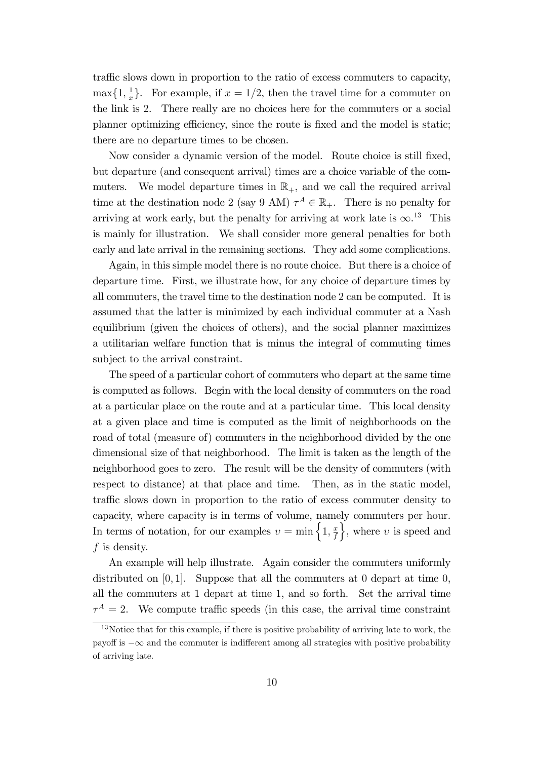traffic slows down in proportion to the ratio of excess commuters to capacity,  $\max\{1, \frac{1}{x}\}$  $\frac{1}{x}$ . For example, if  $x = 1/2$ , then the travel time for a commuter on the link is 2. There really are no choices here for the commuters or a social planner optimizing efficiency, since the route is fixed and the model is static; there are no departure times to be chosen.

Now consider a dynamic version of the model. Route choice is still fixed, but departure (and consequent arrival) times are a choice variable of the commuters. We model departure times in  $\mathbb{R}_+$ , and we call the required arrival time at the destination node 2 (say 9 AM)  $\tau^A \in \mathbb{R}_+$ . There is no penalty for arriving at work early, but the penalty for arriving at work late is  $\infty$ .<sup>13</sup> This is mainly for illustration. We shall consider more general penalties for both early and late arrival in the remaining sections. They add some complications.

Again, in this simple model there is no route choice. But there is a choice of departure time. First, we illustrate how, for any choice of departure times by all commuters, the travel time to the destination node 2 can be computed. It is assumed that the latter is minimized by each individual commuter at a Nash equilibrium (given the choices of others), and the social planner maximizes a utilitarian welfare function that is minus the integral of commuting times subject to the arrival constraint.

The speed of a particular cohort of commuters who depart at the same time is computed as follows. Begin with the local density of commuters on the road at a particular place on the route and at a particular time. This local density at a given place and time is computed as the limit of neighborhoods on the road of total (measure of) commuters in the neighborhood divided by the one dimensional size of that neighborhood. The limit is taken as the length of the neighborhood goes to zero. The result will be the density of commuters (with respect to distance) at that place and time. Then, as in the static model, traffic slows down in proportion to the ratio of excess commuter density to capacity, where capacity is in terms of volume, namely commuters per hour. In terms of notation, for our examples  $v = \min \left\{1, \frac{x}{f}\right\}$ f  $\Big\}$ , where v is speed and f is density.

An example will help illustrate. Again consider the commuters uniformly distributed on  $[0, 1]$ . Suppose that all the commuters at 0 depart at time 0, all the commuters at 1 depart at time 1, and so forth. Set the arrival time  $\tau^A = 2$ . We compute traffic speeds (in this case, the arrival time constraint

 $13$ Notice that for this example, if there is positive probability of arriving late to work, the payoff is  $-\infty$  and the commuter is indifferent among all strategies with positive probability of arriving late.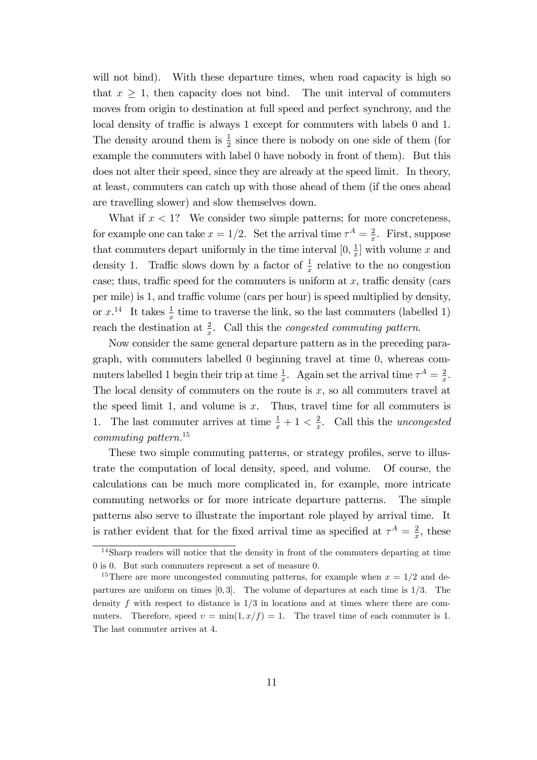will not bind). With these departure times, when road capacity is high so that  $x \geq 1$ , then capacity does not bind. The unit interval of commuters moves from origin to destination at full speed and perfect synchrony, and the local density of traffic is always 1 except for commuters with labels 0 and 1. The density around them is  $\frac{1}{2}$  since there is nobody on one side of them (for example the commuters with label 0 have nobody in front of them). But this does not alter their speed, since they are already at the speed limit. In theory, at least, commuters can catch up with those ahead of them (if the ones ahead are travelling slower) and slow themselves down.

What if  $x < 1$ ? We consider two simple patterns; for more concreteness, for example one can take  $x = 1/2$ . Set the arrival time  $\tau^A = \frac{2}{x}$  $\frac{2}{x}$ . First, suppose that commuters depart uniformly in the time interval  $[0, \frac{1}{r}]$  $\frac{1}{x}$  with volume x and density 1. Traffic slows down by a factor of  $\frac{1}{x}$  relative to the no congestion case; thus, traffic speed for the commuters is uniform at  $x$ , traffic density (cars per mile) is 1, and traffic volume (cars per hour) is speed multiplied by density, or  $x^{14}$  It takes  $\frac{1}{x}$  time to traverse the link, so the last commuters (labelled 1) reach the destination at  $\frac{2}{x}$ . Call this the *congested commuting pattern*.

Now consider the same general departure pattern as in the preceding paragraph, with commuters labelled 0 beginning travel at time 0, whereas commuters labelled 1 begin their trip at time  $\frac{1}{x}$ . Again set the arrival time  $\tau^A = \frac{2}{x}$  $\frac{2}{x}$ . The local density of commuters on the route is  $x$ , so all commuters travel at the speed limit 1, and volume is  $x$ . Thus, travel time for all commuters is 1. The last commuter arrives at time  $\frac{1}{x} + 1 < \frac{2}{x}$  $\frac{2}{x}$ . Call this the *uncongested* commuting pattern.<sup>15</sup>

These two simple commuting patterns, or strategy profiles, serve to illustrate the computation of local density, speed, and volume. Of course, the calculations can be much more complicated in, for example, more intricate commuting networks or for more intricate departure patterns. The simple patterns also serve to illustrate the important role played by arrival time. It is rather evident that for the fixed arrival time as specified at  $\tau^A = \frac{2}{r}$  $\frac{2}{x}$ , these

<sup>14</sup>Sharp readers will notice that the density in front of the commuters departing at time 0 is 0. But such commuters represent a set of measure 0.

<sup>&</sup>lt;sup>15</sup>There are more uncongested commuting patterns, for example when  $x = 1/2$  and departures are uniform on times  $[0, 3]$ . The volume of departures at each time is  $1/3$ . The density  $f$  with respect to distance is  $1/3$  in locations and at times where there are commuters. Therefore, speed  $v = \min(1, x/f) = 1$ . The travel time of each commuter is 1. The last commuter arrives at 4.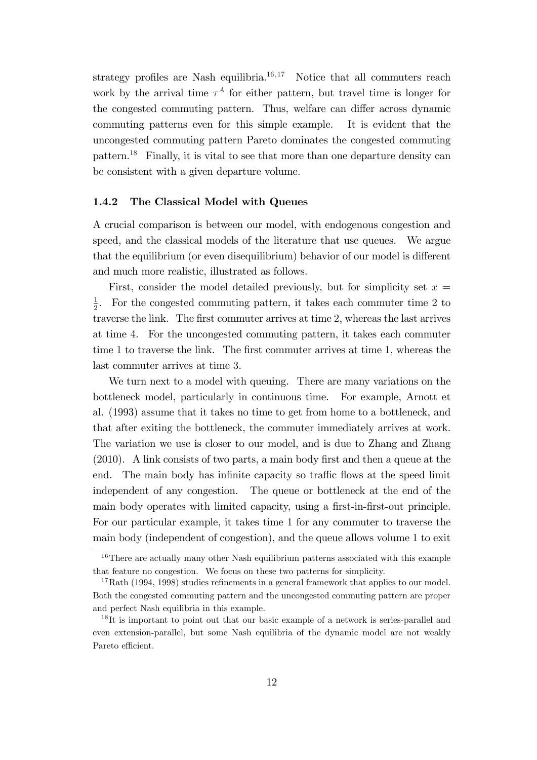strategy profiles are Nash equilibria.<sup>16,17</sup> Notice that all commuters reach work by the arrival time  $\tau^A$  for either pattern, but travel time is longer for the congested commuting pattern. Thus, welfare can differ across dynamic commuting patterns even for this simple example. It is evident that the uncongested commuting pattern Pareto dominates the congested commuting pattern.<sup>18</sup> Finally, it is vital to see that more than one departure density can be consistent with a given departure volume.

#### 1.4.2 The Classical Model with Queues

A crucial comparison is between our model, with endogenous congestion and speed, and the classical models of the literature that use queues. We argue that the equilibrium (or even disequilibrium) behavior of our model is different and much more realistic, illustrated as follows.

First, consider the model detailed previously, but for simplicity set  $x =$ 1  $\frac{1}{2}$ . For the congested commuting pattern, it takes each commuter time 2 to traverse the link. The first commuter arrives at time 2, whereas the last arrives at time 4. For the uncongested commuting pattern, it takes each commuter time 1 to traverse the link. The first commuter arrives at time 1, whereas the last commuter arrives at time 3.

We turn next to a model with queuing. There are many variations on the bottleneck model, particularly in continuous time. For example, Arnott et al. (1993) assume that it takes no time to get from home to a bottleneck, and that after exiting the bottleneck, the commuter immediately arrives at work. The variation we use is closer to our model, and is due to Zhang and Zhang  $(2010)$ . A link consists of two parts, a main body first and then a queue at the end. The main body has infinite capacity so traffic flows at the speed limit independent of any congestion. The queue or bottleneck at the end of the main body operates with limited capacity, using a first-in-first-out principle. For our particular example, it takes time 1 for any commuter to traverse the main body (independent of congestion), and the queue allows volume 1 to exit

<sup>&</sup>lt;sup>16</sup>There are actually many other Nash equilibrium patterns associated with this example that feature no congestion. We focus on these two patterns for simplicity.

 $17 \text{Rath}$  (1994, 1998) studies refinements in a general framework that applies to our model. Both the congested commuting pattern and the uncongested commuting pattern are proper and perfect Nash equilibria in this example.

<sup>&</sup>lt;sup>18</sup>It is important to point out that our basic example of a network is series-parallel and even extension-parallel, but some Nash equilibria of the dynamic model are not weakly Pareto efficient.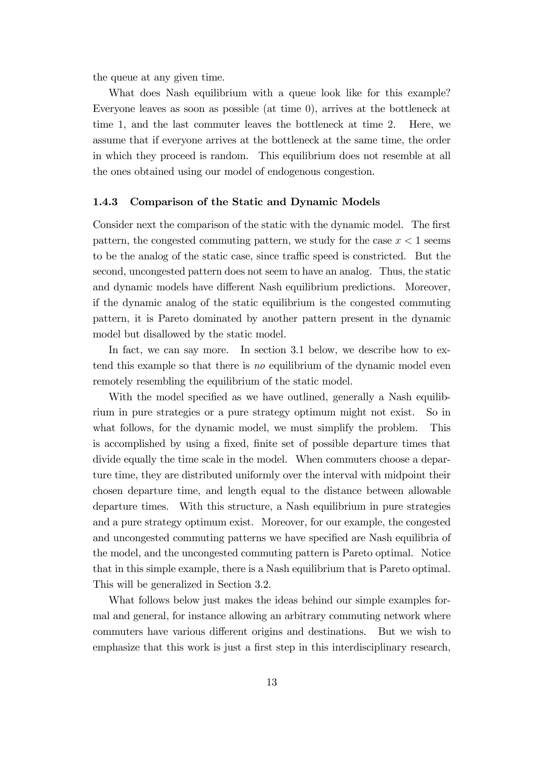the queue at any given time.

What does Nash equilibrium with a queue look like for this example? Everyone leaves as soon as possible (at time 0), arrives at the bottleneck at time 1, and the last commuter leaves the bottleneck at time 2. Here, we assume that if everyone arrives at the bottleneck at the same time, the order in which they proceed is random. This equilibrium does not resemble at all the ones obtained using our model of endogenous congestion.

#### 1.4.3 Comparison of the Static and Dynamic Models

Consider next the comparison of the static with the dynamic model. The first pattern, the congested commuting pattern, we study for the case  $x < 1$  seems to be the analog of the static case, since traffic speed is constricted. But the second, uncongested pattern does not seem to have an analog. Thus, the static and dynamic models have different Nash equilibrium predictions. Moreover, if the dynamic analog of the static equilibrium is the congested commuting pattern, it is Pareto dominated by another pattern present in the dynamic model but disallowed by the static model.

In fact, we can say more. In section 3.1 below, we describe how to extend this example so that there is no equilibrium of the dynamic model even remotely resembling the equilibrium of the static model.

With the model specified as we have outlined, generally a Nash equilibrium in pure strategies or a pure strategy optimum might not exist. So in what follows, for the dynamic model, we must simplify the problem. This is accomplished by using a fixed, finite set of possible departure times that divide equally the time scale in the model. When commuters choose a departure time, they are distributed uniformly over the interval with midpoint their chosen departure time, and length equal to the distance between allowable departure times. With this structure, a Nash equilibrium in pure strategies and a pure strategy optimum exist. Moreover, for our example, the congested and uncongested commuting patterns we have specified are Nash equilibria of the model, and the uncongested commuting pattern is Pareto optimal. Notice that in this simple example, there is a Nash equilibrium that is Pareto optimal. This will be generalized in Section 3.2.

What follows below just makes the ideas behind our simple examples formal and general, for instance allowing an arbitrary commuting network where commuters have various different origins and destinations. But we wish to emphasize that this work is just a first step in this interdisciplinary research,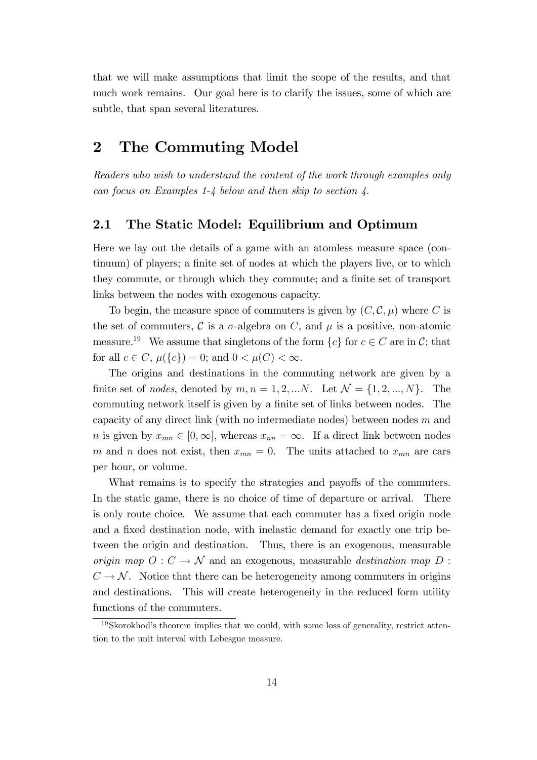that we will make assumptions that limit the scope of the results, and that much work remains. Our goal here is to clarify the issues, some of which are subtle, that span several literatures.

## 2 The Commuting Model

Readers who wish to understand the content of the work through examples only can focus on Examples 1-4 below and then skip to section 4.

## 2.1 The Static Model: Equilibrium and Optimum

Here we lay out the details of a game with an atomless measure space (continuum) of players; a finite set of nodes at which the players live, or to which they commute, or through which they commute; and a finite set of transport links between the nodes with exogenous capacity.

To begin, the measure space of commuters is given by  $(C, \mathcal{C}, \mu)$  where C is the set of commuters, C is a  $\sigma$ -algebra on C, and  $\mu$  is a positive, non-atomic measure.<sup>19</sup> We assume that singletons of the form  $\{c\}$  for  $c \in C$  are in C; that for all  $c \in C$ ,  $\mu({c}) = 0$ ; and  $0 < \mu(C) < \infty$ .

The origins and destinations in the commuting network are given by a finite set of nodes, denoted by  $m, n = 1, 2, \dots N$ . Let  $\mathcal{N} = \{1, 2, \dots, N\}$ . The commuting network itself is given by a finite set of links between nodes. The capacity of any direct link (with no intermediate nodes) between nodes  $m$  and *n* is given by  $x_{mn} \in [0,\infty]$ , whereas  $x_{nn} = \infty$ . If a direct link between nodes m and n does not exist, then  $x_{mn} = 0$ . The units attached to  $x_{mn}$  are cars per hour, or volume.

What remains is to specify the strategies and payoffs of the commuters. In the static game, there is no choice of time of departure or arrival. There is only route choice. We assume that each commuter has a fixed origin node and a fixed destination node, with inelastic demand for exactly one trip between the origin and destination. Thus, there is an exogenous, measurable origin map  $O: C \to \mathcal{N}$  and an exogenous, measurable destination map D :  $C \rightarrow \mathcal{N}$ . Notice that there can be heterogeneity among commuters in origins and destinations. This will create heterogeneity in the reduced form utility functions of the commuters.

 $19S$ korokhod's theorem implies that we could, with some loss of generality, restrict attention to the unit interval with Lebesgue measure.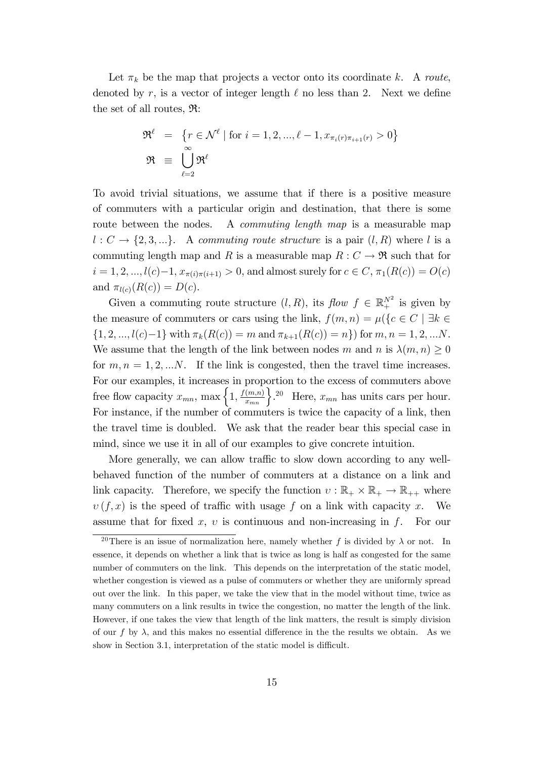Let  $\pi_k$  be the map that projects a vector onto its coordinate k. A route, denoted by r, is a vector of integer length  $\ell$  no less than 2. Next we define the set of all routes, R:

$$
\mathfrak{R}^{\ell} = \{r \in \mathcal{N}^{\ell} \mid \text{for } i = 1, 2, \dots, \ell - 1, x_{\pi_i(r)\pi_{i+1}(r)} > 0\}
$$

$$
\mathfrak{R} \equiv \bigcup_{\ell=2}^{\infty} \mathfrak{R}^{\ell}
$$

To avoid trivial situations, we assume that if there is a positive measure of commuters with a particular origin and destination, that there is some route between the nodes. A *commuting length map* is a measurable map  $l: C \rightarrow \{2, 3, ...\}$ . A commuting route structure is a pair  $(l, R)$  where l is a commuting length map and R is a measurable map  $R: C \to \mathfrak{R}$  such that for  $i = 1, 2, ..., l(c)-1, x_{\pi(i)\pi(i+1)} > 0$ , and almost surely for  $c \in C$ ,  $\pi_1(R(c)) = O(c)$ and  $\pi_{l(c)}(R(c)) = D(c)$ .

Given a commuting route structure  $(l, R)$ , its  $flow f \in \mathbb{R}^{N^2}$  is given by the measure of commuters or cars using the link,  $f(m, n) = \mu({c \in C \mid \exists k \in D)}$  $\{1, 2, ..., l(c)-1\}$  with  $\pi_k(R(c)) = m$  and  $\pi_{k+1}(R(c)) = n\}$  for  $m, n = 1, 2, ...N$ . We assume that the length of the link between nodes m and n is  $\lambda(m, n) \geq 0$ for  $m, n = 1, 2, \ldots N$ . If the link is congested, then the travel time increases. For our examples, it increases in proportion to the excess of commuters above free flow capacity  $x_{mn}$ , max  $\left\{1, \frac{f(m,n)}{x_{mn}}\right\}$ . <sup>20</sup> Here,  $x_{mn}$  has units cars per hour. For instance, if the number of commuters is twice the capacity of a link, then the travel time is doubled. We ask that the reader bear this special case in mind, since we use it in all of our examples to give concrete intuition.

More generally, we can allow traffic to slow down according to any wellbehaved function of the number of commuters at a distance on a link and link capacity. Therefore, we specify the function  $v : \mathbb{R}_+ \times \mathbb{R}_+ \to \mathbb{R}_{++}$  where  $v(f, x)$  is the speed of traffic with usage f on a link with capacity x. We assume that for fixed x,  $v$  is continuous and non-increasing in f. For our

<sup>&</sup>lt;sup>20</sup>There is an issue of normalization here, namely whether f is divided by  $\lambda$  or not. In essence, it depends on whether a link that is twice as long is half as congested for the same number of commuters on the link. This depends on the interpretation of the static model, whether congestion is viewed as a pulse of commuters or whether they are uniformly spread out over the link. In this paper, we take the view that in the model without time, twice as many commuters on a link results in twice the congestion, no matter the length of the link. However, if one takes the view that length of the link matters, the result is simply division of our f by  $\lambda$ , and this makes no essential difference in the the results we obtain. As we show in Section 3.1, interpretation of the static model is difficult.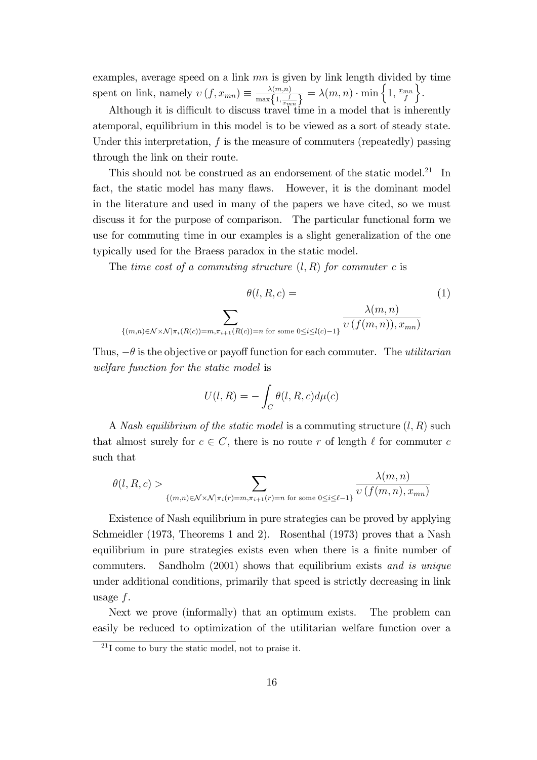examples, average speed on a link  $mn$  is given by link length divided by time spent on link, namely  $v(f, x_{mn}) \equiv \frac{\lambda(m,n)}{\max\{1, \frac{f}{n}\}}$  $\frac{\lambda(m,n)}{\max\left\{1,\frac{f}{x_{mn}}\right\}} = \lambda(m,n) \cdot \min\left\{1,\frac{x_{mn}}{f}\right\}$ f  $\left.\right.$ 

Although it is difficult to discuss travel time in a model that is inherently atemporal, equilibrium in this model is to be viewed as a sort of steady state. Under this interpretation,  $f$  is the measure of commuters (repeatedly) passing through the link on their route.

This should not be construed as an endorsement of the static model.<sup>21</sup> In fact, the static model has many flaws. However, it is the dominant model in the literature and used in many of the papers we have cited, so we must discuss it for the purpose of comparison. The particular functional form we use for commuting time in our examples is a slight generalization of the one typically used for the Braess paradox in the static model.

The time cost of a commuting structure  $(l, R)$  for commuter c is

$$
\theta(l, R, c) =
$$
\n
$$
\sum_{\{(m,n)\in\mathcal{N}\times\mathcal{N}|\pi_i(R(c))=m,\pi_{i+1}(R(c))=n\text{ for some }0\leq i\leq l(c)-1\}} \frac{\lambda(m,n)}{\upsilon(f(m,n)), x_{mn})}
$$
\n(1)

Thus,  $-\theta$  is the objective or payoff function for each commuter. The *utilitarian* welfare function for the static model is

$$
U(l,R) = -\int_C \theta(l,R,c)d\mu(c)
$$

A Nash equilibrium of the static model is a commuting structure  $(l, R)$  such that almost surely for  $c \in C$ , there is no route r of length  $\ell$  for commuter c such that

$$
\theta(l,R,c) > \sum_{\{(m,n)\in\mathcal{N}\times\mathcal{N}|\pi_i(r)=m,\pi_{i+1}(r)=n \text{ for some }0\leq i\leq\ell-1\}} \frac{\lambda(m,n)}{\upsilon(f(m,n),x_{mn})}
$$

Existence of Nash equilibrium in pure strategies can be proved by applying Schmeidler (1973, Theorems 1 and 2). Rosenthal (1973) proves that a Nash equilibrium in pure strategies exists even when there is a finite number of commuters. Sandholm (2001) shows that equilibrium exists and is unique under additional conditions, primarily that speed is strictly decreasing in link usage  $f$ .

Next we prove (informally) that an optimum exists. The problem can easily be reduced to optimization of the utilitarian welfare function over a

 $^{21}$ I come to bury the static model, not to praise it.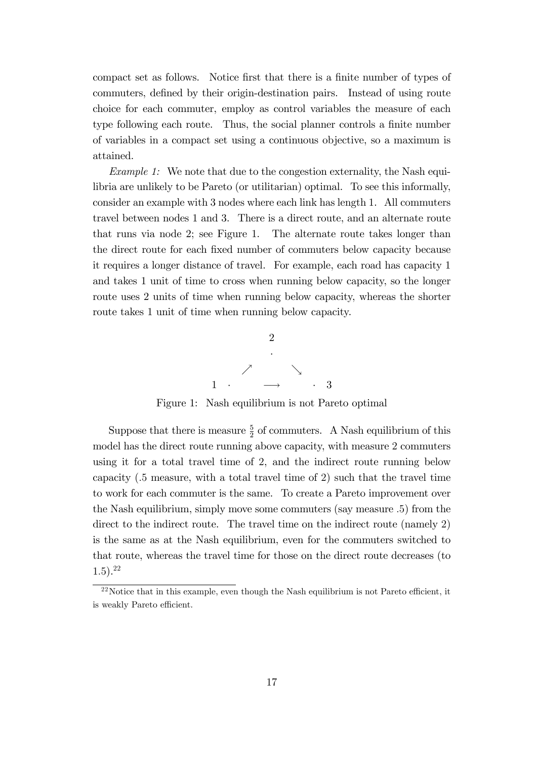compact set as follows. Notice first that there is a finite number of types of commuters, defined by their origin-destination pairs. Instead of using route choice for each commuter, employ as control variables the measure of each type following each route. Thus, the social planner controls a finite number of variables in a compact set using a continuous objective, so a maximum is attained.

Example 1: We note that due to the congestion externality, the Nash equilibria are unlikely to be Pareto (or utilitarian) optimal. To see this informally, consider an example with 3 nodes where each link has length 1. All commuters travel between nodes 1 and 3. There is a direct route, and an alternate route that runs via node 2; see Figure 1. The alternate route takes longer than the direct route for each Öxed number of commuters below capacity because it requires a longer distance of travel. For example, each road has capacity 1 and takes 1 unit of time to cross when running below capacity, so the longer route uses 2 units of time when running below capacity, whereas the shorter route takes 1 unit of time when running below capacity.



Figure 1: Nash equilibrium is not Pareto optimal

Suppose that there is measure  $\frac{5}{2}$  of commuters. A Nash equilibrium of this model has the direct route running above capacity, with measure 2 commuters using it for a total travel time of 2, and the indirect route running below capacity (:5 measure, with a total travel time of 2) such that the travel time to work for each commuter is the same. To create a Pareto improvement over the Nash equilibrium, simply move some commuters (say measure :5) from the direct to the indirect route. The travel time on the indirect route (namely 2) is the same as at the Nash equilibrium, even for the commuters switched to that route, whereas the travel time for those on the direct route decreases (to 1:5).<sup>22</sup>

 $22$ Notice that in this example, even though the Nash equilibrium is not Pareto efficient, it is weakly Pareto efficient.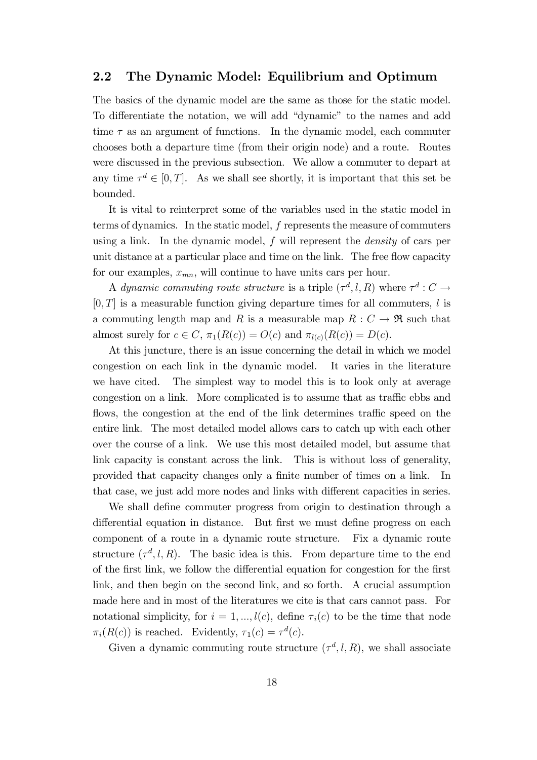## 2.2 The Dynamic Model: Equilibrium and Optimum

The basics of the dynamic model are the same as those for the static model. To differentiate the notation, we will add "dynamic" to the names and add time  $\tau$  as an argument of functions. In the dynamic model, each commuter chooses both a departure time (from their origin node) and a route. Routes were discussed in the previous subsection. We allow a commuter to depart at any time  $\tau^d \in [0, T]$ . As we shall see shortly, it is important that this set be bounded.

It is vital to reinterpret some of the variables used in the static model in terms of dynamics. In the static model, f represents the measure of commuters using a link. In the dynamic model,  $f$  will represent the *density* of cars per unit distance at a particular place and time on the link. The free flow capacity for our examples,  $x_{mn}$ , will continue to have units cars per hour.

A dynamic commuting route structure is a triple  $(\tau^d, l, R)$  where  $\tau^d : C \to$  $[0, T]$  is a measurable function giving departure times for all commuters, l is a commuting length map and R is a measurable map  $R: C \to \mathfrak{R}$  such that almost surely for  $c \in C$ ,  $\pi_1(R(c)) = O(c)$  and  $\pi_{l(c)}(R(c)) = D(c)$ .

At this juncture, there is an issue concerning the detail in which we model congestion on each link in the dynamic model. It varies in the literature we have cited. The simplest way to model this is to look only at average congestion on a link. More complicated is to assume that as traffic ebbs and flows, the congestion at the end of the link determines traffic speed on the entire link. The most detailed model allows cars to catch up with each other over the course of a link. We use this most detailed model, but assume that link capacity is constant across the link. This is without loss of generality, provided that capacity changes only a finite number of times on a link. In that case, we just add more nodes and links with different capacities in series.

We shall define commuter progress from origin to destination through a differential equation in distance. But first we must define progress on each component of a route in a dynamic route structure. Fix a dynamic route structure  $(\tau^d, l, R)$ . The basic idea is this. From departure time to the end of the first link, we follow the differential equation for congestion for the first link, and then begin on the second link, and so forth. A crucial assumption made here and in most of the literatures we cite is that cars cannot pass. For notational simplicity, for  $i = 1, ..., l(c)$ , define  $\tau_i(c)$  to be the time that node  $\pi_i(R(c))$  is reached. Evidently,  $\tau_1(c) = \tau^d(c)$ .

Given a dynamic commuting route structure  $(\tau^d, l, R)$ , we shall associate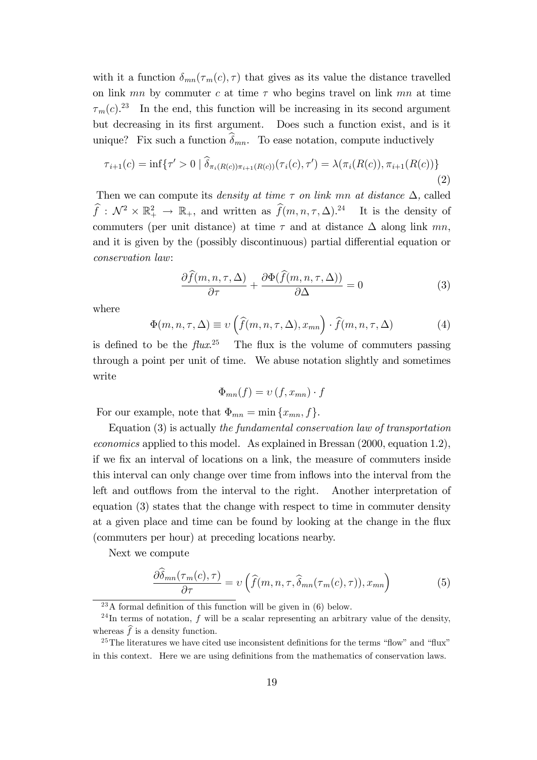with it a function  $\delta_{mn}(\tau_m(c), \tau)$  that gives as its value the distance travelled on link mn by commuter c at time  $\tau$  who begins travel on link mn at time  $\tau_m(c)$ <sup>23</sup> In the end, this function will be increasing in its second argument but decreasing in its first argument. Does such a function exist, and is it unique? Fix such a function  $\widehat{\delta}_{mn}$ . To ease notation, compute inductively

$$
\tau_{i+1}(c) = \inf \{ \tau' > 0 \mid \delta_{\pi_i(R(c))\pi_{i+1}(R(c))}(\tau_i(c), \tau') = \lambda(\pi_i(R(c)), \pi_{i+1}(R(c))) \}
$$
\n(2)

Then we can compute its *density at time*  $\tau$  *on link mn at distance*  $\Delta$ , called  $\widehat{f}: \mathcal{N}^2 \times \mathbb{R}_+^2 \to \mathbb{R}_+$ , and written as  $\widehat{f}(m, n, \tau, \Delta)$ .<sup>24</sup> It is the density of commuters (per unit distance) at time  $\tau$  and at distance  $\Delta$  along link mn, and it is given by the (possibly discontinuous) partial differential equation or conservation law:

$$
\frac{\partial \widehat{f}(m,n,\tau,\Delta)}{\partial \tau} + \frac{\partial \Phi(\widehat{f}(m,n,\tau,\Delta))}{\partial \Delta} = 0 \tag{3}
$$

where

$$
\Phi(m, n, \tau, \Delta) \equiv \upsilon \left( \widehat{f}(m, n, \tau, \Delta), x_{mn} \right) \cdot \widehat{f}(m, n, \tau, \Delta)
$$
 (4)

is defined to be the  $flux^{25}$  The flux is the volume of commuters passing through a point per unit of time. We abuse notation slightly and sometimes write

$$
\Phi_{mn}(f) = \nu(f, x_{mn}) \cdot f
$$

For our example, note that  $\Phi_{mn} = \min \{x_{mn}, f\}.$ 

Equation (3) is actually the fundamental conservation law of transportation economics applied to this model. As explained in Bressan (2000, equation 1.2), if we Öx an interval of locations on a link, the measure of commuters inside this interval can only change over time from inflows into the interval from the left and outflows from the interval to the right. Another interpretation of equation (3) states that the change with respect to time in commuter density at a given place and time can be found by looking at the change in the flux (commuters per hour) at preceding locations nearby.

Next we compute

$$
\frac{\partial \delta_{mn}(\tau_m(c), \tau)}{\partial \tau} = \nu \left( \widehat{f}(m, n, \tau, \widehat{\delta}_{mn}(\tau_m(c), \tau)), x_{mn} \right) \tag{5}
$$

 $^{23}$ A formal definition of this function will be given in (6) below.

 $^{24}$ In terms of notation, f will be a scalar representing an arbitrary value of the density, whereas  $\hat{f}$  is a density function.

 $25$ The literatures we have cited use inconsistent definitions for the terms "flow" and "flux" in this context. Here we are using definitions from the mathematics of conservation laws.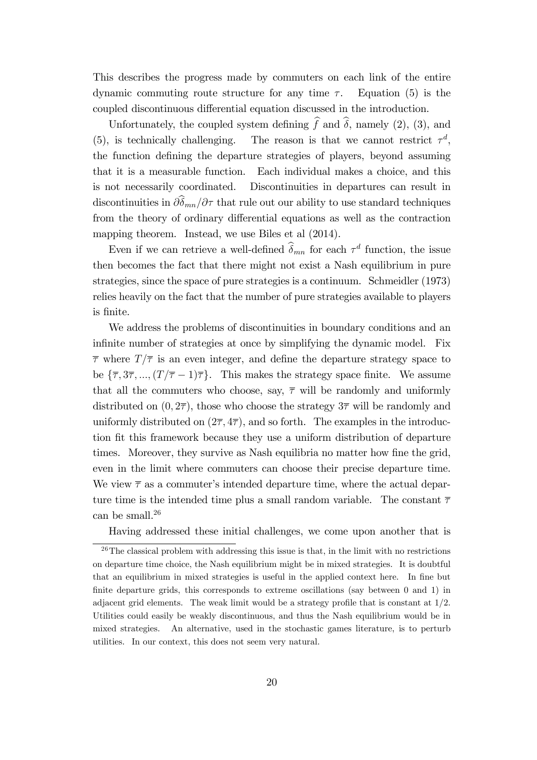This describes the progress made by commuters on each link of the entire dynamic commuting route structure for any time  $\tau$ . Equation (5) is the coupled discontinuous differential equation discussed in the introduction.

Unfortunately, the coupled system defining  $\hat{f}$  and  $\hat{\delta}$ , namely (2), (3), and (5), is technically challenging. The reason is that we cannot restrict  $\tau^d$ , the function deÖning the departure strategies of players, beyond assuming that it is a measurable function. Each individual makes a choice, and this is not necessarily coordinated. Discontinuities in departures can result in discontinuities in  $\partial \hat{\delta}_{mn}/\partial \tau$  that rule out our ability to use standard techniques from the theory of ordinary differential equations as well as the contraction mapping theorem. Instead, we use Biles et al (2014).

Even if we can retrieve a well-defined  $\delta_{mn}$  for each  $\tau^d$  function, the issue then becomes the fact that there might not exist a Nash equilibrium in pure strategies, since the space of pure strategies is a continuum. Schmeidler (1973) relies heavily on the fact that the number of pure strategies available to players is Önite.

We address the problems of discontinuities in boundary conditions and an infinite number of strategies at once by simplifying the dynamic model. Fix  $\overline{\tau}$  where  $T/\overline{\tau}$  is an even integer, and define the departure strategy space to be  $\{\bar{\tau}, 3\bar{\tau}, ..., (T/\bar{\tau} - 1)\bar{\tau}\}.$  This makes the strategy space finite. We assume that all the commuters who choose, say,  $\bar{\tau}$  will be randomly and uniformly distributed on  $(0, 2\overline{\tau})$ , those who choose the strategy  $3\overline{\tau}$  will be randomly and uniformly distributed on  $(2\overline{\tau}, 4\overline{\tau})$ , and so forth. The examples in the introduction fit this framework because they use a uniform distribution of departure times. Moreover, they survive as Nash equilibria no matter how fine the grid, even in the limit where commuters can choose their precise departure time. We view  $\bar{\tau}$  as a commuter's intended departure time, where the actual departure time is the intended time plus a small random variable. The constant  $\bar{\tau}$ can be small.<sup>26</sup>

Having addressed these initial challenges, we come upon another that is

 $26$ The classical problem with addressing this issue is that, in the limit with no restrictions on departure time choice, the Nash equilibrium might be in mixed strategies. It is doubtful that an equilibrium in mixed strategies is useful in the applied context here. In fine but finite departure grids, this corresponds to extreme oscillations (say between  $\theta$  and  $\theta$ ) in adjacent grid elements. The weak limit would be a strategy profile that is constant at  $1/2$ . Utilities could easily be weakly discontinuous, and thus the Nash equilibrium would be in mixed strategies. An alternative, used in the stochastic games literature, is to perturb utilities. In our context, this does not seem very natural.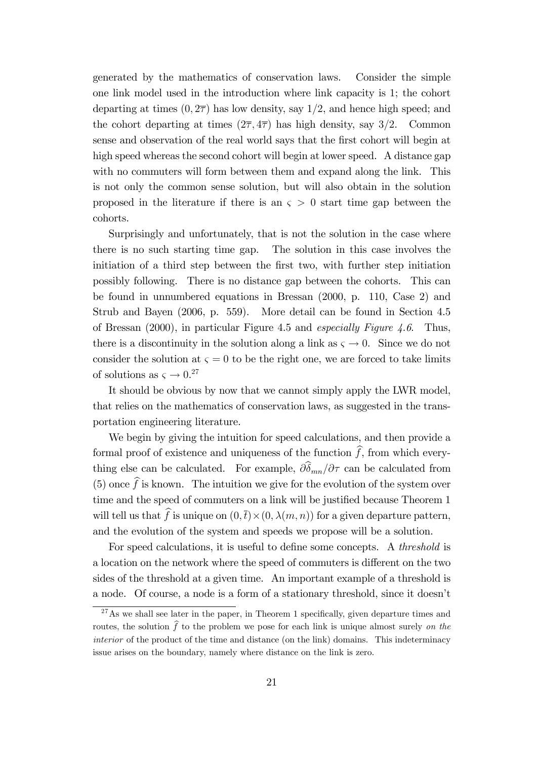generated by the mathematics of conservation laws. Consider the simple one link model used in the introduction where link capacity is 1; the cohort departing at times  $(0, 2\overline{\tau})$  has low density, say  $1/2$ , and hence high speed; and the cohort departing at times  $(2\overline{\tau}, 4\overline{\tau})$  has high density, say 3/2. Common sense and observation of the real world says that the Örst cohort will begin at high speed whereas the second cohort will begin at lower speed. A distance gap with no commuters will form between them and expand along the link. This is not only the common sense solution, but will also obtain in the solution proposed in the literature if there is an  $\varsigma > 0$  start time gap between the cohorts.

Surprisingly and unfortunately, that is not the solution in the case where there is no such starting time gap. The solution in this case involves the initiation of a third step between the first two, with further step initiation possibly following. There is no distance gap between the cohorts. This can be found in unnumbered equations in Bressan (2000, p. 110, Case 2) and Strub and Bayen (2006, p. 559). More detail can be found in Section 4.5 of Bressan (2000), in particular Figure 4.5 and especially Figure 4.6. Thus, there is a discontinuity in the solution along a link as  $\zeta \to 0$ . Since we do not consider the solution at  $\zeta = 0$  to be the right one, we are forced to take limits of solutions as  $\varsigma \to 0.^{27}$ 

It should be obvious by now that we cannot simply apply the LWR model, that relies on the mathematics of conservation laws, as suggested in the transportation engineering literature.

We begin by giving the intuition for speed calculations, and then provide a formal proof of existence and uniqueness of the function  $\hat{f}$ , from which everything else can be calculated. For example,  $\partial \hat{\delta}_{mn}/\partial \tau$  can be calculated from (5) once  $\hat{f}$  is known. The intuition we give for the evolution of the system over time and the speed of commuters on a link will be justified because Theorem 1 will tell us that f is unique on  $(0, \bar{t}) \times (0, \lambda(m, n))$  for a given departure pattern, and the evolution of the system and speeds we propose will be a solution.

For speed calculations, it is useful to define some concepts. A *threshold* is a location on the network where the speed of commuters is different on the two sides of the threshold at a given time. An important example of a threshold is a node. Of course, a node is a form of a stationary threshold, since it doesnít

 $27\text{As}$  we shall see later in the paper, in Theorem 1 specifically, given departure times and routes, the solution  $\hat{f}$  to the problem we pose for each link is unique almost surely on the interior of the product of the time and distance (on the link) domains. This indeterminacy issue arises on the boundary, namely where distance on the link is zero.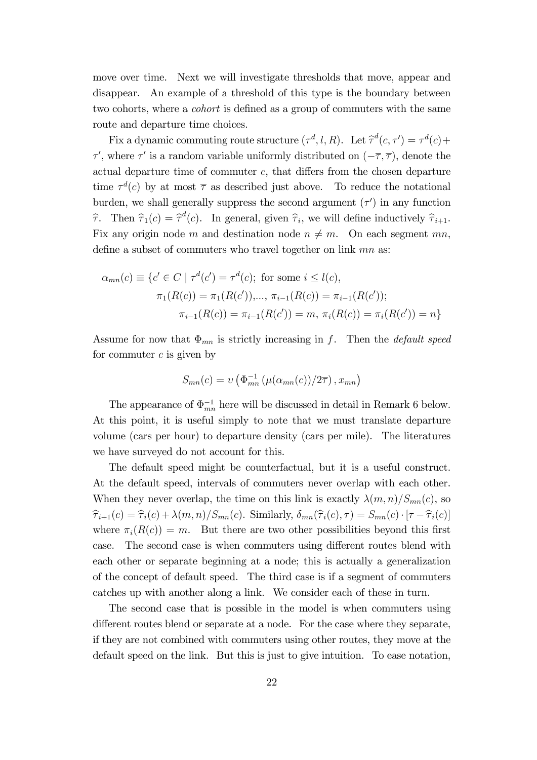move over time. Next we will investigate thresholds that move, appear and disappear. An example of a threshold of this type is the boundary between two cohorts, where a *cohort* is defined as a group of commuters with the same route and departure time choices.

Fix a dynamic commuting route structure  $(\tau^d, l, R)$ . Let  $\hat{\tau}^d(c, \tau') = \tau^d(c) +$  $\tau'$ , where  $\tau'$  is a random variable uniformly distributed on  $(-\overline{\tau}, \overline{\tau})$ , denote the actual departure time of commuter  $c$ , that differs from the chosen departure time  $\tau^{d}(c)$  by at most  $\bar{\tau}$  as described just above. To reduce the notational burden, we shall generally suppress the second argument  $(\tau')$  in any function  $\hat{\tau}$ . Then  $\hat{\tau}_1(c) = \hat{\tau}^d(c)$ . In general, given  $\hat{\tau}_i$ , we will define inductively  $\hat{\tau}_{i+1}$ . Fix any origin node m and destination node  $n \neq m$ . On each segment mn, define a subset of commuters who travel together on link  $mn$  as:

$$
\alpha_{mn}(c) \equiv \{c' \in C \mid \tau^d(c') = \tau^d(c); \text{ for some } i \le l(c),
$$

$$
\pi_1(R(c)) = \pi_1(R(c')), \dots, \pi_{i-1}(R(c)) = \pi_{i-1}(R(c'));
$$

$$
\pi_{i-1}(R(c)) = \pi_{i-1}(R(c')) = m, \pi_i(R(c)) = \pi_i(R(c')) = n\}
$$

Assume for now that  $\Phi_{mn}$  is strictly increasing in f. Then the *default speed* for commuter  $c$  is given by

$$
S_{mn}(c) = \upsilon \left( \Phi_{mn}^{-1} \left( \mu(\alpha_{mn}(c)) / 2\overline{\tau} \right), x_{mn} \right)
$$

The appearance of  $\Phi_{mn}^{-1}$  here will be discussed in detail in Remark 6 below. At this point, it is useful simply to note that we must translate departure volume (cars per hour) to departure density (cars per mile). The literatures we have surveyed do not account for this.

The default speed might be counterfactual, but it is a useful construct. At the default speed, intervals of commuters never overlap with each other. When they never overlap, the time on this link is exactly  $\lambda(m, n)/S_{mn}(c)$ , so  $\widehat{\tau}_{i+1}(c) = \widehat{\tau}_i(c) + \lambda(m,n)/S_{mn}(c)$ . Similarly,  $\delta_{mn}(\widehat{\tau}_i(c), \tau) = S_{mn}(c) \cdot [\tau - \widehat{\tau}_i(c)]$ where  $\pi_i(R(c)) = m$ . But there are two other possibilities beyond this first case. The second case is when commuters using different routes blend with each other or separate beginning at a node; this is actually a generalization of the concept of default speed. The third case is if a segment of commuters catches up with another along a link. We consider each of these in turn.

The second case that is possible in the model is when commuters using different routes blend or separate at a node. For the case where they separate, if they are not combined with commuters using other routes, they move at the default speed on the link. But this is just to give intuition. To ease notation,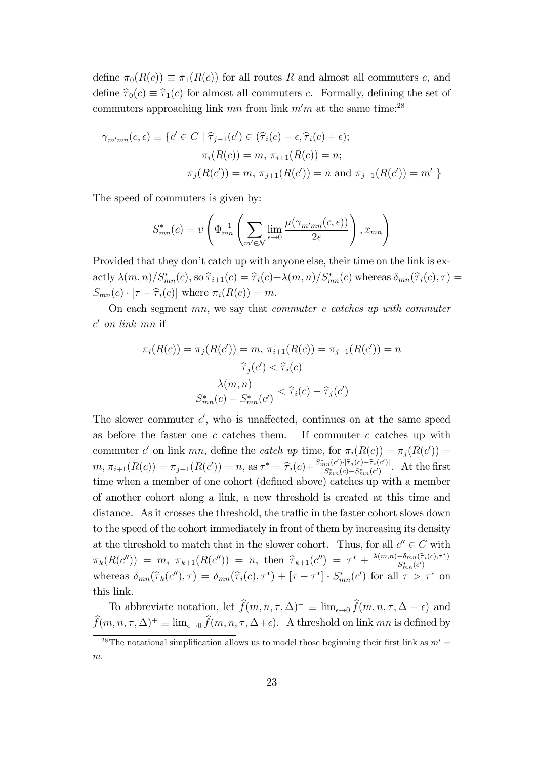define  $\pi_0(R(c)) \equiv \pi_1(R(c))$  for all routes R and almost all commuters c, and define  $\hat{\tau}_0(c) \equiv \hat{\tau}_1(c)$  for almost all commuters c. Formally, defining the set of commuters approaching link  $mn$  from link  $m'm$  at the same time:<sup>28</sup>

$$
\gamma_{m'mn}(c,\epsilon) \equiv \{c' \in C \mid \hat{\tau}_{j-1}(c') \in (\hat{\tau}_i(c) - \epsilon, \hat{\tau}_i(c) + \epsilon); \n\pi_i(R(c)) = m, \pi_{i+1}(R(c)) = n; \n\pi_j(R(c')) = m, \pi_{j+1}(R(c')) = n \text{ and } \pi_{j-1}(R(c')) = m' \}
$$

The speed of commuters is given by:

$$
S_{mn}^*(c) = v \left( \Phi_{mn}^{-1} \left( \sum_{m' \in \mathcal{N}} \lim_{\epsilon \to 0} \frac{\mu(\gamma_{m'mn}(c, \epsilon))}{2\epsilon} \right), x_{mn} \right)
$$

Provided that they don't catch up with anyone else, their time on the link is ex- $\text{activity } \lambda(m,n)/S^*_{mn}(c), \text{ so } \widehat{\tau}_{i+1}(c) = \widehat{\tau}_i(c) + \lambda(m,n)/S^*_{mn}(c) \text{ whereas } \delta_{mn}(\widehat{\tau}_i(c),\tau) = \widehat{\tau}_i(c) + \widehat{\lambda}_{mn}(c)$  $S_{mn}(c) \cdot [\tau - \widehat{\tau}_i(c)]$  where  $\pi_i(R(c)) = m$ .

On each segment  $mn$ , we say that *commuter c catches up with commuter*  $c'$  on link mn if

$$
\pi_i(R(c)) = \pi_j(R(c')) = m, \ \pi_{i+1}(R(c)) = \pi_{j+1}(R(c')) = n
$$

$$
\hat{\tau}_j(c') < \hat{\tau}_i(c)
$$

$$
\frac{\lambda(m, n)}{S_{mn}^*(c) - S_{mn}^*(c')} < \hat{\tau}_i(c) - \hat{\tau}_j(c')
$$

The slower commuter  $c'$ , who is unaffected, continues on at the same speed as before the faster one  $c$  catches them. If commuter  $c$  catches up with commuter c' on link mn, define the catch up time, for  $\pi_i(R(c)) = \pi_j(R(c'))$  $m, \pi_{i+1}(R(c)) = \pi_{j+1}(R(c')) = n, \text{ as } \tau^* = \widehat{\tau}_i(c) + \frac{S_{mn}^*(c') \cdot [\widehat{\tau}_j(c) - \widehat{\tau}_i(c')] }{S_{mn}^*(c) - S_{mn}^*(c')}$  $\frac{S_{nn}(c) \cdot [T_j(c) - T_i(c)]}{S_{mn}^*(c) - S_{mn}^*(c')}$ . At the first time when a member of one cohort (defined above) catches up with a member of another cohort along a link, a new threshold is created at this time and distance. As it crosses the threshold, the traffic in the faster cohort slows down to the speed of the cohort immediately in front of them by increasing its density at the threshold to match that in the slower cohort. Thus, for all  $c'' \in C$  with  $\pi_k(R(c'')) = m, \; \pi_{k+1}(R(c'')) = n, \; \text{then} \; \; \widehat{\tau}_{k+1}(c'') = \tau^* + \frac{\lambda(m,n) - \delta_{mn}(\widehat{\tau}_i(c),\tau^*)}{S^*_{mn}(c')}$ whereas  $\delta_{mn}(\hat{\tau}_k(c''), \tau) = \delta_{mn}(\hat{\tau}_i(c), \tau^*) + [\tau - \tau^*] \cdot S^*_{mn}(c')$  for all  $\tau > \tau^*$  on this link.

To abbreviate notation, let  $\widehat{f}(m, n, \tau, \Delta)^{-} \equiv \lim_{\epsilon \to 0} \widehat{f}(m, n, \tau, \Delta - \epsilon)$  and  $\widehat{f}(m, n, \tau, \Delta)^+ \equiv \lim_{\epsilon \to 0} \widehat{f}(m, n, \tau, \Delta + \epsilon)$ . A threshold on link mn is defined by

<sup>&</sup>lt;sup>28</sup>The notational simplification allows us to model those beginning their first link as  $m' =$ m.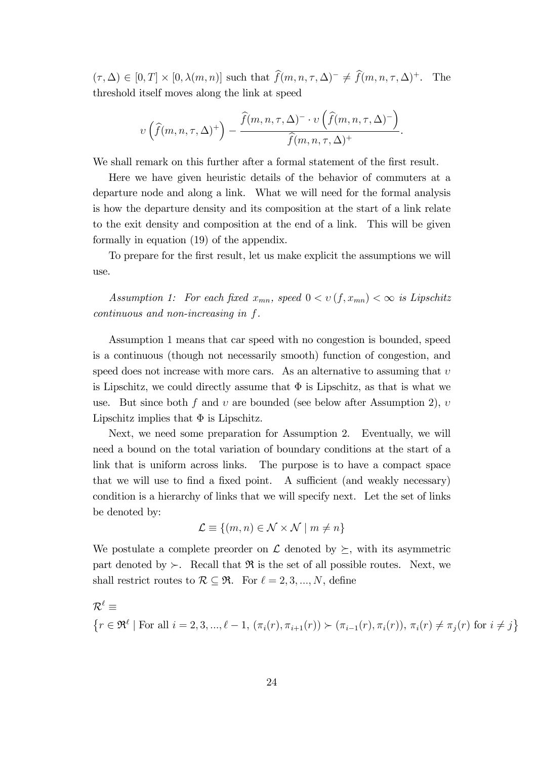$(\tau, \Delta) \in [0, T] \times [0, \lambda(m, n)]$  such that  $\widehat{f}(m, n, \tau, \Delta)^{-} \neq \widehat{f}(m, n, \tau, \Delta)^{+}$ . The threshold itself moves along the link at speed

$$
v\left(\widehat{f}(m,n,\tau,\Delta)^+\right)-\frac{\widehat{f}(m,n,\tau,\Delta)^{-}\cdot v\left(\widehat{f}(m,n,\tau,\Delta)^-\right)}{\widehat{f}(m,n,\tau,\Delta)^+}.
$$

We shall remark on this further after a formal statement of the first result.

Here we have given heuristic details of the behavior of commuters at a departure node and along a link. What we will need for the formal analysis is how the departure density and its composition at the start of a link relate to the exit density and composition at the end of a link. This will be given formally in equation (19) of the appendix.

To prepare for the first result, let us make explicit the assumptions we will use.

Assumption 1: For each fixed  $x_{mn}$ , speed  $0 < v(f, x_{mn}) < \infty$  is Lipschitz continuous and non-increasing in f.

Assumption 1 means that car speed with no congestion is bounded, speed is a continuous (though not necessarily smooth) function of congestion, and speed does not increase with more cars. As an alternative to assuming that  $v$ is Lipschitz, we could directly assume that  $\Phi$  is Lipschitz, as that is what we use. But since both f and v are bounded (see below after Assumption 2), v Lipschitz implies that  $\Phi$  is Lipschitz.

Next, we need some preparation for Assumption 2. Eventually, we will need a bound on the total variation of boundary conditions at the start of a link that is uniform across links. The purpose is to have a compact space that we will use to find a fixed point. A sufficient (and weakly necessary) condition is a hierarchy of links that we will specify next. Let the set of links be denoted by:

$$
\mathcal{L} \equiv \{(m, n) \in \mathcal{N} \times \mathcal{N} \mid m \neq n\}
$$

We postulate a complete preorder on  $\mathcal L$  denoted by  $\succeq$ , with its asymmetric part denoted by  $\succ$ . Recall that  $\Re$  is the set of all possible routes. Next, we shall restrict routes to  $\mathcal{R} \subseteq \mathfrak{R}$ . For  $\ell = 2, 3, ..., N$ , define

$$
\mathcal{R}^{\ell} \equiv
$$
\n
$$
\{r \in \mathfrak{R}^{\ell} \mid \text{For all } i = 2, 3, \ldots, \ell - 1, (\pi_i(r), \pi_{i+1}(r)) \succ (\pi_{i-1}(r), \pi_i(r)), \pi_i(r) \neq \pi_j(r) \text{ for } i \neq j\}
$$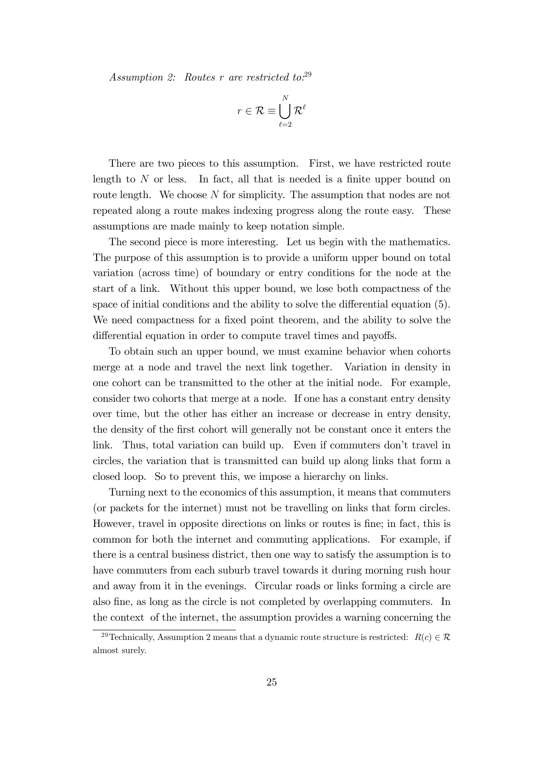Assumption 2: Routes r are restricted to:29

$$
r \in \mathcal{R} \equiv \bigcup_{\ell=2}^N \mathcal{R}^{\ell}
$$

There are two pieces to this assumption. First, we have restricted route length to  $N$  or less. In fact, all that is needed is a finite upper bound on route length. We choose N for simplicity. The assumption that nodes are not repeated along a route makes indexing progress along the route easy. These assumptions are made mainly to keep notation simple.

The second piece is more interesting. Let us begin with the mathematics. The purpose of this assumption is to provide a uniform upper bound on total variation (across time) of boundary or entry conditions for the node at the start of a link. Without this upper bound, we lose both compactness of the space of initial conditions and the ability to solve the differential equation  $(5)$ . We need compactness for a fixed point theorem, and the ability to solve the differential equation in order to compute travel times and payoffs.

To obtain such an upper bound, we must examine behavior when cohorts merge at a node and travel the next link together. Variation in density in one cohort can be transmitted to the other at the initial node. For example, consider two cohorts that merge at a node. If one has a constant entry density over time, but the other has either an increase or decrease in entry density, the density of the Örst cohort will generally not be constant once it enters the link. Thus, total variation can build up. Even if commuters don't travel in circles, the variation that is transmitted can build up along links that form a closed loop. So to prevent this, we impose a hierarchy on links.

Turning next to the economics of this assumption, it means that commuters (or packets for the internet) must not be travelling on links that form circles. However, travel in opposite directions on links or routes is fine; in fact, this is common for both the internet and commuting applications. For example, if there is a central business district, then one way to satisfy the assumption is to have commuters from each suburb travel towards it during morning rush hour and away from it in the evenings. Circular roads or links forming a circle are also Öne, as long as the circle is not completed by overlapping commuters. In the context of the internet, the assumption provides a warning concerning the

<sup>&</sup>lt;sup>29</sup>Technically, Assumption 2 means that a dynamic route structure is restricted:  $R(c) \in \mathcal{R}$ almost surely.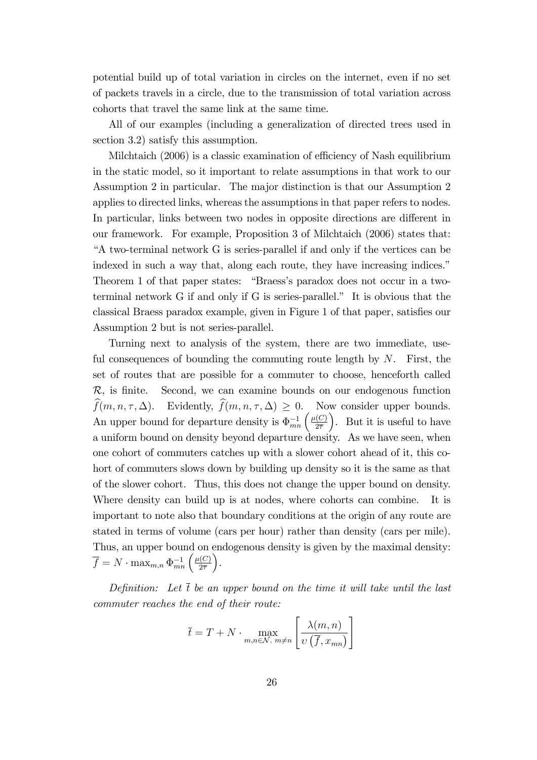potential build up of total variation in circles on the internet, even if no set of packets travels in a circle, due to the transmission of total variation across cohorts that travel the same link at the same time.

All of our examples (including a generalization of directed trees used in section 3.2) satisfy this assumption.

Milchtaich  $(2006)$  is a classic examination of efficiency of Nash equilibrium in the static model, so it important to relate assumptions in that work to our Assumption 2 in particular. The major distinction is that our Assumption 2 applies to directed links, whereas the assumptions in that paper refers to nodes. In particular, links between two nodes in opposite directions are different in our framework. For example, Proposition 3 of Milchtaich (2006) states that: ìA two-terminal network G is series-parallel if and only if the vertices can be indexed in such a way that, along each route, they have increasing indices.<sup>"</sup> Theorem 1 of that paper states: "Braess's paradox does not occur in a twoterminal network G if and only if G is series-parallel." It is obvious that the classical Braess paradox example, given in Figure 1 of that paper, satisfies our Assumption 2 but is not series-parallel.

Turning next to analysis of the system, there are two immediate, useful consequences of bounding the commuting route length by  $N$ . First, the set of routes that are possible for a commuter to choose, henceforth called  $\mathcal{R}$ , is finite. Second, we can examine bounds on our endogenous function  $\widehat{f}(m, n, \tau, \Delta)$ . Evidently,  $\widehat{f}(m, n, \tau, \Delta) \geq 0$ . Now consider upper bounds. An upper bound for departure density is  $\Phi_{mn}^{-1} \left( \frac{\mu(C)}{2\overline{\tau}} \right)$  $2\overline{7}$  . But it is useful to have a uniform bound on density beyond departure density. As we have seen, when one cohort of commuters catches up with a slower cohort ahead of it, this cohort of commuters slows down by building up density so it is the same as that of the slower cohort. Thus, this does not change the upper bound on density. Where density can build up is at nodes, where cohorts can combine. It is important to note also that boundary conditions at the origin of any route are stated in terms of volume (cars per hour) rather than density (cars per mile). Thus, an upper bound on endogenous density is given by the maximal density:  $\overline{f} = N \cdot \max_{m,n} \Phi_{mn}^{-1} \left( \frac{\mu(C)}{2\overline{\tau}} \right)$  $2\overline{7}$ .

Definition: Let  $\bar{t}$  be an upper bound on the time it will take until the last commuter reaches the end of their route:

$$
\overline{t} = T + N \cdot \max_{m,n \in \mathcal{N}, m \neq n} \left[ \frac{\lambda(m,n)}{v\left(\overline{f},x_{mn}\right)} \right]
$$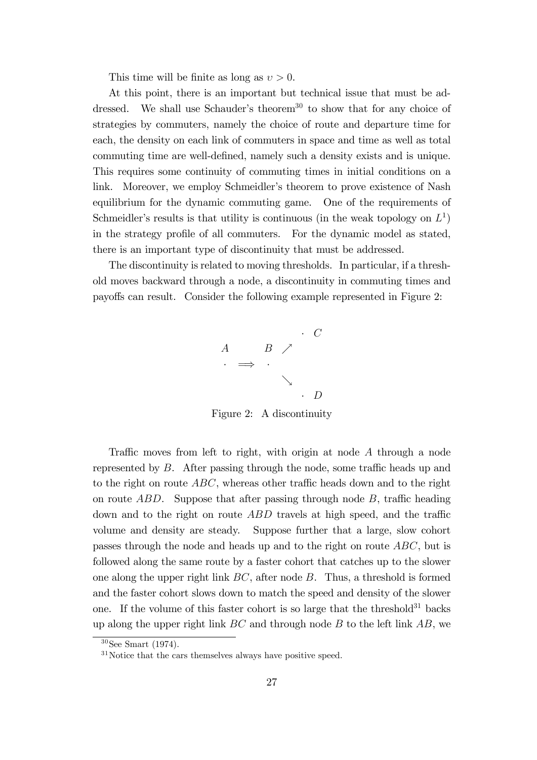This time will be finite as long as  $v > 0$ .

At this point, there is an important but technical issue that must be addressed. We shall use Schauder's theorem<sup>30</sup> to show that for any choice of strategies by commuters, namely the choice of route and departure time for each, the density on each link of commuters in space and time as well as total commuting time are well-defined, namely such a density exists and is unique. This requires some continuity of commuting times in initial conditions on a link. Moreover, we employ Schmeidler's theorem to prove existence of Nash equilibrium for the dynamic commuting game. One of the requirements of Schmeidler's results is that utility is continuous (in the weak topology on  $L^1$ ) in the strategy profile of all commuters. For the dynamic model as stated, there is an important type of discontinuity that must be addressed.

The discontinuity is related to moving thresholds. In particular, if a threshold moves backward through a node, a discontinuity in commuting times and payo§s can result. Consider the following example represented in Figure 2:



Figure 2: A discontinuity

Traffic moves from left to right, with origin at node  $A$  through a node represented by  $B$ . After passing through the node, some traffic heads up and to the right on route  $ABC$ , whereas other traffic heads down and to the right on route  $ABD$ . Suppose that after passing through node  $B$ , traffic heading down and to the right on route  $ABD$  travels at high speed, and the traffic volume and density are steady. Suppose further that a large, slow cohort passes through the node and heads up and to the right on route ABC, but is followed along the same route by a faster cohort that catches up to the slower one along the upper right link  $BC$ , after node  $B$ . Thus, a threshold is formed and the faster cohort slows down to match the speed and density of the slower one. If the volume of this faster cohort is so large that the threshold<sup>31</sup> backs up along the upper right link  $BC$  and through node  $B$  to the left link  $AB$ , we

<sup>30</sup>See Smart (1974).

<sup>&</sup>lt;sup>31</sup>Notice that the cars themselves always have positive speed.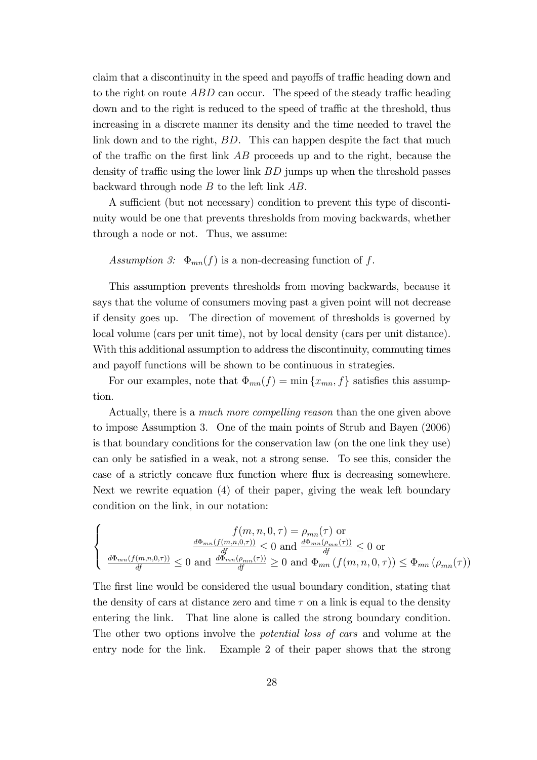claim that a discontinuity in the speed and payoffs of traffic heading down and to the right on route  $ABD$  can occur. The speed of the steady traffic heading down and to the right is reduced to the speed of traffic at the threshold, thus increasing in a discrete manner its density and the time needed to travel the link down and to the right, BD. This can happen despite the fact that much of the traffic on the first link  $AB$  proceeds up and to the right, because the density of traffic using the lower link  $BD$  jumps up when the threshold passes backward through node B to the left link AB.

A sufficient (but not necessary) condition to prevent this type of discontinuity would be one that prevents thresholds from moving backwards, whether through a node or not. Thus, we assume:

Assumption 3:  $\Phi_{mn}(f)$  is a non-decreasing function of f.

This assumption prevents thresholds from moving backwards, because it says that the volume of consumers moving past a given point will not decrease if density goes up. The direction of movement of thresholds is governed by local volume (cars per unit time), not by local density (cars per unit distance). With this additional assumption to address the discontinuity, commuting times and payoff functions will be shown to be continuous in strategies.

For our examples, note that  $\Phi_{mn}(f) = \min\{x_{mn}, f\}$  satisfies this assumption.

Actually, there is a much more compelling reason than the one given above to impose Assumption 3. One of the main points of Strub and Bayen (2006) is that boundary conditions for the conservation law (on the one link they use) can only be satisfied in a weak, not a strong sense. To see this, consider the case of a strictly concave flux function where flux is decreasing somewhere. Next we rewrite equation (4) of their paper, giving the weak left boundary condition on the link, in our notation:

$$
\begin{cases}\nf(m, n, 0, \tau) = \rho_{mn}(\tau) \text{ or} \\
\frac{d\Phi_{mn}(f(m, n, 0, \tau))}{df} \le 0 \text{ and } \frac{d\Phi_{mn}(\rho_{mn}(\tau))}{df} \le 0 \text{ or} \\
\frac{d\Phi_{mn}(f(m, n, 0, \tau))}{df} \le 0 \text{ and } \frac{d\Phi_{mn}(\rho_{mn}(\tau))}{df} \ge 0 \text{ and } \Phi_{mn}(f(m, n, 0, \tau)) \le \Phi_{mn}(\rho_{mn}(\tau))\n\end{cases}
$$

The first line would be considered the usual boundary condition, stating that the density of cars at distance zero and time  $\tau$  on a link is equal to the density entering the link. That line alone is called the strong boundary condition. The other two options involve the potential loss of cars and volume at the entry node for the link. Example 2 of their paper shows that the strong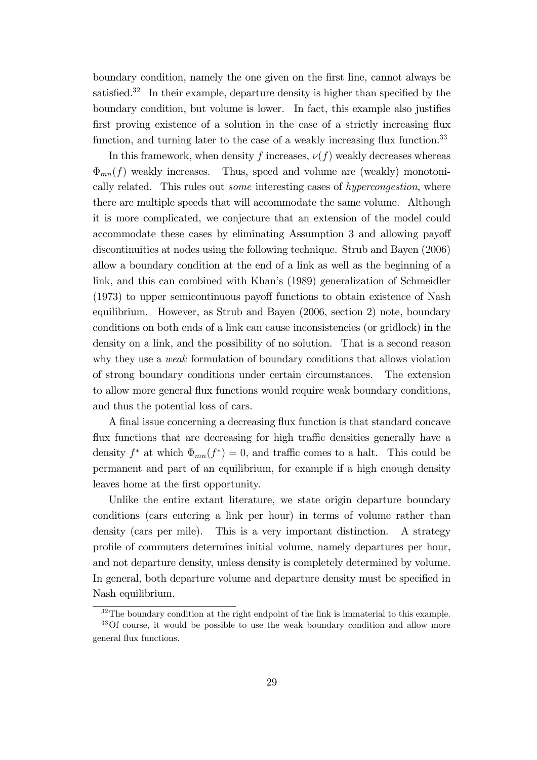boundary condition, namely the one given on the Örst line, cannot always be satisfied.<sup>32</sup> In their example, departure density is higher than specified by the boundary condition, but volume is lower. In fact, this example also justifies first proving existence of a solution in the case of a strictly increasing flux function, and turning later to the case of a weakly increasing flux function.<sup>33</sup>

In this framework, when density f increases,  $\nu(f)$  weakly decreases whereas  $\Phi_{mn}(f)$  weakly increases. Thus, speed and volume are (weakly) monotonically related. This rules out *some* interesting cases of *hypercongestion*, where there are multiple speeds that will accommodate the same volume. Although it is more complicated, we conjecture that an extension of the model could accommodate these cases by eliminating Assumption 3 and allowing payoff discontinuities at nodes using the following technique. Strub and Bayen (2006) allow a boundary condition at the end of a link as well as the beginning of a link, and this can combined with Khan's (1989) generalization of Schmeidler (1973) to upper semicontinuous payoff functions to obtain existence of Nash equilibrium. However, as Strub and Bayen (2006, section 2) note, boundary conditions on both ends of a link can cause inconsistencies (or gridlock) in the density on a link, and the possibility of no solution. That is a second reason why they use a *weak* formulation of boundary conditions that allows violation of strong boundary conditions under certain circumstances. The extension to allow more general flux functions would require weak boundary conditions, and thus the potential loss of cars.

A final issue concerning a decreasing flux function is that standard concave flux functions that are decreasing for high traffic densities generally have a density  $f^*$  at which  $\Phi_{mn}(f^*) = 0$ , and traffic comes to a halt. This could be permanent and part of an equilibrium, for example if a high enough density leaves home at the first opportunity.

Unlike the entire extant literature, we state origin departure boundary conditions (cars entering a link per hour) in terms of volume rather than density (cars per mile). This is a very important distinction. A strategy profile of commuters determines initial volume, namely departures per hour, and not departure density, unless density is completely determined by volume. In general, both departure volume and departure density must be specified in Nash equilibrium.

<sup>&</sup>lt;sup>32</sup>The boundary condition at the right endpoint of the link is immaterial to this example. <sup>33</sup>Of course, it would be possible to use the weak boundary condition and allow more

general áux functions.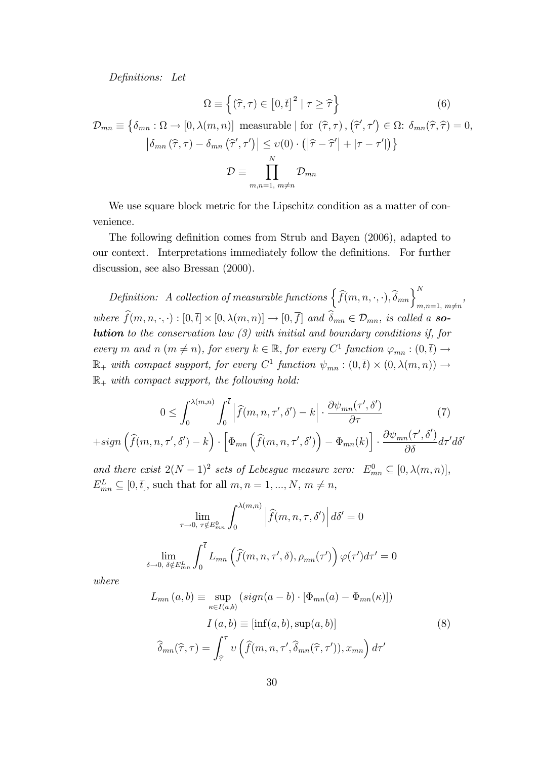Definitions: Let

$$
\Omega \equiv \left\{ (\widehat{\tau}, \tau) \in \left[0, \overline{t}\right]^2 \mid \tau \ge \widehat{\tau} \right\} \tag{6}
$$

$$
\mathcal{D}_{mn} \equiv \left\{ \delta_{mn} : \Omega \to [0, \lambda(m, n)] \text{ measurable } \mid \text{for } (\hat{\tau}, \tau), (\hat{\tau}', \tau') \in \Omega : \delta_{mn}(\hat{\tau}, \hat{\tau}) = 0, \right\}
$$

$$
\left| \delta_{mn}(\hat{\tau}, \tau) - \delta_{mn}(\hat{\tau}', \tau') \right| \leq \upsilon(0) \cdot \left( |\hat{\tau} - \hat{\tau}'| + |\tau - \tau'| \right) \right\}
$$

$$
\mathcal{D} \equiv \prod_{m,n=1, m \neq n}^N \mathcal{D}_{mn}
$$

We use square block metric for the Lipschitz condition as a matter of convenience.

The following definition comes from Strub and Bayen (2006), adapted to our context. Interpretations immediately follow the definitions. For further discussion, see also Bressan (2000).

Definition: A collection of measurable functions  $\left\{\widehat{f}(m,n,\cdot,\cdot),\widehat{\delta}_{mn}\right\}_{m,n=1, m\neq n}^{N}$ , where  $f(m, n, \cdot, \cdot) : [0, \bar{t}] \times [0, \lambda(m, n)] \rightarrow [0, f]$  and  $\delta_{mn} \in \mathcal{D}_{mn}$ , is called a **solution** to the conservation law  $(3)$  with initial and boundary conditions if, for every m and n  $(m \neq n)$ , for every  $k \in \mathbb{R}$ , for every  $C^1$  function  $\varphi_{mn} : (0, \bar{t}) \to$  $\mathbb{R}_+$  with compact support, for every  $C^1$  function  $\psi_{mn} : (0, \bar{t}) \times (0, \lambda(m,n)) \rightarrow$  $\mathbb{R}_+$  with compact support, the following hold:

$$
0 \leq \int_0^{\lambda(m,n)} \int_0^{\overline{t}} \left| \widehat{f}(m,n,\tau',\delta') - k \right| \cdot \frac{\partial \psi_{mn}(\tau',\delta')}{\partial \tau}
$$
(7)

 $+sign\left(\widehat{f}(m, n, \tau', \delta') - k\right)$  $\ddot{\phantom{a}}$  $\left[\Phi_{mn}\left(\widehat{f}(m,n,\tau^{\prime},\delta^{\prime})\right)-\Phi_{mn}(k)\right]$  $\ddot{\phantom{a}}$  $\partial \psi_{mn}(\tau^{\prime},\delta^{\prime})$  $\frac{d\sigma}{d\delta} d\tau' d\delta'$ 

and there exist  $2(N-1)^2$  sets of Lebesgue measure zero:  $E_{mn}^0 \subseteq [0, \lambda(m,n)],$  $E_{mn}^L \subseteq [0, \bar{t}],$  such that for all  $m, n = 1, ..., N, m \neq n$ ,

$$
\lim_{\tau \to 0, \ \tau \notin E_{mn}^0} \int_0^{\lambda(m,n)} \left| \hat{f}(m,n,\tau,\delta') \right| d\delta' = 0
$$
  

$$
\lim_{\delta \to 0, \ \delta \notin E_{mn}^L} \int_0^{\bar{t}} L_{mn} \left( \hat{f}(m,n,\tau',\delta), \rho_{mn}(\tau') \right) \varphi(\tau') d\tau' = 0
$$

where

$$
L_{mn}(a,b) \equiv \sup_{\kappa \in I(a,b)} (sign(a-b) \cdot [\Phi_{mn}(a) - \Phi_{mn}(\kappa)])
$$

$$
I(a,b) \equiv [inf(a,b), sup(a,b)]
$$

$$
\hat{\delta}_{mn}(\hat{\tau},\tau) = \int_{\hat{\tau}}^{\tau} \nu \left(\hat{f}(m,n,\tau',\hat{\delta}_{mn}(\hat{\tau},\tau')), x_{mn}\right)d\tau'
$$
(8)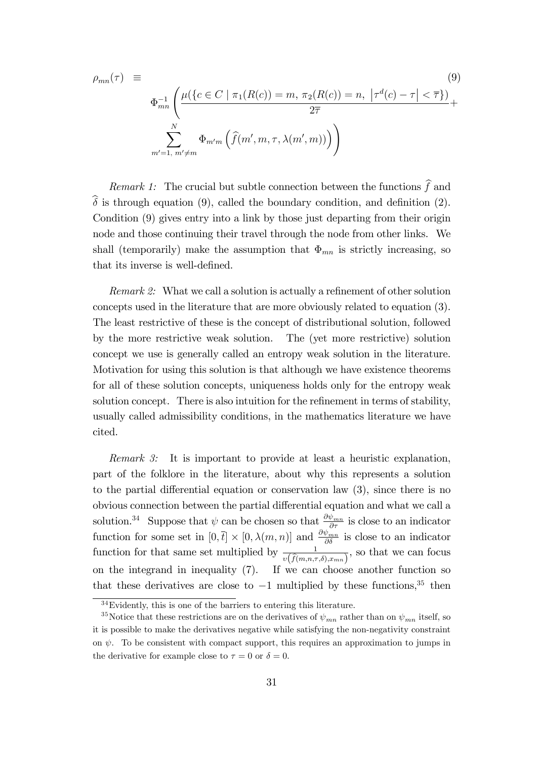$$
\rho_{mn}(\tau) \equiv \tag{9}
$$
\n
$$
\Phi_{mn}^{-1} \left( \frac{\mu(\{c \in C \mid \pi_1(R(c)) = m, \pi_2(R(c)) = n, |\tau^d(c) - \tau| < \overline{\tau}\})}{2\overline{\tau}} + \frac{\sum_{m'=1, m'\neq m}^{N} \Phi_{m'm} \left( \hat{f}(m', m, \tau, \lambda(m', m)) \right)}{\sum_{m'=1, m'\neq m}^{N} \Phi_{m'm} \left( \hat{f}(m', m, \tau, \lambda(m', m)) \right)} \right)
$$

Remark 1: The crucial but subtle connection between the functions  $\hat{f}$  and  $\widehat{\delta}$  is through equation (9), called the boundary condition, and definition (2). Condition (9) gives entry into a link by those just departing from their origin node and those continuing their travel through the node from other links. We shall (temporarily) make the assumption that  $\Phi_{mn}$  is strictly increasing, so that its inverse is well-defined.

Remark 2: What we call a solution is actually a refinement of other solution concepts used in the literature that are more obviously related to equation (3). The least restrictive of these is the concept of distributional solution, followed by the more restrictive weak solution. The (yet more restrictive) solution concept we use is generally called an entropy weak solution in the literature. Motivation for using this solution is that although we have existence theorems for all of these solution concepts, uniqueness holds only for the entropy weak solution concept. There is also intuition for the refinement in terms of stability, usually called admissibility conditions, in the mathematics literature we have cited.

Remark 3: It is important to provide at least a heuristic explanation, part of the folklore in the literature, about why this represents a solution to the partial differential equation or conservation law  $(3)$ , since there is no obvious connection between the partial differential equation and what we call a solution.<sup>34</sup> Suppose that  $\psi$  can be chosen so that  $\frac{\partial \psi_{mn}}{\partial \tau}$  is close to an indicator function for some set in  $[0, \bar{t}] \times [0, \lambda(m, n)]$  and  $\frac{\partial \psi_{mn}}{\partial \delta}$  is close to an indicator function for that same set multiplied by  $\frac{1}{v(\widehat{f}(m,n,\tau,\delta),x_{mn})}$ , so that we can focus on the integrand in inequality (7). If we can choose another function so that these derivatives are close to  $-1$  multiplied by these functions,<sup>35</sup> then

 $34$ Evidently, this is one of the barriers to entering this literature.

<sup>&</sup>lt;sup>35</sup>Notice that these restrictions are on the derivatives of  $\psi_{mn}$  rather than on  $\psi_{mn}$  itself, so it is possible to make the derivatives negative while satisfying the non-negativity constraint on  $\psi$ . To be consistent with compact support, this requires an approximation to jumps in the derivative for example close to  $\tau = 0$  or  $\delta = 0$ .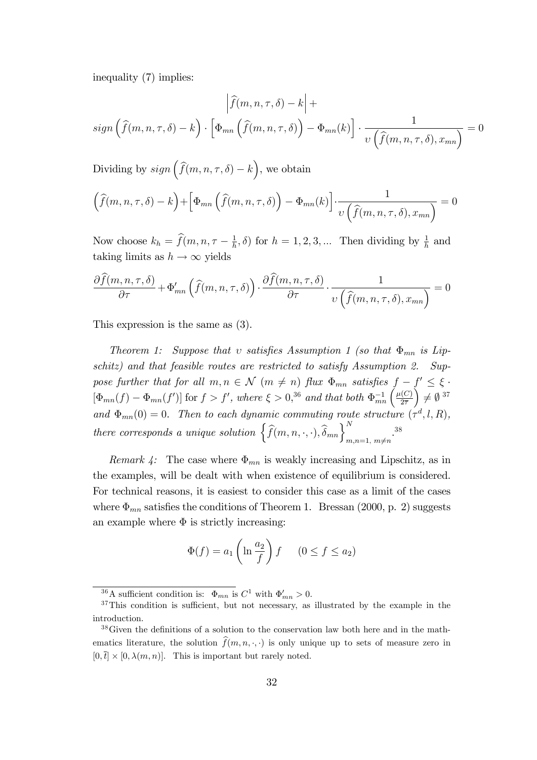inequality (7) implies:

$$
\left| \widehat{f}(m, n, \tau, \delta) - k \right| +
$$
  

$$
sign\left( \widehat{f}(m, n, \tau, \delta) - k \right) \cdot \left[ \Phi_{mn} \left( \widehat{f}(m, n, \tau, \delta) \right) - \Phi_{mn}(k) \right] \cdot \frac{1}{v \left( \widehat{f}(m, n, \tau, \delta), x_{mn} \right)} = 0
$$

Dividing by  $sign\left(\widehat{f}(m,n,\tau,\delta)-k\right)$ , we obtain

$$
\left(\widehat{f}(m,n,\tau,\delta) - k\right) + \left[\Phi_{mn}\left(\widehat{f}(m,n,\tau,\delta)\right) - \Phi_{mn}(k)\right] \cdot \frac{1}{\upsilon\left(\widehat{f}(m,n,\tau,\delta),x_{mn}\right)} = 0
$$

Now choose  $k_h = \hat{f}(m, n, \tau - \frac{1}{h})$  $(\frac{1}{h}, \delta)$  for  $h = 1, 2, 3, ...$  Then dividing by  $\frac{1}{h}$  and taking limits as  $h \to \infty$  yields

$$
\frac{\partial \widehat{f}(m, n, \tau, \delta)}{\partial \tau} + \Phi'_{mn} \left( \widehat{f}(m, n, \tau, \delta) \right) \cdot \frac{\partial \widehat{f}(m, n, \tau, \delta)}{\partial \tau} \cdot \frac{1}{v \left( \widehat{f}(m, n, \tau, \delta), x_{mn} \right)} = 0
$$

This expression is the same as (3).

Theorem 1: Suppose that v satisfies Assumption 1 (so that  $\Phi_{mn}$  is Lipschitz) and that feasible routes are restricted to satisfy Assumption 2. Suppose further that for all  $m, n \in \mathcal{N}$   $(m \neq n)$  flux  $\Phi_{mn}$  satisfies  $f - f' \leq \xi$ .  $[\Phi_{mn}(f) - \Phi_{mn}(f')]$  for  $f > f'$ , where  $\xi > 0,^{36}$  and that both  $\Phi_{mn}^{-1}(\frac{\mu(C)}{2\overline{\tau}})$  $2\overline{7}$  $\bigg) \neq \emptyset$ <sup>37</sup> and  $\Phi_{mn}(0) = 0$ . Then to each dynamic commuting route structure  $(\tau^d, l, R)$ , there corresponds a unique solution  $\left\{\widehat{f}(m,n,\cdot,\cdot),\widehat{\delta}_{mn}\right\}_{m,n=1, m\neq n}^{N}$ . 38

Remark 4: The case where  $\Phi_{mn}$  is weakly increasing and Lipschitz, as in the examples, will be dealt with when existence of equilibrium is considered. For technical reasons, it is easiest to consider this case as a limit of the cases where  $\Phi_{mn}$  satisfies the conditions of Theorem 1. Bressan (2000, p. 2) suggests an example where  $\Phi$  is strictly increasing:

$$
\Phi(f) = a_1 \left( \ln \frac{a_2}{f} \right) f \qquad (0 \le f \le a_2)
$$

<sup>&</sup>lt;sup>36</sup>A sufficient condition is:  $\Phi_{mn}$  is  $C^1$  with  $\Phi'_{mn} > 0$ .

 $37$ This condition is sufficient, but not necessary, as illustrated by the example in the introduction.

 $38\,\text{Given the definitions of a solution to the conservation law both here and in the math$ ematics literature, the solution  $\hat{f}(m, n, \cdot, \cdot)$  is only unique up to sets of measure zero in  $[0, \bar{t}] \times [0, \lambda(m, n)]$ . This is important but rarely noted.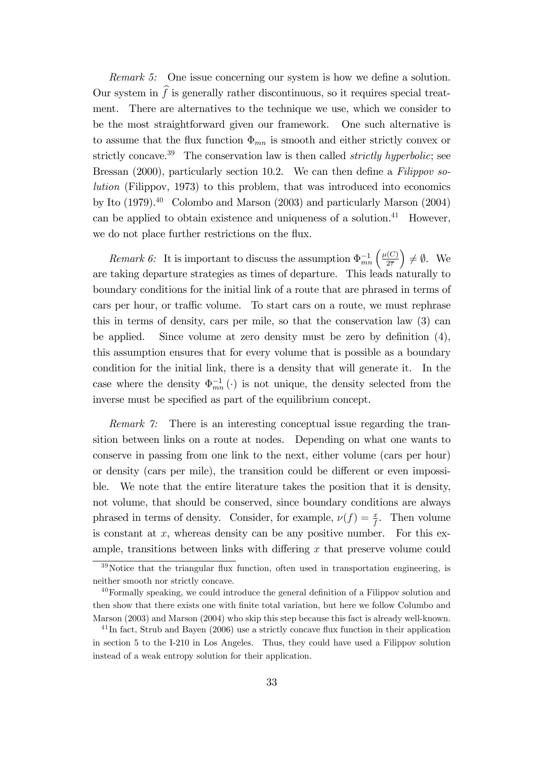Remark 5: One issue concerning our system is how we define a solution. Our system in  $\hat{f}$  is generally rather discontinuous, so it requires special treatment. There are alternatives to the technique we use, which we consider to be the most straightforward given our framework. One such alternative is to assume that the flux function  $\Phi_{mn}$  is smooth and either strictly convex or strictly concave.<sup>39</sup> The conservation law is then called *strictly hyperbolic*; see Bressan (2000), particularly section 10.2. We can then define a Filippov solution (Filippov, 1973) to this problem, that was introduced into economics by Ito  $(1979).<sup>40</sup>$  Colombo and Marson  $(2003)$  and particularly Marson  $(2004)$ can be applied to obtain existence and uniqueness of a solution. $41$  However, we do not place further restrictions on the flux.

Remark 6: It is important to discuss the assumption  $\Phi_{mn}^{-1}\left(\frac{\mu(C)}{2\overline{\tau}}\right)$  $2\overline{7}$  $\Big) \neq \emptyset$ . We are taking departure strategies as times of departure. This leads naturally to boundary conditions for the initial link of a route that are phrased in terms of cars per hour, or traffic volume. To start cars on a route, we must rephrase this in terms of density, cars per mile, so that the conservation law (3) can be applied. Since volume at zero density must be zero by definition  $(4)$ , this assumption ensures that for every volume that is possible as a boundary condition for the initial link, there is a density that will generate it. In the case where the density  $\Phi_{mn}^{-1}(\cdot)$  is not unique, the density selected from the inverse must be specified as part of the equilibrium concept.

Remark 7: There is an interesting conceptual issue regarding the transition between links on a route at nodes. Depending on what one wants to conserve in passing from one link to the next, either volume (cars per hour) or density (cars per mile), the transition could be different or even impossible. We note that the entire literature takes the position that it is density, not volume, that should be conserved, since boundary conditions are always phrased in terms of density. Consider, for example,  $\nu(f) = \frac{x}{f}$ . Then volume is constant at  $x$ , whereas density can be any positive number. For this example, transitions between links with differing  $x$  that preserve volume could

 $39$ Notice that the triangular flux function, often used in transportation engineering, is neither smooth nor strictly concave.

 $40$  Formally speaking, we could introduce the general definition of a Filippov solution and then show that there exists one with finite total variation, but here we follow Columbo and Marson (2003) and Marson (2004) who skip this step because this fact is already well-known.

 $^{41}$ In fact, Strub and Bayen (2006) use a strictly concave flux function in their application in section 5 to the I-210 in Los Angeles. Thus, they could have used a Filippov solution instead of a weak entropy solution for their application.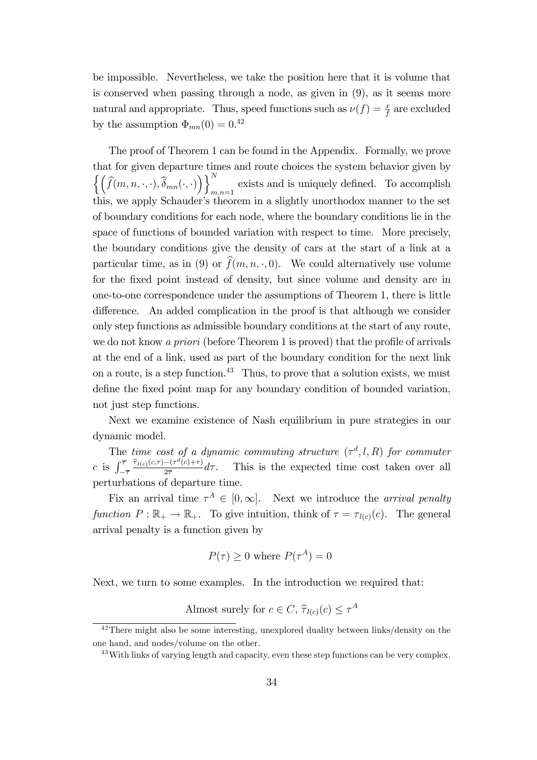be impossible. Nevertheless, we take the position here that it is volume that is conserved when passing through a node, as given in (9), as it seems more natural and appropriate. Thus, speed functions such as  $\nu(f) = \frac{x}{f}$  are excluded by the assumption  $\Phi_{mn}(0) = 0^{42}$ 

The proof of Theorem 1 can be found in the Appendix. Formally, we prove that for given departure times and route choices the system behavior given by  $\left\{ \left( \widehat{f}(m,n,\cdot,\cdot),\widehat{\delta}_{mn}(\cdot,\cdot) \right) \right\}_{m=1}^{N}$ exists and is uniquely defined. To accomplish  $m,n=1$ this, we apply Schauder's theorem in a slightly unorthodox manner to the set of boundary conditions for each node, where the boundary conditions lie in the space of functions of bounded variation with respect to time. More precisely, the boundary conditions give the density of cars at the start of a link at a particular time, as in (9) or  $\widehat{f}(m, n, \cdot, 0)$ . We could alternatively use volume for the fixed point instead of density, but since volume and density are in one-to-one correspondence under the assumptions of Theorem 1, there is little difference. An added complication in the proof is that although we consider only step functions as admissible boundary conditions at the start of any route, we do not know a priori (before Theorem 1 is proved) that the profile of arrivals at the end of a link, used as part of the boundary condition for the next link on a route, is a step function.<sup>43</sup> Thus, to prove that a solution exists, we must define the fixed point map for any boundary condition of bounded variation, not just step functions.

Next we examine existence of Nash equilibrium in pure strategies in our dynamic model.

The time cost of a dynamic commuting structure  $(\tau^d, l, R)$  for commuter c is  $\int_{-\overline{\tau}}^{\overline{\tau}}$  $\frac{\widehat{\tau}_{l(c)}(c,\tau)-\left(\tau^{d}(c)+\tau\right)}{c}$  $2\overline{\tau}$ This is the expected time cost taken over all perturbations of departure time.

Fix an arrival time  $\tau^A \in [0,\infty]$ . Next we introduce the *arrival penalty* function  $P : \mathbb{R}_+ \to \mathbb{R}_+$ . To give intuition, think of  $\tau = \tau_{l(c)}(c)$ . The general arrival penalty is a function given by

$$
P(\tau) \ge 0
$$
 where  $P(\tau^A) = 0$ 

Next, we turn to some examples. In the introduction we required that:

Almost surely for  $c \in C$ ,  $\hat{\tau}_{l(c)}(c) \leq \tau^A$ 

 $42$ There might also be some interesting, unexplored duality between links/density on the one hand, and nodes/volume on the other.

<sup>&</sup>lt;sup>43</sup>With links of varying length and capacity, even these step functions can be very complex.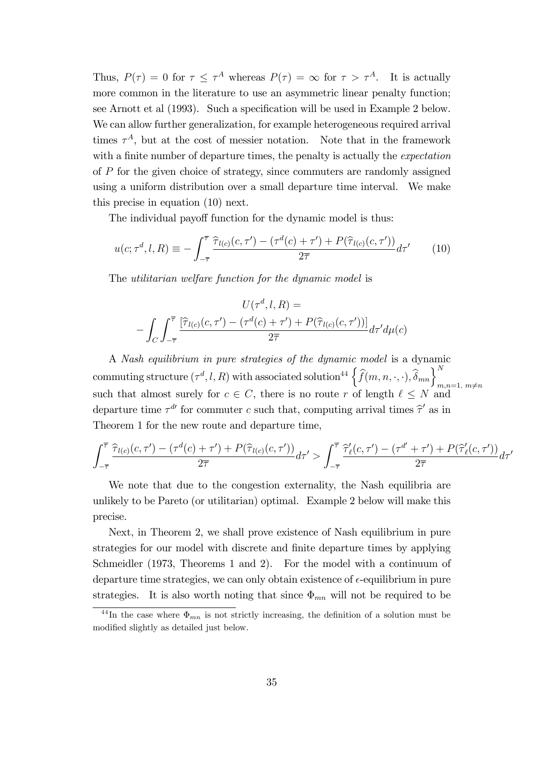Thus,  $P(\tau) = 0$  for  $\tau \leq \tau^A$  whereas  $P(\tau) = \infty$  for  $\tau > \tau^A$ . It is actually more common in the literature to use an asymmetric linear penalty function; see Arnott et al (1993). Such a specification will be used in Example 2 below. We can allow further generalization, for example heterogeneous required arrival times  $\tau^A$ , but at the cost of messier notation. Note that in the framework with a finite number of departure times, the penalty is actually the *expectation* of P for the given choice of strategy, since commuters are randomly assigned using a uniform distribution over a small departure time interval. We make this precise in equation (10) next.

The individual payoff function for the dynamic model is thus:

$$
u(c; \tau^d, l, R) \equiv -\int_{-\overline{\tau}}^{\overline{\tau}} \frac{\hat{\tau}_{l(c)}(c, \tau') - (\tau^d(c) + \tau') + P(\hat{\tau}_{l(c)}(c, \tau'))}{2\overline{\tau}} d\tau' \qquad (10)
$$

The utilitarian welfare function for the dynamic model is

$$
U(\tau^d, l, R) =
$$

$$
-\int_C \int_{-\overline{\tau}}^{\overline{\tau}} \frac{[\widehat{\tau}_{l(c)}(c, \tau') - (\tau^d(c) + \tau') + P(\widehat{\tau}_{l(c)}(c, \tau'))]}{2\overline{\tau}} d\tau' d\mu(c)
$$

A Nash equilibrium in pure strategies of the dynamic model is a dynamic commuting structure  $(\tau^d, l, R)$  with associated solution<sup>44</sup>  $\left\{\widehat{f}(m, n, \cdot, \cdot), \widehat{\delta}_{mn}\right\}_{m,n=1, m \neq n}^{N}$ such that almost surely for  $c \in C$ , there is no route r of length  $\ell \leq N$  and departure time  $\tau^{d\prime}$  for commuter c such that, computing arrival times  $\hat{\tau}'$  as in Theorem 1 for the new route and departure time,

$$
\int_{-\overline{\tau}}^{\overline{\tau}} \frac{\widehat{\tau}_{l(c)}(c,\tau') - (\tau^d(c) + \tau') + P(\widehat{\tau}_{l(c)}(c,\tau'))}{2\overline{\tau}} d\tau' > \int_{-\overline{\tau}}^{\overline{\tau}} \frac{\widehat{\tau}'_{\ell}(c,\tau') - (\tau^{d'} + \tau') + P(\widehat{\tau}'_{\ell}(c,\tau'))}{2\overline{\tau}} d\tau'
$$

We note that due to the congestion externality, the Nash equilibria are unlikely to be Pareto (or utilitarian) optimal. Example 2 below will make this precise.

Next, in Theorem 2, we shall prove existence of Nash equilibrium in pure strategies for our model with discrete and finite departure times by applying Schmeidler (1973, Theorems 1 and 2). For the model with a continuum of departure time strategies, we can only obtain existence of  $\epsilon$ -equilibrium in pure strategies. It is also worth noting that since  $\Phi_{mn}$  will not be required to be

<sup>&</sup>lt;sup>44</sup>In the case where  $\Phi_{mn}$  is not strictly increasing, the definition of a solution must be modified slightly as detailed just below.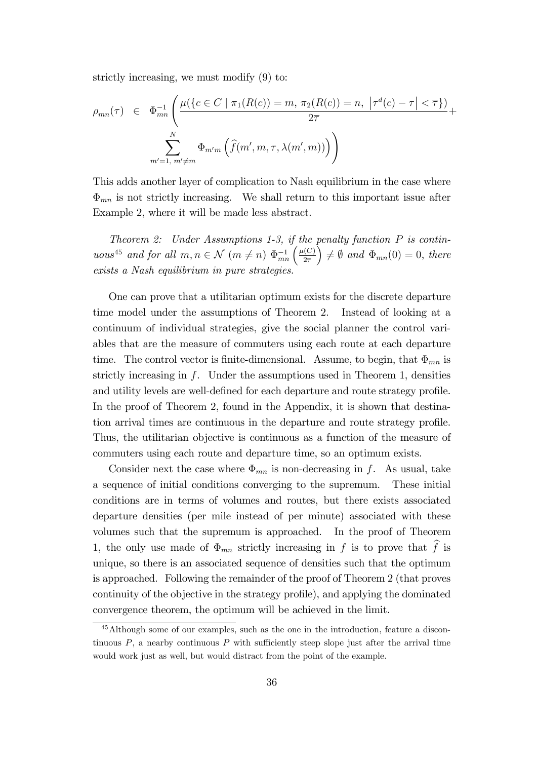strictly increasing, we must modify (9) to:

$$
\rho_{mn}(\tau) \in \Phi_{mn}^{-1} \left( \frac{\mu(\{c \in C \mid \pi_1(R(c)) = m, \pi_2(R(c)) = n, |\tau^d(c) - \tau| < \overline{\tau}\})}{2\overline{\tau}} + \frac{\sum_{m'=1, m' \neq m}^{N} \Phi_{m'm} \left( \widehat{f}(m', m, \tau, \lambda(m', m)) \right)}{\phi_{m', m} \left( \widehat{f}(m', m, \tau, \lambda(m', m)) \right)} \right)
$$

This adds another layer of complication to Nash equilibrium in the case where  $\Phi_{mn}$  is not strictly increasing. We shall return to this important issue after Example 2, where it will be made less abstract.

Theorem 2: Under Assumptions 1-3, if the penalty function  $P$  is continuous<sup>45</sup> and for all  $m, n \in \mathcal{N}$   $(m \neq n)$   $\Phi_{mn}^{-1}$   $\left(\frac{\mu(C)}{2\overline{\tau}}\right)$  $2\overline{7}$  $\hat{\phi}$  =  $\hat{\phi}$  and  $\Phi_{mn}(0) = 0$ , there exists a Nash equilibrium in pure strategies.

One can prove that a utilitarian optimum exists for the discrete departure time model under the assumptions of Theorem 2. Instead of looking at a continuum of individual strategies, give the social planner the control variables that are the measure of commuters using each route at each departure time. The control vector is finite-dimensional. Assume, to begin, that  $\Phi_{mn}$  is strictly increasing in  $f$ . Under the assumptions used in Theorem 1, densities and utility levels are well-defined for each departure and route strategy profile. In the proof of Theorem 2, found in the Appendix, it is shown that destination arrival times are continuous in the departure and route strategy profile. Thus, the utilitarian objective is continuous as a function of the measure of commuters using each route and departure time, so an optimum exists.

Consider next the case where  $\Phi_{mn}$  is non-decreasing in f. As usual, take a sequence of initial conditions converging to the supremum. These initial conditions are in terms of volumes and routes, but there exists associated departure densities (per mile instead of per minute) associated with these volumes such that the supremum is approached. In the proof of Theorem 1, the only use made of  $\Phi_{mn}$  strictly increasing in f is to prove that  $\widehat{f}$  is unique, so there is an associated sequence of densities such that the optimum is approached. Following the remainder of the proof of Theorem 2 (that proves continuity of the objective in the strategy profile), and applying the dominated convergence theorem, the optimum will be achieved in the limit.

<sup>45</sup>Although some of our examples, such as the one in the introduction, feature a discontinuous  $P$ , a nearby continuous  $P$  with sufficiently steep slope just after the arrival time would work just as well, but would distract from the point of the example.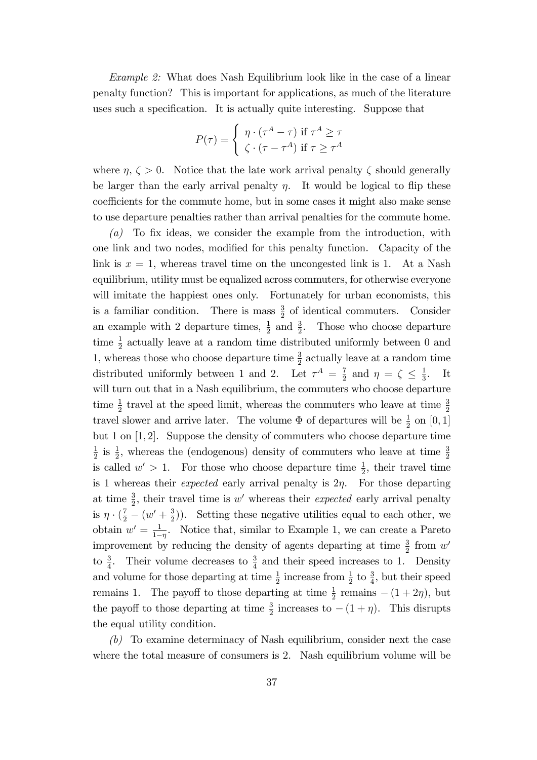Example 2: What does Nash Equilibrium look like in the case of a linear penalty function? This is important for applications, as much of the literature uses such a specification. It is actually quite interesting. Suppose that

$$
P(\tau) = \begin{cases} \eta \cdot (\tau^A - \tau) & \text{if } \tau^A \ge \tau \\ \zeta \cdot (\tau - \tau^A) & \text{if } \tau \ge \tau^A \end{cases}
$$

where  $\eta, \zeta > 0$ . Notice that the late work arrival penalty  $\zeta$  should generally be larger than the early arrival penalty  $\eta$ . It would be logical to flip these coefficients for the commute home, but in some cases it might also make sense to use departure penalties rather than arrival penalties for the commute home.

(a) To fix ideas, we consider the example from the introduction, with one link and two nodes, modified for this penalty function. Capacity of the link is  $x = 1$ , whereas travel time on the uncongested link is 1. At a Nash equilibrium, utility must be equalized across commuters, for otherwise everyone will imitate the happiest ones only. Fortunately for urban economists, this is a familiar condition. There is mass  $\frac{3}{2}$  of identical commuters. Consider an example with 2 departure times,  $\frac{1}{2}$  and  $\frac{3}{2}$ . Those who choose departure time  $\frac{1}{2}$  actually leave at a random time distributed uniformly between 0 and 1, whereas those who choose departure time  $\frac{3}{2}$  actually leave at a random time distributed uniformly between 1 and 2. Let  $\tau^A = \frac{7}{2}$  $\frac{7}{2}$  and  $\eta = \zeta \leq \frac{1}{3}$  $\frac{1}{3}$ . It will turn out that in a Nash equilibrium, the commuters who choose departure time  $\frac{1}{2}$  travel at the speed limit, whereas the commuters who leave at time  $\frac{3}{2}$ travel slower and arrive later. The volume  $\Phi$  of departures will be  $\frac{1}{2}$  on  $[0, 1]$ but 1 on [1; 2]. Suppose the density of commuters who choose departure time 1  $\frac{1}{2}$  is  $\frac{1}{2}$ , whereas the (endogenous) density of commuters who leave at time  $\frac{3}{2}$ is called  $w' > 1$ . For those who choose departure time  $\frac{1}{2}$ , their travel time is 1 whereas their *expected* early arrival penalty is  $2\eta$ . For those departing at time  $\frac{3}{2}$ , their travel time is w' whereas their *expected* early arrival penalty is  $\eta \cdot (\frac{7}{2} - (w' + \frac{3}{2}))$  $(\frac{3}{2})$ ). Setting these negative utilities equal to each other, we obtain  $w' = \frac{1}{1}$  $\frac{1}{1-\eta}$ . Notice that, similar to Example 1, we can create a Pareto improvement by reducing the density of agents departing at time  $\frac{3}{2}$  from w' to  $\frac{3}{4}$ . Their volume decreases to  $\frac{3}{4}$  and their speed increases to 1. Density and volume for those departing at time  $\frac{1}{2}$  increase from  $\frac{1}{2}$  to  $\frac{3}{4}$ , but their speed remains 1. The payoff to those departing at time  $\frac{1}{2}$  remains  $-(1+2\eta)$ , but the payoff to those departing at time  $\frac{3}{2}$  increases to  $-(1 + \eta)$ . This disrupts the equal utility condition.

(b) To examine determinacy of Nash equilibrium, consider next the case where the total measure of consumers is 2. Nash equilibrium volume will be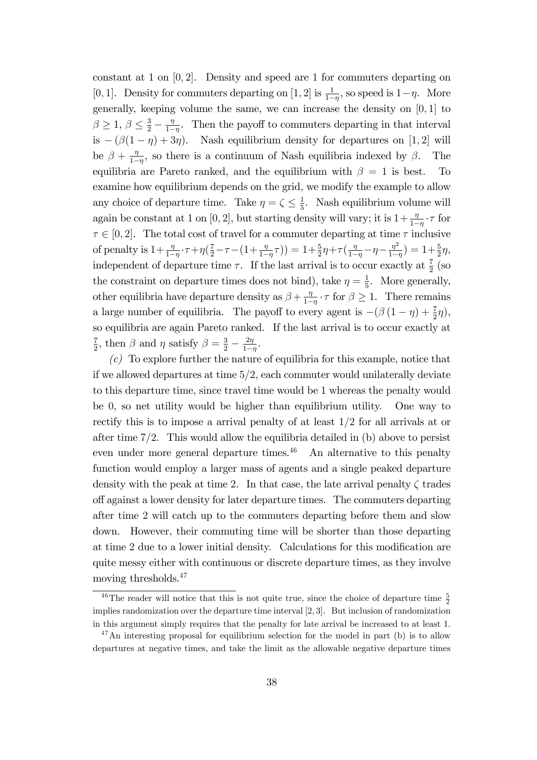constant at 1 on  $[0, 2]$ . Density and speed are 1 for commuters departing on [0, 1]. Density for commuters departing on [1, 2] is  $\frac{1}{1-\eta}$ , so speed is  $1-\eta$ . More generally, keeping volume the same, we can increase the density on  $[0, 1]$  to  $\beta \ge 1, \, \beta \le \frac{3}{2} - \frac{\eta}{1-\eta}$  $\frac{\eta}{1-\eta}$ . Then the payoff to commuters departing in that interval is  $-(\beta(1 - \eta) + 3\eta)$ . Nash equilibrium density for departures on [1, 2] will be  $\beta + \frac{\eta}{1-\eta}$  $\frac{\eta}{1-\eta}$ , so there is a continuum of Nash equilibria indexed by  $\beta$ . The equilibria are Pareto ranked, and the equilibrium with  $\beta = 1$  is best. To examine how equilibrium depends on the grid, we modify the example to allow any choice of departure time. Take  $\eta = \zeta \leq \frac{1}{5}$  $\frac{1}{5}$ . Nash equilibrium volume will again be constant at 1 on [0, 2], but starting density will vary; it is  $1 + \frac{\eta}{1-\eta} \cdot \tau$  for  $\tau \in [0, 2]$ . The total cost of travel for a commuter departing at time  $\tau$  inclusive of penalty is  $1+\frac{\eta}{1-\eta} \cdot \tau + \eta(\frac{7}{2}-\tau-(1+\frac{\eta}{1-\eta}\tau)) = 1+\frac{5}{2}\eta+\tau(\frac{\eta}{1-\eta}-\eta-\frac{\eta^{2}}{1-\eta})$  $(\frac{\eta^2}{1-\eta}) = 1 + \frac{5}{2}\eta,$ independent of departure time  $\tau$ . If the last arrival is to occur exactly at  $\frac{7}{2}$  (so the constraint on departure times does not bind), take  $\eta = \frac{1}{5}$  $\frac{1}{5}$ . More generally, other equilibria have departure density as  $\beta + \frac{\eta}{1-\eta}$  $\frac{\eta}{1-\eta} \cdot \tau$  for  $\beta \geq 1$ . There remains a large number of equilibria. The payoff to every agent is  $-(\beta(1 - \eta) + \frac{7}{2}\eta)$ , so equilibria are again Pareto ranked. If the last arrival is to occur exactly at 7  $\frac{7}{2}$ , then  $\beta$  and  $\eta$  satisfy  $\beta = \frac{3}{2} - \frac{2\eta}{1-\alpha}$  $rac{2\eta}{1-\eta}$ .

 $(c)$  To explore further the nature of equilibria for this example, notice that if we allowed departures at time  $5/2$ , each commuter would unilaterally deviate to this departure time, since travel time would be 1 whereas the penalty would be 0, so net utility would be higher than equilibrium utility. One way to rectify this is to impose a arrival penalty of at least  $1/2$  for all arrivals at or after time  $7/2$ . This would allow the equilibria detailed in (b) above to persist even under more general departure times. $46$  An alternative to this penalty function would employ a larger mass of agents and a single peaked departure density with the peak at time 2. In that case, the late arrival penalty  $\zeta$  trades off against a lower density for later departure times. The commuters departing after time 2 will catch up to the commuters departing before them and slow down. However, their commuting time will be shorter than those departing at time 2 due to a lower initial density. Calculations for this modification are quite messy either with continuous or discrete departure times, as they involve moving thresholds.<sup>47</sup>

<sup>&</sup>lt;sup>46</sup>The reader will notice that this is not quite true, since the choice of departure time  $\frac{5}{2}$ implies randomization over the departure time interval [2; 3]. But inclusion of randomization in this argument simply requires that the penalty for late arrival be increased to at least 1.

 $^{47}$ An interesting proposal for equilibrium selection for the model in part (b) is to allow departures at negative times, and take the limit as the allowable negative departure times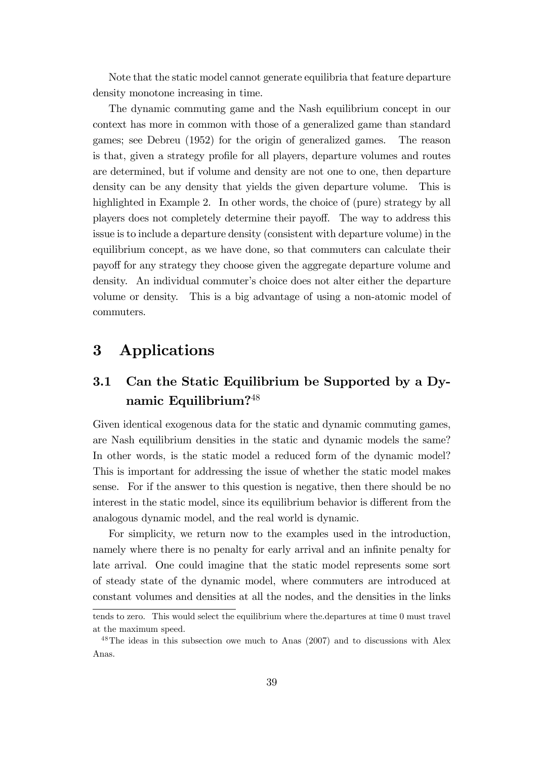Note that the static model cannot generate equilibria that feature departure density monotone increasing in time.

The dynamic commuting game and the Nash equilibrium concept in our context has more in common with those of a generalized game than standard games; see Debreu (1952) for the origin of generalized games. The reason is that, given a strategy profile for all players, departure volumes and routes are determined, but if volume and density are not one to one, then departure density can be any density that yields the given departure volume. This is highlighted in Example 2. In other words, the choice of (pure) strategy by all players does not completely determine their payo§. The way to address this issue is to include a departure density (consistent with departure volume) in the equilibrium concept, as we have done, so that commuters can calculate their payo§ for any strategy they choose given the aggregate departure volume and density. An individual commuter's choice does not alter either the departure volume or density. This is a big advantage of using a non-atomic model of commuters.

# 3 Applications

## 3.1 Can the Static Equilibrium be Supported by a Dynamic Equilibrium?<sup>48</sup>

Given identical exogenous data for the static and dynamic commuting games, are Nash equilibrium densities in the static and dynamic models the same? In other words, is the static model a reduced form of the dynamic model? This is important for addressing the issue of whether the static model makes sense. For if the answer to this question is negative, then there should be no interest in the static model, since its equilibrium behavior is different from the analogous dynamic model, and the real world is dynamic.

For simplicity, we return now to the examples used in the introduction, namely where there is no penalty for early arrival and an infinite penalty for late arrival. One could imagine that the static model represents some sort of steady state of the dynamic model, where commuters are introduced at constant volumes and densities at all the nodes, and the densities in the links

tends to zero. This would select the equilibrium where the.departures at time 0 must travel at the maximum speed.

<sup>48</sup>The ideas in this subsection owe much to Anas (2007) and to discussions with Alex Anas.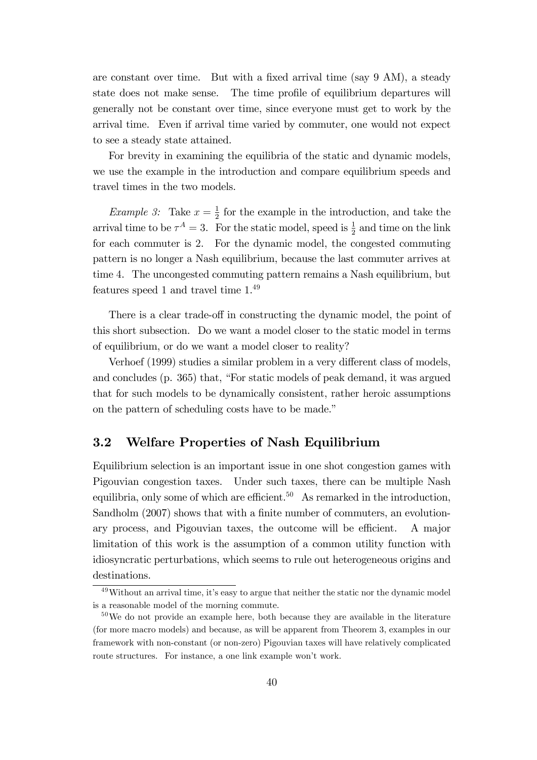are constant over time. But with a fixed arrival time (say 9 AM), a steady state does not make sense. The time profile of equilibrium departures will generally not be constant over time, since everyone must get to work by the arrival time. Even if arrival time varied by commuter, one would not expect to see a steady state attained.

For brevity in examining the equilibria of the static and dynamic models, we use the example in the introduction and compare equilibrium speeds and travel times in the two models.

*Example 3:* Take  $x = \frac{1}{2}$  $\frac{1}{2}$  for the example in the introduction, and take the arrival time to be  $\tau^A = 3$ . For the static model, speed is  $\frac{1}{2}$  and time on the link for each commuter is 2. For the dynamic model, the congested commuting pattern is no longer a Nash equilibrium, because the last commuter arrives at time 4. The uncongested commuting pattern remains a Nash equilibrium, but features speed 1 and travel time 1. 49

There is a clear trade-off in constructing the dynamic model, the point of this short subsection. Do we want a model closer to the static model in terms of equilibrium, or do we want a model closer to reality?

Verhoef (1999) studies a similar problem in a very different class of models, and concludes (p.  $365$ ) that, "For static models of peak demand, it was argued that for such models to be dynamically consistent, rather heroic assumptions on the pattern of scheduling costs have to be made."

#### 3.2 Welfare Properties of Nash Equilibrium

Equilibrium selection is an important issue in one shot congestion games with Pigouvian congestion taxes. Under such taxes, there can be multiple Nash equilibria, only some of which are efficient.<sup>50</sup> As remarked in the introduction, Sandholm (2007) shows that with a finite number of commuters, an evolutionary process, and Pigouvian taxes, the outcome will be efficient. A major limitation of this work is the assumption of a common utility function with idiosyncratic perturbations, which seems to rule out heterogeneous origins and destinations.

 $49$ Without an arrival time, it's easy to argue that neither the static nor the dynamic model is a reasonable model of the morning commute.

 $50\,\text{We}$  do not provide an example here, both because they are available in the literature (for more macro models) and because, as will be apparent from Theorem 3, examples in our framework with non-constant (or non-zero) Pigouvian taxes will have relatively complicated route structures. For instance, a one link example won't work.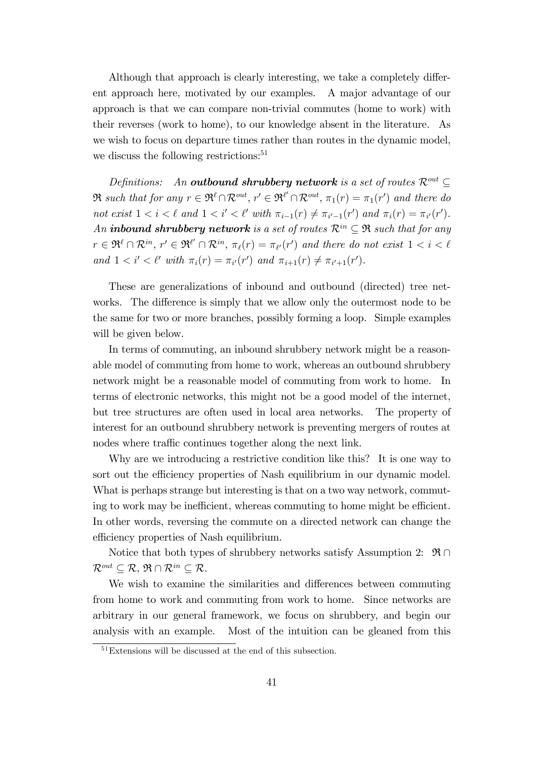Although that approach is clearly interesting, we take a completely different approach here, motivated by our examples. A major advantage of our approach is that we can compare non-trivial commutes (home to work) with their reverses (work to home), to our knowledge absent in the literature. As we wish to focus on departure times rather than routes in the dynamic model, we discuss the following restrictions:<sup>51</sup>

Definitions: An outbound shrubbery network is a set of routes  $\mathcal{R}^{out} \subset$  $\Re$  such that for any  $r \in \Re^{\ell} \cap \mathcal{R}^{out}$ ,  $r' \in \Re^{\ell'} \cap \mathcal{R}^{out}$ ,  $\pi_1(r) = \pi_1(r')$  and there do not exist  $1 < i < \ell$  and  $1 < i' < \ell'$  with  $\pi_{i-1}(r) \neq \pi_{i'-1}(r')$  and  $\pi_i(r) = \pi_{i'}(r')$ . An **inbound shrubbery network** is a set of routes  $\mathcal{R}^{in} \subseteq \mathfrak{R}$  such that for any  $r \in \mathfrak{R}^{\ell} \cap \mathcal{R}^{in}$ ,  $r' \in \mathfrak{R}^{\ell'} \cap \mathcal{R}^{in}$ ,  $\pi_{\ell}(r) = \pi_{\ell'}(r')$  and there do not exist  $1 < i < \ell$ and  $1 < i' < l'$  with  $\pi_i(r) = \pi_{i'}(r')$  and  $\pi_{i+1}(r) \neq \pi_{i'+1}(r')$ .

These are generalizations of inbound and outbound (directed) tree networks. The difference is simply that we allow only the outermost node to be the same for two or more branches, possibly forming a loop. Simple examples will be given below.

In terms of commuting, an inbound shrubbery network might be a reasonable model of commuting from home to work, whereas an outbound shrubbery network might be a reasonable model of commuting from work to home. In terms of electronic networks, this might not be a good model of the internet, but tree structures are often used in local area networks. The property of interest for an outbound shrubbery network is preventing mergers of routes at nodes where traffic continues together along the next link.

Why are we introducing a restrictive condition like this? It is one way to sort out the efficiency properties of Nash equilibrium in our dynamic model. What is perhaps strange but interesting is that on a two way network, commuting to work may be inefficient, whereas commuting to home might be efficient. In other words, reversing the commute on a directed network can change the efficiency properties of Nash equilibrium.

Notice that both types of shrubbery networks satisfy Assumption 2:  $\mathfrak{R} \cap$  $\mathcal{R}^{out} \subseteq \mathcal{R}, \, \mathfrak{R} \cap \mathcal{R}^{in} \subseteq \mathcal{R}.$ 

We wish to examine the similarities and differences between commuting from home to work and commuting from work to home. Since networks are arbitrary in our general framework, we focus on shrubbery, and begin our analysis with an example. Most of the intuition can be gleaned from this

 $51$ Extensions will be discussed at the end of this subsection.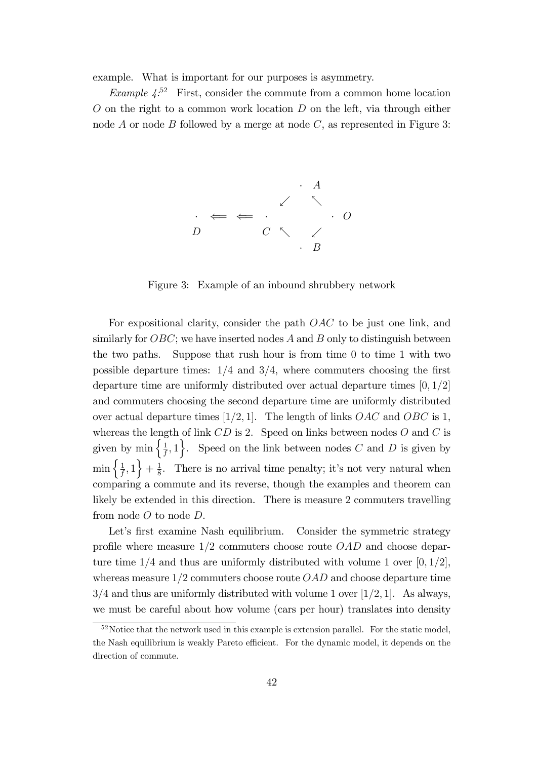example. What is important for our purposes is asymmetry.

Example  $4^{52}$  First, consider the commute from a common home location  $O$  on the right to a common work location  $D$  on the left, via through either node A or node B followed by a merge at node  $C$ , as represented in Figure 3:



Figure 3: Example of an inbound shrubbery network

For expositional clarity, consider the path OAC to be just one link, and similarly for  $OBC$ ; we have inserted nodes A and B only to distinguish between the two paths. Suppose that rush hour is from time 0 to time 1 with two possible departure times:  $1/4$  and  $3/4$ , where commuters choosing the first departure time are uniformly distributed over actual departure times  $[0, 1/2]$ and commuters choosing the second departure time are uniformly distributed over actual departure times [1/2, 1]. The length of links  $OAC$  and  $OBC$  is 1, whereas the length of link  $CD$  is 2. Speed on links between nodes  $O$  and  $C$  is given by min  $\left\{\frac{1}{f}\right\}$  $\left\{\frac{1}{f},1\right\}$ . Speed on the link between nodes C and D is given by  $\min\left\{\frac{1}{f}\right\}$  $\frac{1}{f}, 1$  +  $\frac{1}{8}$  $\frac{1}{8}$ . There is no arrival time penalty; it's not very natural when comparing a commute and its reverse, though the examples and theorem can likely be extended in this direction. There is measure 2 commuters travelling from node  $O$  to node  $D$ .

Let's first examine Nash equilibrium. Consider the symmetric strategy profile where measure  $1/2$  commuters choose route  $OAD$  and choose departure time  $1/4$  and thus are uniformly distributed with volume 1 over  $[0, 1/2]$ , whereas measure  $1/2$  commuters choose route  $OAD$  and choose departure time  $3/4$  and thus are uniformly distributed with volume 1 over [1/2, 1]. As always, we must be careful about how volume (cars per hour) translates into density

 $52$  Notice that the network used in this example is extension parallel. For the static model, the Nash equilibrium is weakly Pareto efficient. For the dynamic model, it depends on the direction of commute.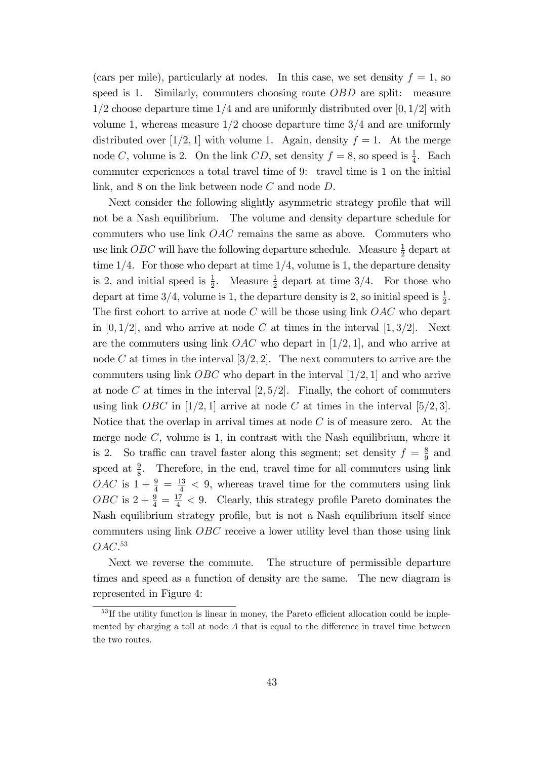(cars per mile), particularly at nodes. In this case, we set density  $f = 1$ , so speed is 1. Similarly, commuters choosing route *OBD* are split: measure  $1/2$  choose departure time  $1/4$  and are uniformly distributed over [0, 1/2] with volume 1, whereas measure  $1/2$  choose departure time  $3/4$  and are uniformly distributed over [1/2, 1] with volume 1. Again, density  $f = 1$ . At the merge node C, volume is 2. On the link CD, set density  $f = 8$ , so speed is  $\frac{1}{4}$ . Each commuter experiences a total travel time of 9: travel time is 1 on the initial link, and  $8$  on the link between node  $C$  and node  $D$ .

Next consider the following slightly asymmetric strategy profile that will not be a Nash equilibrium. The volume and density departure schedule for commuters who use link OAC remains the same as above. Commuters who use link *OBC* will have the following departure schedule. Measure  $\frac{1}{2}$  depart at time  $1/4$ . For those who depart at time  $1/4$ , volume is 1, the departure density is 2, and initial speed is  $\frac{1}{2}$ . Measure  $\frac{1}{2}$  depart at time 3/4. For those who depart at time 3/4, volume is 1, the departure density is 2, so initial speed is  $\frac{1}{2}$ . The first cohort to arrive at node  $C$  will be those using link  $OAC$  who depart in  $[0, 1/2]$ , and who arrive at node C at times in the interval  $[1, 3/2]$ . Next are the commuters using link  $OAC$  who depart in [1/2, 1], and who arrive at node C at times in the interval  $[3/2, 2]$ . The next commuters to arrive are the commuters using link  $\overline{OBC}$  who depart in the interval  $[1/2, 1]$  and who arrive at node C at times in the interval  $[2, 5/2]$ . Finally, the cohort of commuters using link *OBC* in [1/2, 1] arrive at node C at times in the interval [5/2, 3]. Notice that the overlap in arrival times at node  $C$  is of measure zero. At the merge node  $C$ , volume is 1, in contrast with the Nash equilibrium, where it is 2. So traffic can travel faster along this segment; set density  $f = \frac{8}{9}$  $rac{8}{9}$  and speed at  $\frac{9}{8}$ . Therefore, in the end, travel time for all commuters using link *OAC* is  $1 + \frac{9}{4} = \frac{13}{4} < 9$ , whereas travel time for the commuters using link OBC is  $2 + \frac{9}{4} = \frac{17}{4} < 9$ . Clearly, this strategy profile Pareto dominates the Nash equilibrium strategy profile, but is not a Nash equilibrium itself since commuters using link OBC receive a lower utility level than those using link  $OAC.^{53}$ 

Next we reverse the commute. The structure of permissible departure times and speed as a function of density are the same. The new diagram is represented in Figure 4:

 $53$  If the utility function is linear in money, the Pareto efficient allocation could be implemented by charging a toll at node  $A$  that is equal to the difference in travel time between the two routes.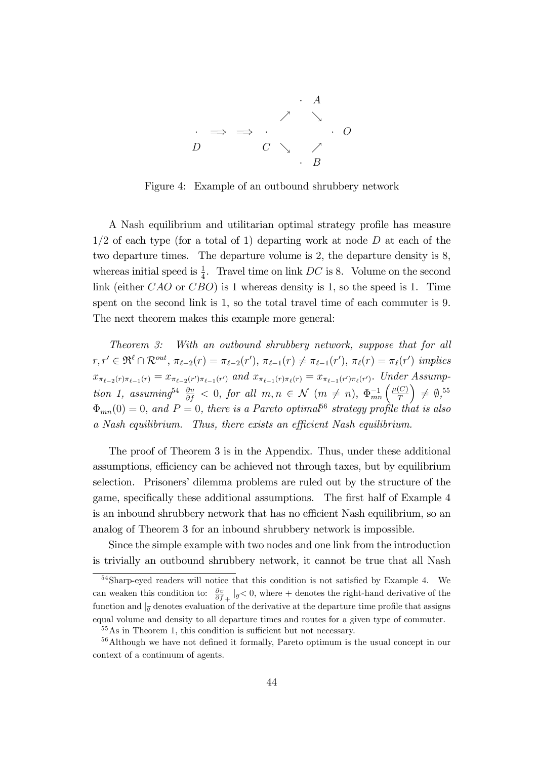

Figure 4: Example of an outbound shrubbery network

A Nash equilibrium and utilitarian optimal strategy profile has measure  $1/2$  of each type (for a total of 1) departing work at node D at each of the two departure times. The departure volume is 2, the departure density is 8, whereas initial speed is  $\frac{1}{4}$ . Travel time on link DC is 8. Volume on the second link (either  $CAO$  or  $CBO$ ) is 1 whereas density is 1, so the speed is 1. Time spent on the second link is 1, so the total travel time of each commuter is 9. The next theorem makes this example more general:

Theorem 3: With an outbound shrubbery network, suppose that for all  $r, r' \in \mathfrak{R}^{\ell} \cap \mathcal{R}^{out}, \pi_{\ell-2}(r) = \pi_{\ell-2}(r'), \pi_{\ell-1}(r) \neq \pi_{\ell-1}(r'), \pi_{\ell}(r) = \pi_{\ell}(r') \implies$  $x_{\pi_{\ell-2}(r)\pi_{\ell-1}(r)} = x_{\pi_{\ell-2}(r')\pi_{\ell-1}(r')}$  and  $x_{\pi_{\ell-1}(r)\pi_{\ell}(r)} = x_{\pi_{\ell-1}(r')\pi_{\ell}(r')}$ . Under Assumption 1, assuming<sup>54</sup>  $\frac{\partial v}{\partial f} < 0$ , for all  $m, n \in \mathcal{N}$   $(m \neq n)$ ,  $\Phi_{mn}^{-1} \left( \frac{\mu(C)}{T} \right)$ T  $\Big) \neq \emptyset,$ <sup>55</sup>  $\Phi_{mn}(0) = 0$ , and  $P = 0$ , there is a Pareto optimal<sup>56</sup> strategy profile that is also a Nash equilibrium. Thus, there exists an efficient Nash equilibrium.

The proof of Theorem 3 is in the Appendix. Thus, under these additional assumptions, efficiency can be achieved not through taxes, but by equilibrium selection. Prisoners' dilemma problems are ruled out by the structure of the game, specifically these additional assumptions. The first half of Example 4 is an inbound shrubbery network that has no efficient Nash equilibrium, so an analog of Theorem 3 for an inbound shrubbery network is impossible.

Since the simple example with two nodes and one link from the introduction is trivially an outbound shrubbery network, it cannot be true that all Nash

 $54$ Sharp-eyed readers will notice that this condition is not satisfied by Example 4. We can weaken this condition to:  $\frac{\partial v}{\partial f_+}|_{\overline{g}} < 0$ , where  $+$  denotes the right-hand derivative of the function and  $\vert_{\overline{q}}$  denotes evaluation of the derivative at the departure time profile that assigns equal volume and density to all departure times and routes for a given type of commuter.

 $55\,\mathrm{As}$  in Theorem 1, this condition is sufficient but not necessary.

<sup>&</sup>lt;sup>56</sup>Although we have not defined it formally, Pareto optimum is the usual concept in our context of a continuum of agents.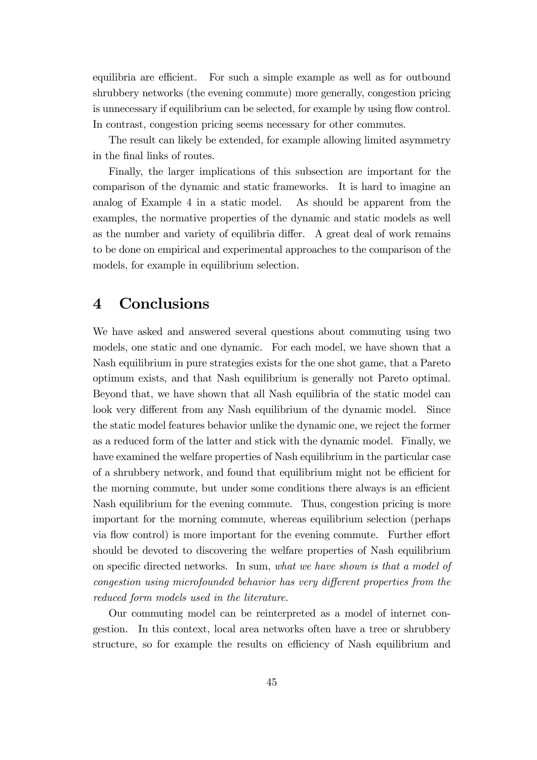equilibria are efficient. For such a simple example as well as for outbound shrubbery networks (the evening commute) more generally, congestion pricing is unnecessary if equilibrium can be selected, for example by using flow control. In contrast, congestion pricing seems necessary for other commutes.

The result can likely be extended, for example allowing limited asymmetry in the final links of routes.

Finally, the larger implications of this subsection are important for the comparison of the dynamic and static frameworks. It is hard to imagine an analog of Example 4 in a static model. As should be apparent from the examples, the normative properties of the dynamic and static models as well as the number and variety of equilibria differ. A great deal of work remains to be done on empirical and experimental approaches to the comparison of the models, for example in equilibrium selection.

### 4 Conclusions

We have asked and answered several questions about commuting using two models, one static and one dynamic. For each model, we have shown that a Nash equilibrium in pure strategies exists for the one shot game, that a Pareto optimum exists, and that Nash equilibrium is generally not Pareto optimal. Beyond that, we have shown that all Nash equilibria of the static model can look very different from any Nash equilibrium of the dynamic model. Since the static model features behavior unlike the dynamic one, we reject the former as a reduced form of the latter and stick with the dynamic model. Finally, we have examined the welfare properties of Nash equilibrium in the particular case of a shrubbery network, and found that equilibrium might not be efficient for the morning commute, but under some conditions there always is an efficient Nash equilibrium for the evening commute. Thus, congestion pricing is more important for the morning commute, whereas equilibrium selection (perhaps via flow control) is more important for the evening commute. Further effort should be devoted to discovering the welfare properties of Nash equilibrium on specific directed networks. In sum, what we have shown is that a model of congestion using microfounded behavior has very different properties from the reduced form models used in the literature.

Our commuting model can be reinterpreted as a model of internet congestion. In this context, local area networks often have a tree or shrubbery structure, so for example the results on efficiency of Nash equilibrium and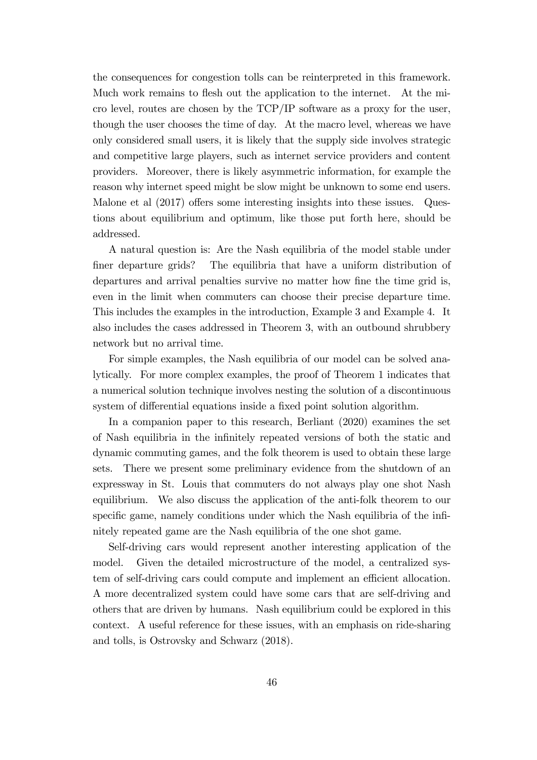the consequences for congestion tolls can be reinterpreted in this framework. Much work remains to flesh out the application to the internet. At the micro level, routes are chosen by the TCP/IP software as a proxy for the user, though the user chooses the time of day. At the macro level, whereas we have only considered small users, it is likely that the supply side involves strategic and competitive large players, such as internet service providers and content providers. Moreover, there is likely asymmetric information, for example the reason why internet speed might be slow might be unknown to some end users. Malone et al  $(2017)$  offers some interesting insights into these issues. Questions about equilibrium and optimum, like those put forth here, should be addressed.

A natural question is: Are the Nash equilibria of the model stable under Öner departure grids? The equilibria that have a uniform distribution of departures and arrival penalties survive no matter how fine the time grid is, even in the limit when commuters can choose their precise departure time. This includes the examples in the introduction, Example 3 and Example 4. It also includes the cases addressed in Theorem 3, with an outbound shrubbery network but no arrival time.

For simple examples, the Nash equilibria of our model can be solved analytically. For more complex examples, the proof of Theorem 1 indicates that a numerical solution technique involves nesting the solution of a discontinuous system of differential equations inside a fixed point solution algorithm.

In a companion paper to this research, Berliant (2020) examines the set of Nash equilibria in the inÖnitely repeated versions of both the static and dynamic commuting games, and the folk theorem is used to obtain these large sets. There we present some preliminary evidence from the shutdown of an expressway in St. Louis that commuters do not always play one shot Nash equilibrium. We also discuss the application of the anti-folk theorem to our specific game, namely conditions under which the Nash equilibria of the infinitely repeated game are the Nash equilibria of the one shot game.

Self-driving cars would represent another interesting application of the model. Given the detailed microstructure of the model, a centralized system of self-driving cars could compute and implement an efficient allocation. A more decentralized system could have some cars that are self-driving and others that are driven by humans. Nash equilibrium could be explored in this context. A useful reference for these issues, with an emphasis on ride-sharing and tolls, is Ostrovsky and Schwarz (2018).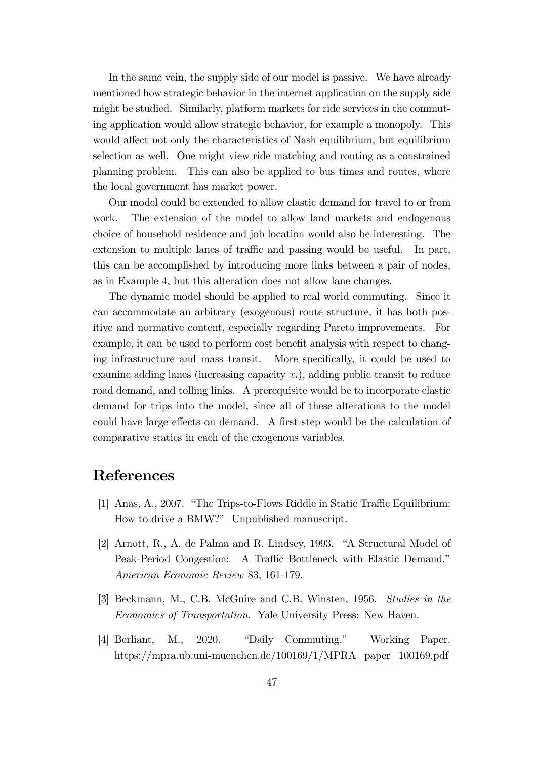In the same vein, the supply side of our model is passive. We have already mentioned how strategic behavior in the internet application on the supply side might be studied. Similarly, platform markets for ride services in the commuting application would allow strategic behavior, for example a monopoly. This would affect not only the characteristics of Nash equilibrium, but equilibrium selection as well. One might view ride matching and routing as a constrained planning problem. This can also be applied to bus times and routes, where the local government has market power.

Our model could be extended to allow elastic demand for travel to or from work. The extension of the model to allow land markets and endogenous choice of household residence and job location would also be interesting. The extension to multiple lanes of traffic and passing would be useful. In part, this can be accomplished by introducing more links between a pair of nodes, as in Example 4, but this alteration does not allow lane changes.

The dynamic model should be applied to real world commuting. Since it can accommodate an arbitrary (exogenous) route structure, it has both positive and normative content, especially regarding Pareto improvements. For example, it can be used to perform cost benefit analysis with respect to changing infrastructure and mass transit. More specifically, it could be used to examine adding lanes (increasing capacity  $x_i$ ), adding public transit to reduce road demand, and tolling links. A prerequisite would be to incorporate elastic demand for trips into the model, since all of these alterations to the model could have large effects on demand. A first step would be the calculation of comparative statics in each of the exogenous variables.

## References

- [1] Anas, A., 2007. "The Trips-to-Flows Riddle in Static Traffic Equilibrium: How to drive a BMW?" Unpublished manuscript.
- $[2]$  Arnott, R., A. de Palma and R. Lindsey, 1993. "A Structural Model of Peak-Period Congestion: A Traffic Bottleneck with Elastic Demand." American Economic Review 83, 161-179.
- [3] Beckmann, M., C.B. McGuire and C.B. Winsten, 1956. Studies in the Economics of Transportation. Yale University Press: New Haven.
- [4] Berliant, M., 2020. "Daily Commuting." Working Paper. https://mpra.ub.uni-muenchen.de/100169/1/MPRA\_paper\_100169.pdf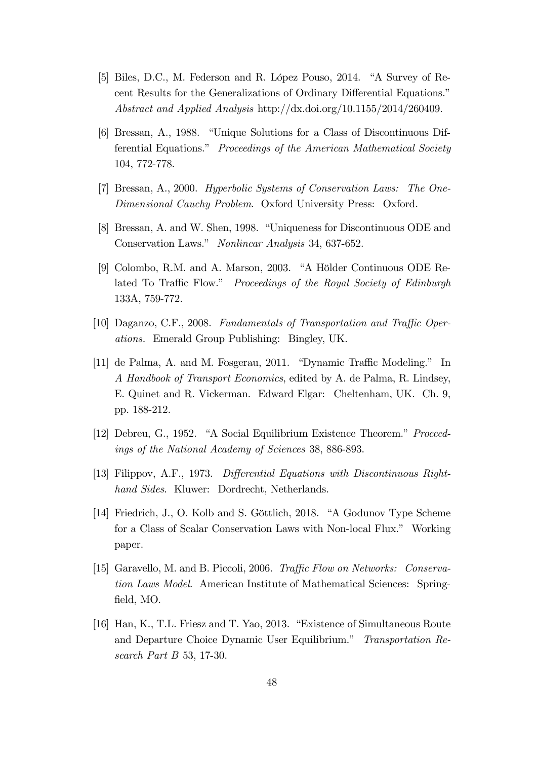- [5] Biles, D.C., M. Federson and R. López Pouso, 2014. "A Survey of Recent Results for the Generalizations of Ordinary Differential Equations.<sup>n</sup> Abstract and Applied Analysis http://dx.doi.org/10.1155/2014/260409.
- [6] Bressan, A., 1988. "Unique Solutions for a Class of Discontinuous Differential Equations." Proceedings of the American Mathematical Society 104, 772-778.
- [7] Bressan, A., 2000. Hyperbolic Systems of Conservation Laws: The One-Dimensional Cauchy Problem. Oxford University Press: Oxford.
- [8] Bressan, A. and W. Shen, 1998. "Uniqueness for Discontinuous ODE and Conservation Laws." Nonlinear Analysis 34, 637-652.
- [9] Colombo, R.M. and A. Marson, 2003. "A Hölder Continuous ODE Related To Traffic Flow." Proceedings of the Royal Society of Edinburgh 133A, 759-772.
- [10] Daganzo, C.F., 2008. Fundamentals of Transportation and Traffic Operations. Emerald Group Publishing: Bingley, UK.
- $[11]$  de Palma, A. and M. Fosgerau, 2011. "Dynamic Traffic Modeling." In A Handbook of Transport Economics, edited by A. de Palma, R. Lindsey, E. Quinet and R. Vickerman. Edward Elgar: Cheltenham, UK. Ch. 9, pp. 188-212.
- [12] Debreu, G., 1952. "A Social Equilibrium Existence Theorem." Proceedings of the National Academy of Sciences 38, 886-893.
- [13] Filippov, A.F., 1973. Differential Equations with Discontinuous Righthand Sides. Kluwer: Dordrecht, Netherlands.
- [14] Friedrich, J., O. Kolb and S. Göttlich, 2018. "A Godunov Type Scheme for a Class of Scalar Conservation Laws with Non-local Flux." Working paper.
- [15] Garavello, M. and B. Piccoli, 2006. Traffic Flow on Networks: Conservation Laws Model. American Institute of Mathematical Sciences: Springfield, MO.
- $[16]$  Han, K., T.L. Friesz and T. Yao, 2013. "Existence of Simultaneous Route and Departure Choice Dynamic User Equilibrium." Transportation Research Part B 53, 17-30.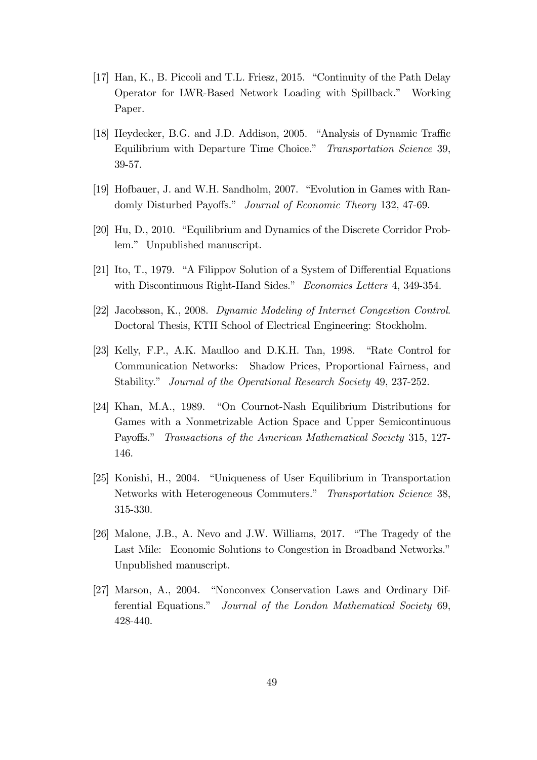- [17] Han, K., B. Piccoli and T.L. Friesz, 2015. "Continuity of the Path Delay Operator for LWR-Based Network Loading with Spillback.î Working Paper.
- [18] Heydecker, B.G. and J.D. Addison, 2005. "Analysis of Dynamic Traffic Equilibrium with Departure Time Choice." Transportation Science 39, 39-57.
- [19] Hofbauer, J. and W.H. Sandholm, 2007. "Evolution in Games with Randomly Disturbed Payoffs." Journal of Economic Theory 132, 47-69.
- [20] Hu, D., 2010. "Equilibrium and Dynamics of the Discrete Corridor Problem." Unpublished manuscript.
- [21] Ito, T., 1979. "A Filippov Solution of a System of Differential Equations with Discontinuous Right-Hand Sides." Economics Letters 4, 349-354.
- [22] Jacobsson, K., 2008. Dynamic Modeling of Internet Congestion Control. Doctoral Thesis, KTH School of Electrical Engineering: Stockholm.
- [23] Kelly, F.P., A.K. Maulloo and D.K.H. Tan, 1998. "Rate Control for Communication Networks: Shadow Prices, Proportional Fairness, and Stability." Journal of the Operational Research Society 49, 237-252.
- [24] Khan, M.A., 1989. "On Cournot-Nash Equilibrium Distributions for Games with a Nonmetrizable Action Space and Upper Semicontinuous Payoffs." Transactions of the American Mathematical Society 315, 127-146.
- [25] Konishi, H., 2004. "Uniqueness of User Equilibrium in Transportation Networks with Heterogeneous Commuters." Transportation Science 38, 315-330.
- $[26]$  Malone, J.B., A. Nevo and J.W. Williams, 2017. "The Tragedy of the Last Mile: Economic Solutions to Congestion in Broadband Networks." Unpublished manuscript.
- [27] Marson, A., 2004. "Nonconvex Conservation Laws and Ordinary Differential Equations." Journal of the London Mathematical Society 69, 428-440.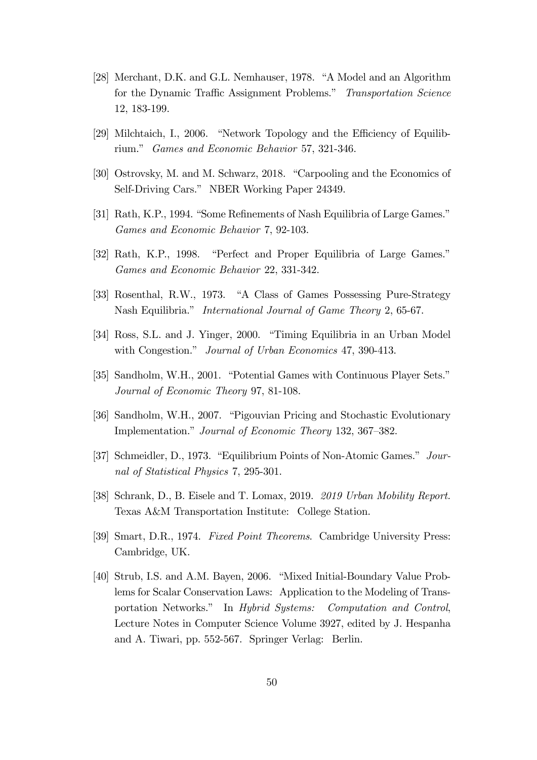- [28] Merchant, D.K. and G.L. Nemhauser, 1978. "A Model and an Algorithm for the Dynamic Traffic Assignment Problems." Transportation Science 12, 183-199.
- [29] Milchtaich, I., 2006. "Network Topology and the Efficiency of Equilibrium." Games and Economic Behavior 57, 321-346.
- [30] Ostrovsky, M. and M. Schwarz, 2018. "Carpooling and the Economics of Self-Driving Cars." NBER Working Paper 24349.
- [31] Rath, K.P., 1994. "Some Refinements of Nash Equilibria of Large Games." Games and Economic Behavior 7, 92-103.
- [32] Rath, K.P., 1998. "Perfect and Proper Equilibria of Large Games." Games and Economic Behavior 22, 331-342.
- [33] Rosenthal, R.W., 1973. "A Class of Games Possessing Pure-Strategy Nash Equilibria." International Journal of Game Theory 2, 65-67.
- [34] Ross, S.L. and J. Yinger, 2000. "Timing Equilibria in an Urban Model with Congestion." Journal of Urban Economics 47, 390-413.
- [35] Sandholm, W.H., 2001. "Potential Games with Continuous Player Sets." Journal of Economic Theory 97, 81-108.
- [36] Sandholm, W.H., 2007. "Pigouvian Pricing and Stochastic Evolutionary Implementation." Journal of Economic Theory 132, 367–382.
- [37] Schmeidler, D., 1973. "Equilibrium Points of Non-Atomic Games." Journal of Statistical Physics 7, 295-301.
- [38] Schrank, D., B. Eisele and T. Lomax, 2019. 2019 Urban Mobility Report. Texas A&M Transportation Institute: College Station.
- [39] Smart, D.R., 1974. Fixed Point Theorems. Cambridge University Press: Cambridge, UK.
- [40] Strub, I.S. and A.M. Bayen, 2006. "Mixed Initial-Boundary Value Problems for Scalar Conservation Laws: Application to the Modeling of Transportation Networks." In Hybrid Systems: Computation and Control, Lecture Notes in Computer Science Volume 3927, edited by J. Hespanha and A. Tiwari, pp. 552-567. Springer Verlag: Berlin.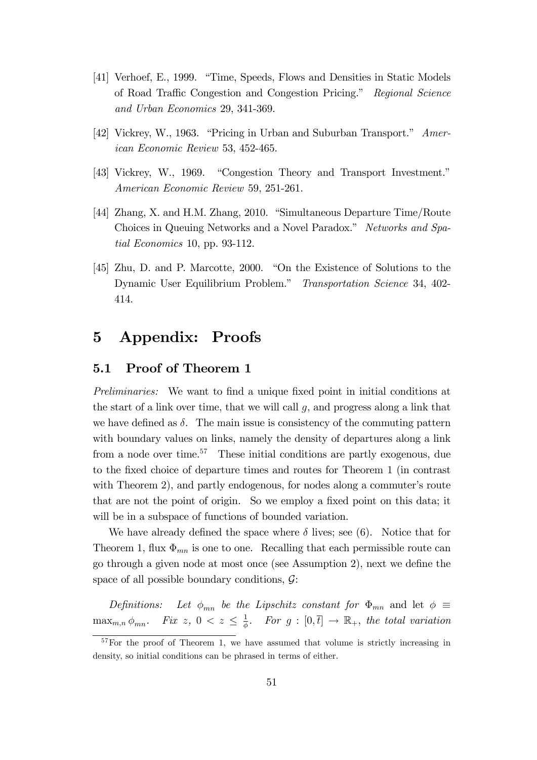- [41] Verhoef, E., 1999. "Time, Speeds, Flows and Densities in Static Models of Road Traffic Congestion and Congestion Pricing." Regional Science and Urban Economics 29, 341-369.
- [42] Vickrey, W., 1963. "Pricing in Urban and Suburban Transport." American Economic Review 53, 452-465.
- [43] Vickrey, W., 1969. "Congestion Theory and Transport Investment." American Economic Review 59, 251-261.
- [44] Zhang, X. and H.M. Zhang, 2010. "Simultaneous Departure Time/Route Choices in Queuing Networks and a Novel Paradox." Networks and Spatial Economics 10, pp. 93-112.
- [45] Zhu, D. and P. Marcotte, 2000. "On the Existence of Solutions to the Dynamic User Equilibrium Problem." Transportation Science 34, 402-414.

## 5 Appendix: Proofs

#### 5.1 Proof of Theorem 1

Preliminaries: We want to find a unique fixed point in initial conditions at the start of a link over time, that we will call  $g$ , and progress along a link that we have defined as  $\delta$ . The main issue is consistency of the commuting pattern with boundary values on links, namely the density of departures along a link from a node over time.<sup>57</sup> These initial conditions are partly exogenous, due to the Öxed choice of departure times and routes for Theorem 1 (in contrast with Theorem 2), and partly endogenous, for nodes along a commuter's route that are not the point of origin. So we employ a fixed point on this data; it will be in a subspace of functions of bounded variation.

We have already defined the space where  $\delta$  lives; see (6). Notice that for Theorem 1, flux  $\Phi_{mn}$  is one to one. Recalling that each permissible route can go through a given node at most once (see Assumption 2), next we define the space of all possible boundary conditions,  $\mathcal{G}$ :

Definitions: Let  $\phi_{mn}$  be the Lipschitz constant for  $\Phi_{mn}$  and let  $\phi \equiv$  $\max_{m,n} \phi_{mn}$ . Fix  $z, 0 < z \leq \frac{1}{\phi}$  $\frac{1}{\phi}$ . For  $g : [0, \bar{t}] \rightarrow \mathbb{R}_+$ , the total variation

<sup>&</sup>lt;sup>57</sup>For the proof of Theorem 1, we have assumed that volume is strictly increasing in density, so initial conditions can be phrased in terms of either.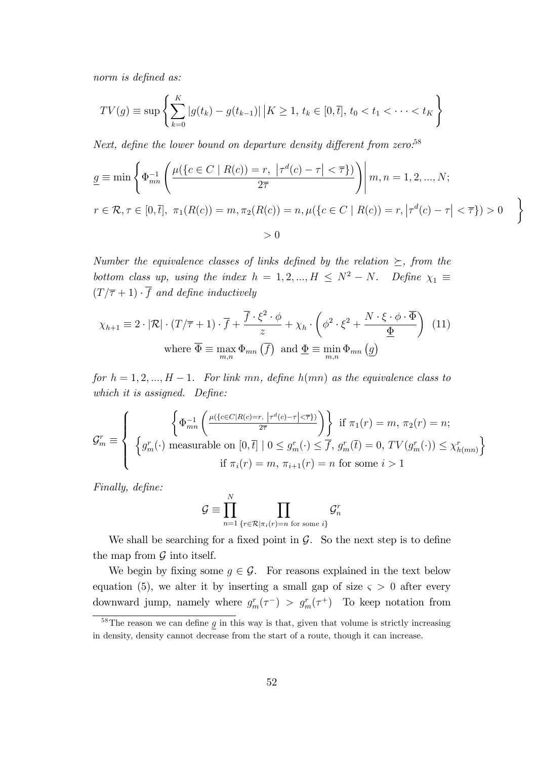norm is defined as:

$$
TV(g) \equiv \sup \left\{ \sum_{k=0}^{K} |g(t_k) - g(t_{k-1})| \, \big| K \ge 1, \, t_k \in [0, \overline{t}], \, t_0 < t_1 < \cdots < t_K \right\}
$$

Next, define the lower bound on departure density different from zero.<sup>58</sup>

$$
\underline{g} \equiv \min \left\{ \Phi_{mn}^{-1} \left( \frac{\mu(\{c \in C \mid R(c)) = r, \ |\tau^d(c) - \tau| < \overline{\tau} \})}{2\overline{\tau}} \right) \middle| m, n = 1, 2, ..., N; \right\}
$$
\n
$$
r \in \mathcal{R}, \tau \in [0, \overline{t}], \ \pi_1(R(c)) = m, \pi_2(R(c)) = n, \mu(\{c \in C \mid R(c)) = r, |\tau^d(c) - \tau| < \overline{\tau} \}) > 0
$$
\n
$$
> 0
$$

 $\mathcal{L}$ 

Number the equivalence classes of links defined by the relation  $\succeq$ , from the bottom class up, using the index  $h = 1, 2, ..., H \leq N^2 - N$ . Define  $\chi_1 \equiv$  $(T/\overline{\tau} + 1) \cdot \overline{f}$  and define inductively

$$
\chi_{h+1} \equiv 2 \cdot |\mathcal{R}| \cdot (T/\overline{\tau} + 1) \cdot \overline{f} + \frac{\overline{f} \cdot \xi^2 \cdot \phi}{z} + \chi_h \cdot \left(\phi^2 \cdot \xi^2 + \frac{N \cdot \xi \cdot \phi \cdot \overline{\Phi}}{\underline{\Phi}}\right) (11)
$$
  
where  $\overline{\Phi} \equiv \max_{m,n} \Phi_{mn}(\overline{f})$  and  $\underline{\Phi} \equiv \min_{m,n} \Phi_{mn}(\underline{g})$ 

for  $h = 1, 2, ..., H - 1$ . For link mn, define  $h(mn)$  as the equivalence class to which it is assigned. Define:

$$
\mathcal{G}_m^r \equiv \left\{ \begin{array}{c} \left\{ \Phi_{mn}^{-1} \left( \frac{\mu(\{c \in C | R(c) = r, \, \left| \tau^d(c) - \tau \right| < \overline{\tau} \})}{2\overline{\tau}} \right) \right\} & \text{if } \pi_1(r) = m, \, \pi_2(r) = n; \\ \left\{ g_m^r(\cdot) \text{ measurable on } [0, \overline{t}] \mid 0 \le g_m^r(\cdot) \le \overline{f}, \, g_m^r(\overline{t}) = 0, \, TV(g_m^r(\cdot)) \le \chi_{h(mn)}^r \right\} \\ & \text{if } \pi_i(r) = m, \, \pi_{i+1}(r) = n \text{ for some } i > 1 \end{array} \right\}
$$

Finally, define:

$$
\mathcal{G} \equiv \prod_{n=1}^N \prod_{\{r \in \mathcal{R} \mid \pi_i(r) = n \text{ for some } i\}} \mathcal{G}^r_n
$$

We shall be searching for a fixed point in  $\mathcal{G}$ . So the next step is to define the map from  $\mathcal G$  into itself.

We begin by fixing some  $g \in \mathcal{G}$ . For reasons explained in the text below equation (5), we alter it by inserting a small gap of size  $\varsigma > 0$  after every downward jump, namely where  $g_m^r(\tau^-) > g_m^r(\tau^+)$  To keep notation from

 $\frac{58}{16}$  The reason we can define  $g$  in this way is that, given that volume is strictly increasing in density, density cannot decrease from the start of a route, though it can increase.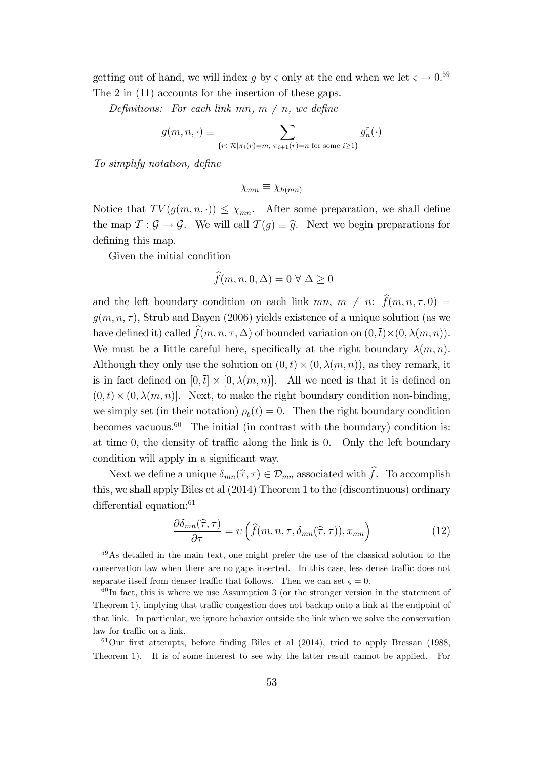getting out of hand, we will index  $g$  by  $\varsigma$  only at the end when we let  $\varsigma \to 0.59$ The 2 in (11) accounts for the insertion of these gaps.

Definitions: For each link mn,  $m \neq n$ , we define

$$
g(m, n, \cdot) \equiv \sum_{\{r \in \mathcal{R} \mid \pi_i(r) = m, \pi_{i+1}(r) = n \text{ for some } i \ge 1\}} g_n^r(\cdot)
$$

To simplify notation, define

$$
\chi_{mn} \equiv \chi_{h(mn)}
$$

Notice that  $TV(g(m, n, \cdot)) \leq \chi_{mn}$ . After some preparation, we shall define the map  $\mathcal{T} : \mathcal{G} \to \mathcal{G}$ . We will call  $\mathcal{T}(q) \equiv \hat{q}$ . Next we begin preparations for defining this map.

Given the initial condition

$$
\widehat{f}(m, n, 0, \Delta) = 0 \,\forall \,\Delta \ge 0
$$

and the left boundary condition on each link  $mn, m \neq n: \hat{f}(m, n, \tau, 0) =$  $g(m, n, \tau)$ , Strub and Bayen (2006) yields existence of a unique solution (as we have defined it) called  $f(m, n, \tau, \Delta)$  of bounded variation on  $(0, \bar{t}) \times (0, \lambda(m, n)).$ We must be a little careful here, specifically at the right boundary  $\lambda(m, n)$ . Although they only use the solution on  $(0, \bar{t}) \times (0, \lambda(m, n))$ , as they remark, it is in fact defined on  $[0, \bar{t}] \times [0, \lambda(m, n)]$ . All we need is that it is defined on  $(0, \bar{t}) \times (0, \lambda(m, n))$ . Next, to make the right boundary condition non-binding, we simply set (in their notation)  $\rho_b(t) = 0$ . Then the right boundary condition becomes vacuous.<sup>60</sup> The initial (in contrast with the boundary) condition is: at time 0, the density of traffic along the link is 0. Only the left boundary condition will apply in a significant way.

Next we define a unique  $\delta_{mn}(\hat{\tau}, \tau) \in \mathcal{D}_{mn}$  associated with  $\hat{f}$ . To accomplish this, we shall apply Biles et al (2014) Theorem 1 to the (discontinuous) ordinary differential equation: $61$ 

$$
\frac{\partial \delta_{mn}(\hat{\tau}, \tau)}{\partial \tau} = \nu\left(\hat{f}(m, n, \tau, \delta_{mn}(\hat{\tau}, \tau)), x_{mn}\right) \tag{12}
$$

<sup>59</sup>As detailed in the main text, one might prefer the use of the classical solution to the conservation law when there are no gaps inserted. In this case, less dense traffic does not separate itself from denser traffic that follows. Then we can set  $\zeta = 0$ .

 $60$ In fact, this is where we use Assumption 3 (or the stronger version in the statement of Theorem 1), implying that traffic congestion does not backup onto a link at the endpoint of that link. In particular, we ignore behavior outside the link when we solve the conservation law for traffic on a link.

 $61$ Our first attempts, before finding Biles et al (2014), tried to apply Bressan (1988, Theorem 1). It is of some interest to see why the latter result cannot be applied. For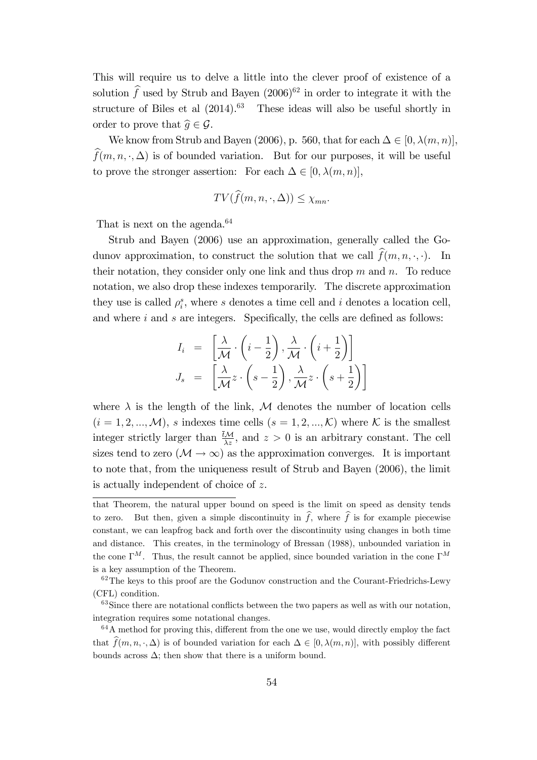This will require us to delve a little into the clever proof of existence of a solution  $\hat{f}$  used by Strub and Bayen (2006)<sup>62</sup> in order to integrate it with the structure of Biles et al  $(2014).<sup>63</sup>$  These ideas will also be useful shortly in order to prove that  $\widehat{q} \in \mathcal{G}$ .

We know from Strub and Bayen (2006), p. 560, that for each  $\Delta \in [0, \lambda(m, n)],$  $\widehat{f}(m, n, \cdot, \Delta)$  is of bounded variation. But for our purposes, it will be useful to prove the stronger assertion: For each  $\Delta \in [0, \lambda(m, n)],$ 

$$
TV(\widehat{f}(m, n, \cdot, \Delta)) \leq \chi_{mn}.
$$

That is next on the agenda.<sup>64</sup>

Strub and Bayen (2006) use an approximation, generally called the Godunov approximation, to construct the solution that we call  $\widehat{f}(m, n, \cdot, \cdot)$ . In their notation, they consider only one link and thus drop  $m$  and  $n$ . To reduce notation, we also drop these indexes temporarily. The discrete approximation they use is called  $\rho_i^s$ , where s denotes a time cell and i denotes a location cell, and where  $i$  and  $s$  are integers. Specifically, the cells are defined as follows:

$$
I_i = \left[\frac{\lambda}{\mathcal{M}} \cdot \left(i - \frac{1}{2}\right), \frac{\lambda}{\mathcal{M}} \cdot \left(i + \frac{1}{2}\right)\right]
$$

$$
J_s = \left[\frac{\lambda}{\mathcal{M}} z \cdot \left(s - \frac{1}{2}\right), \frac{\lambda}{\mathcal{M}} z \cdot \left(s + \frac{1}{2}\right)\right]
$$

where  $\lambda$  is the length of the link, M denotes the number of location cells  $(i = 1, 2, ..., M)$ , s indexes time cells  $(s = 1, 2, ..., K)$  where K is the smallest integer strictly larger than  $\frac{\partial M}{\partial z}$ , and  $z > 0$  is an arbitrary constant. The cell sizes tend to zero  $(M \to \infty)$  as the approximation converges. It is important to note that, from the uniqueness result of Strub and Bayen (2006), the limit is actually independent of choice of z.

that Theorem, the natural upper bound on speed is the limit on speed as density tends to zero. But then, given a simple discontinuity in  $\hat{f}$ , where  $\hat{f}$  is for example piecewise constant, we can leapfrog back and forth over the discontinuity using changes in both time and distance. This creates, in the terminology of Bressan (1988), unbounded variation in the cone  $\Gamma^M$ . Thus, the result cannot be applied, since bounded variation in the cone  $\Gamma^M$ is a key assumption of the Theorem.

<sup>&</sup>lt;sup>62</sup>The keys to this proof are the Godunov construction and the Courant-Friedrichs-Lewy (CFL) condition.

 $63$  Since there are notational conflicts between the two papers as well as with our notation, integration requires some notational changes.

 $64A$  method for proving this, different from the one we use, would directly employ the fact that  $\widehat{f}(m, n, \cdot, \Delta)$  is of bounded variation for each  $\Delta \in [0, \lambda(m, n)]$ , with possibly different bounds across  $\Delta$ ; then show that there is a uniform bound.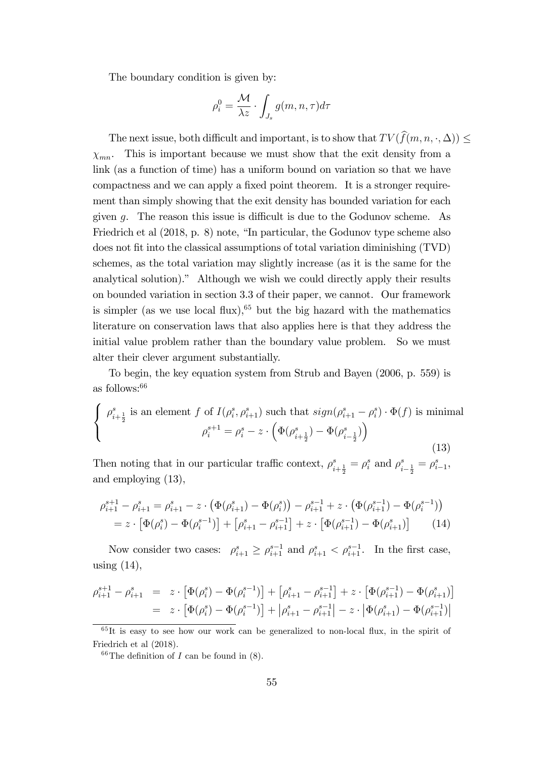The boundary condition is given by:

$$
\rho_i^0 = \frac{\mathcal{M}}{\lambda z} \cdot \int_{J_s} g(m, n, \tau) d\tau
$$

The next issue, both difficult and important, is to show that  $TV(\hat{f}(m, n, \cdot, \Delta))$  $\chi_{mn}$ . This is important because we must show that the exit density from a link (as a function of time) has a uniform bound on variation so that we have compactness and we can apply a fixed point theorem. It is a stronger requirement than simply showing that the exit density has bounded variation for each given q. The reason this issue is difficult is due to the Godunov scheme. As Friedrich et al  $(2018, p. 8)$  note, "In particular, the Godunov type scheme also does not fit into the classical assumptions of total variation diminishing (TVD) schemes, as the total variation may slightly increase (as it is the same for the analytical solution)." Although we wish we could directly apply their results on bounded variation in section 3.3 of their paper, we cannot. Our framework is simpler (as we use local flux),<sup>65</sup> but the big hazard with the mathematics literature on conservation laws that also applies here is that they address the initial value problem rather than the boundary value problem. So we must alter their clever argument substantially.

To begin, the key equation system from Strub and Bayen (2006, p. 559) is as follows:<sup>66</sup>

$$
\begin{cases}\n\rho_{i+\frac{1}{2}}^s \text{ is an element } f \text{ of } I(\rho_i^s, \rho_{i+1}^s) \text{ such that } sign(\rho_{i+1}^s - \rho_i^s) \cdot \Phi(f) \text{ is minimal} \\
\rho_i^{s+1} = \rho_i^s - z \cdot \left(\Phi(\rho_{i+\frac{1}{2}}^s) - \Phi(\rho_{i-\frac{1}{2}}^s)\right)\n\end{cases}
$$
\n(13)

Then noting that in our particular traffic context,  $\rho_{i+\frac{1}{2}}^s = \rho_i^s$  and  $\rho_{i-\frac{1}{2}}^s = \rho_{i-1}^s$ , and employing (13),

$$
\rho_{i+1}^{s+1} - \rho_{i+1}^s = \rho_{i+1}^s - z \cdot \left( \Phi(\rho_{i+1}^s) - \Phi(\rho_i^s) \right) - \rho_{i+1}^{s-1} + z \cdot \left( \Phi(\rho_{i+1}^{s-1}) - \Phi(\rho_i^{s-1}) \right)
$$
  
=  $z \cdot \left[ \Phi(\rho_i^s) - \Phi(\rho_i^{s-1}) \right] + \left[ \rho_{i+1}^s - \rho_{i+1}^{s-1} \right] + z \cdot \left[ \Phi(\rho_{i+1}^{s-1}) - \Phi(\rho_{i+1}^s) \right] \tag{14}$ 

Now consider two cases:  $\rho_{i+1}^s \geq \rho_{i+1}^{s-1}$  and  $\rho_{i+1}^s < \rho_{i+1}^{s-1}$ . In the first case, using  $(14)$ ,

$$
\begin{array}{lll} \rho_{i+1}^{s+1} - \rho_{i+1}^s & = & z \cdot \left[ \Phi(\rho_i^s) - \Phi(\rho_i^{s-1}) \right] + \left[ \rho_{i+1}^s - \rho_{i+1}^{s-1} \right] + z \cdot \left[ \Phi(\rho_{i+1}^{s-1}) - \Phi(\rho_{i+1}^s) \right] \\ & = & z \cdot \left[ \Phi(\rho_i^s) - \Phi(\rho_i^{s-1}) \right] + \left| \rho_{i+1}^s - \rho_{i+1}^{s-1} \right| - z \cdot \left| \Phi(\rho_{i+1}^s) - \Phi(\rho_{i+1}^{s-1}) \right| \end{array}
$$

 $65$ It is easy to see how our work can be generalized to non-local flux, in the spirit of Friedrich et al (2018).

<sup>&</sup>lt;sup>66</sup>The definition of *I* can be found in  $(8)$ .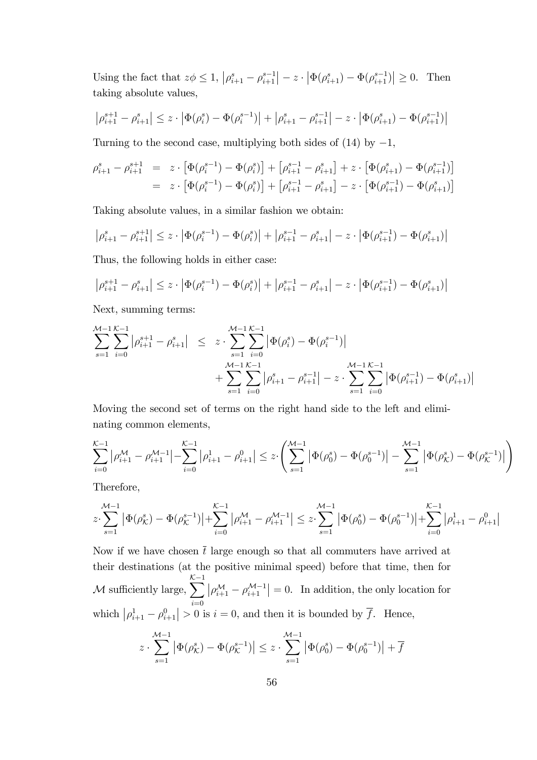Using the fact that  $z\phi \leq 1$ ,  $\left|\rho_{i+1}^s - \rho_{i+1}^{s-1}\right| - z \cdot \left|\Phi(\rho_{i+1}^s) - \Phi(\rho_{i+1}^{s-1})\right| \geq 0$ . Then taking absolute values,

$$
\left|\rho_{i+1}^{s+1} - \rho_{i+1}^s\right| \leq z \cdot \left|\Phi(\rho_i^s) - \Phi(\rho_i^{s-1})\right| + \left|\rho_{i+1}^s - \rho_{i+1}^{s-1}\right| - z \cdot \left|\Phi(\rho_{i+1}^s) - \Phi(\rho_{i+1}^{s-1})\right|
$$

Turning to the second case, multiplying both sides of  $(14)$  by  $-1$ ,

$$
\rho_{i+1}^s - \rho_{i+1}^{s+1} = z \cdot \left[ \Phi(\rho_i^{s-1}) - \Phi(\rho_i^s) \right] + \left[ \rho_{i+1}^{s-1} - \rho_{i+1}^s \right] + z \cdot \left[ \Phi(\rho_{i+1}^s) - \Phi(\rho_{i+1}^{s-1}) \right]
$$
  
=  $z \cdot \left[ \Phi(\rho_i^{s-1}) - \Phi(\rho_i^s) \right] + \left[ \rho_{i+1}^{s-1} - \rho_{i+1}^s \right] - z \cdot \left[ \Phi(\rho_{i+1}^{s-1}) - \Phi(\rho_{i+1}^s) \right]$ 

Taking absolute values, in a similar fashion we obtain:

$$
\left|\rho_{i+1}^s - \rho_{i+1}^{s+1}\right| \leq z \cdot \left|\Phi(\rho_i^{s-1}) - \Phi(\rho_i^s)\right| + \left|\rho_{i+1}^{s-1} - \rho_{i+1}^s\right| - z \cdot \left|\Phi(\rho_{i+1}^{s-1}) - \Phi(\rho_{i+1}^s)\right|
$$

Thus, the following holds in either case:

$$
\left|\rho_{i+1}^{s+1}-\rho_{i+1}^s\right|\leq z\cdot\left|\Phi(\rho_i^{s-1})-\Phi(\rho_i^s)\right|+\left|\rho_{i+1}^{s-1}-\rho_{i+1}^s\right|-z\cdot\left|\Phi(\rho_{i+1}^{s-1})-\Phi(\rho_{i+1}^s)\right|
$$

Next, summing terms:

$$
\sum_{s=1}^{\mathcal{M}-1} \sum_{i=0}^{\mathcal{K}-1} |\rho_{i+1}^{s+1} - \rho_{i+1}^s| \leq z \cdot \sum_{s=1}^{\mathcal{M}-1} \sum_{i=0}^{\mathcal{K}-1} |\Phi(\rho_i^s) - \Phi(\rho_i^{s-1})| + \sum_{s=1}^{\mathcal{M}-1} \sum_{i=0}^{\mathcal{K}-1} |\rho_{i+1}^s - \rho_{i+1}^{s-1}| - z \cdot \sum_{s=1}^{\mathcal{M}-1} \sum_{i=0}^{\mathcal{K}-1} |\Phi(\rho_{i+1}^{s-1}) - \Phi(\rho_{i+1}^s)|
$$

Moving the second set of terms on the right hand side to the left and eliminating common elements,

$$
\sum_{i=0}^{\mathcal{K}-1} \left| \rho_{i+1}^{\mathcal{M}} - \rho_{i+1}^{\mathcal{M}-1} \right| - \sum_{i=0}^{\mathcal{K}-1} \left| \rho_{i+1}^1 - \rho_{i+1}^0 \right| \leq z \cdot \left( \sum_{s=1}^{\mathcal{M}-1} \left| \Phi(\rho_0^s) - \Phi(\rho_0^{s-1}) \right| - \sum_{s=1}^{\mathcal{M}-1} \left| \Phi(\rho_K^s) - \Phi(\rho_K^{s-1}) \right| \right)
$$

Therefore,

$$
z\cdot\sum_{s=1}^{\mathcal{M}-1}\big|\Phi\big(\rho_\mathcal{K}^s\big)-\Phi\big(\rho_\mathcal{K}^{s-1}\big)\big|+\sum_{i=0}^{\mathcal{K}-1}\big|\rho_{i+1}^{\mathcal{M}}-\rho_{i+1}^{\mathcal{M}-1}\big|\leq z\cdot\sum_{s=1}^{\mathcal{M}-1}\big|\Phi\big(\rho_{0}^s\big)-\Phi\big(\rho_{0}^{s-1}\big)\big|+\sum_{i=0}^{\mathcal{K}-1}\big|\rho_{i+1}^1-\rho_{i+1}^0\big|
$$

Now if we have chosen  $\bar{t}$  large enough so that all commuters have arrived at their destinations (at the positive minimal speed) before that time, then for  $M$  sufficiently large,  $\sum$  $i=0$  $\left|\rho_{i+1}^{\mathcal{M}} - \rho_{i+1}^{\mathcal{M}-1}\right| = 0$ . In addition, the only location for which  $\left|\rho_{i+1}^1 - \rho_{i+1}^0\right| > 0$  is  $i = 0$ , and then it is bounded by  $\overline{f}$ . Hence,

$$
z\cdot\sum_{s=1}^{\mathcal{M}-1}\left|\Phi(\rho_{\mathcal{K}}^s)-\Phi(\rho_{\mathcal{K}}^{s-1})\right|\leq z\cdot\sum_{s=1}^{\mathcal{M}-1}\left|\Phi(\rho_{0}^s)-\Phi(\rho_{0}^{s-1})\right|+\overline{f}
$$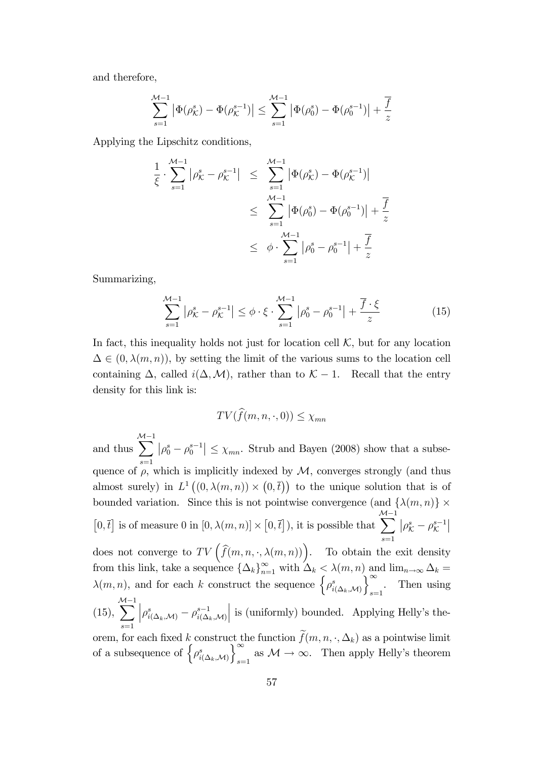and therefore,

$$
\sum_{s=1}^{\mathcal{M}-1} \left| \Phi(\rho_{\mathcal{K}}^s) - \Phi(\rho_{\mathcal{K}}^{s-1}) \right| \leq \sum_{s=1}^{\mathcal{M}-1} \left| \Phi(\rho_0^s) - \Phi(\rho_0^{s-1}) \right| + \frac{\overline{f}}{z}
$$

Applying the Lipschitz conditions,

$$
\frac{1}{\xi} \cdot \sum_{s=1}^{\mathcal{M}-1} |\rho_{\mathcal{K}}^s - \rho_{\mathcal{K}}^{s-1}| \leq \sum_{s=1}^{\mathcal{M}-1} |\Phi(\rho_{\mathcal{K}}^s) - \Phi(\rho_{\mathcal{K}}^{s-1})|
$$
  

$$
\leq \sum_{s=1}^{\mathcal{M}-1} |\Phi(\rho_0^s) - \Phi(\rho_0^{s-1})| + \frac{\overline{f}}{z}
$$
  

$$
\leq \phi \cdot \sum_{s=1}^{\mathcal{M}-1} |\rho_0^s - \rho_0^{s-1}| + \frac{\overline{f}}{z}
$$

Summarizing,

$$
\sum_{s=1}^{\mathcal{M}-1} |\rho_{\mathcal{K}}^s - \rho_{\mathcal{K}}^{s-1}| \le \phi \cdot \xi \cdot \sum_{s=1}^{\mathcal{M}-1} |\rho_0^s - \rho_0^{s-1}| + \frac{\overline{f} \cdot \xi}{z} \tag{15}
$$

In fact, this inequality holds not just for location cell  $K$ , but for any location  $\Delta \in (0, \lambda(m, n))$ , by setting the limit of the various sums to the location cell containing  $\Delta$ , called  $i(\Delta, \mathcal{M})$ , rather than to  $\mathcal{K} - 1$ . Recall that the entry density for this link is:

$$
TV(\widehat{f}(m, n, \cdot, 0)) \le \chi_{mn}
$$

and thus  $\sum_{ }^{ \mathcal{M} -1}$  $s=1$  $|\rho_0^s - \rho_0^{s-1}| \leq \chi_{mn}$ . Strub and Bayen (2008) show that a subsequence of  $\rho$ , which is implicitly indexed by  $\mathcal{M}$ , converges strongly (and thus almost surely) in  $L^1((0, \lambda(m, n)) \times (0, \overline{t}))$  to the unique solution that is of bounded variation. Since this is not pointwise convergence (and  $\{\lambda(m, n)\}\times$  $\left[0,\overline{t}\right]$  is of measure  $0$  in  $\left[0,\lambda(m,n)\right]\times\left[0,\overline{t}\right]),$  it is possible that  $\sum_{ }^{ }$  $s=1$  $\big|\rho^s_{\mathcal{K}}-\rho^{s-1}_{\mathcal{K}}$  $\sim$  does not converge to  $TV\left(\widehat{f}(m,n,\cdot,\lambda(m,n))\right)$ . To obtain the exit density from this link, take a sequence  $\{\Delta_k\}_{n=1}^{\infty}$  with  $\Delta_k < \lambda(m, n)$  and  $\lim_{n\to\infty} \Delta_k =$  $\lambda(m,n)$ , and for each k construct the sequence  $\left\{\rho^s_{i(\Delta_k,\mathcal{M})}\right\}$  $\bigcap_{\infty}$  $\sum_{s=1}$ . Then using (15),  $\sum^{M-1}$  $s=1$  $\Big|\rho^s_{i(\Delta_k, \mathcal{M})} - \rho^{s-1}_{i(\Delta_k)}\Big|$  $i(\Delta_k,\mathcal{M})$  $\Big\vert$  is (uniformly) bounded. Applying Helly's theorem, for each fixed k construct the function  $f(m, n, \cdot, \Delta_k)$  as a pointwise limit of a subsequence of  $\Big\{ \rho^s_{i(\Delta_k,\mathcal{M})}$  $\int_{-\infty}^{\infty}$ as  $\mathcal{M} \to \infty$ . Then apply Helly's theorem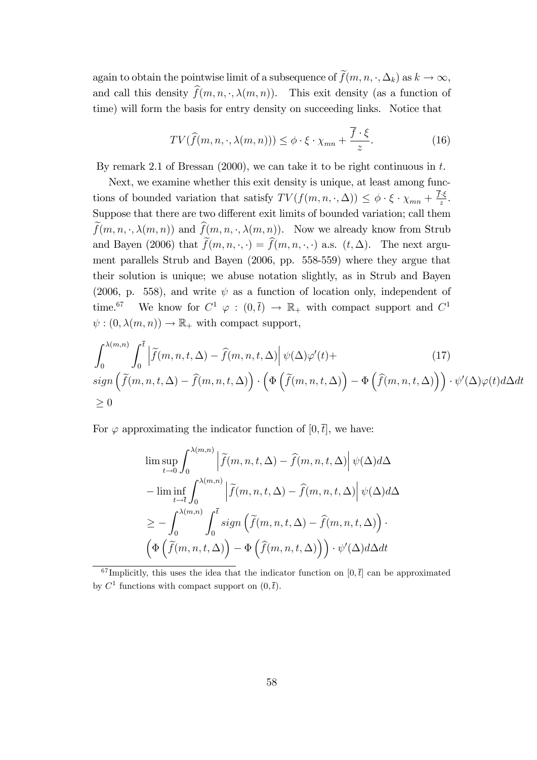again to obtain the pointwise limit of a subsequence of  $\tilde{f}(m, n, \cdot, \Delta_k)$  as  $k \to \infty$ , and call this density  $\widehat{f}(m, n, \cdot, \lambda(m, n))$ . This exit density (as a function of time) will form the basis for entry density on succeeding links. Notice that

$$
TV(\widehat{f}(m, n, \cdot, \lambda(m, n))) \leq \phi \cdot \xi \cdot \chi_{mn} + \frac{\overline{f} \cdot \xi}{z}.
$$
 (16)

By remark 2.1 of Bressan  $(2000)$ , we can take it to be right continuous in t.

Next, we examine whether this exit density is unique, at least among functions of bounded variation that satisfy  $TV(f(m,n,\cdot,\Delta)) \leq \phi \cdot \xi \cdot \chi_{mn} + \frac{f \cdot \xi}{z}$ . Suppose that there are two different exit limits of bounded variation; call them  $\tilde{f}(m, n, \cdot, \lambda(m, n))$  and  $\hat{f}(m, n, \cdot, \lambda(m, n))$ . Now we already know from Strub and Bayen (2006) that  $\widetilde{f}(m, n, \cdot, \cdot) = \widehat{f}(m, n, \cdot, \cdot)$  a.s.  $(t, \Delta)$ . The next argument parallels Strub and Bayen (2006, pp. 558-559) where they argue that their solution is unique; we abuse notation slightly, as in Strub and Bayen (2006, p. 558), and write  $\psi$  as a function of location only, independent of time.<sup>67</sup> We know for  $C^1 \varphi : (0, \bar{t}) \to \mathbb{R}_+$  with compact support and  $C^1$  $\psi : (0, \lambda(m, n)) \to \mathbb{R}_+$  with compact support,

$$
\int_0^{\lambda(m,n)} \int_0^{\bar{t}} \left| \tilde{f}(m,n,t,\Delta) - \hat{f}(m,n,t,\Delta) \right| \psi(\Delta) \varphi'(t) +
$$
\n
$$
\text{sign}\left(\tilde{f}(m,n,t,\Delta) - \hat{f}(m,n,t,\Delta)\right) \cdot \left(\Phi\left(\tilde{f}(m,n,t,\Delta)\right) - \Phi\left(\hat{f}(m,n,t,\Delta)\right)\right) \cdot \psi'(\Delta) \varphi(t) d\Delta dt
$$
\n
$$
\geq 0
$$
\n(17)

For  $\varphi$  approximating the indicator function of  $[0, \bar{t}]$ , we have:

$$
\limsup_{t \to 0} \int_0^{\lambda(m,n)} \left| \tilde{f}(m,n,t,\Delta) - \hat{f}(m,n,t,\Delta) \right| \psi(\Delta) d\Delta
$$
  
\n
$$
- \liminf_{t \to \bar{t}} \int_0^{\lambda(m,n)} \left| \tilde{f}(m,n,t,\Delta) - \hat{f}(m,n,t,\Delta) \right| \psi(\Delta) d\Delta
$$
  
\n
$$
\geq - \int_0^{\lambda(m,n)} \int_0^{\bar{t}} sign \left( \tilde{f}(m,n,t,\Delta) - \hat{f}(m,n,t,\Delta) \right) \cdot \left( \Phi \left( \tilde{f}(m,n,t,\Delta) \right) - \Phi \left( \hat{f}(m,n,t,\Delta) \right) \right) \cdot \psi'(\Delta) d\Delta dt
$$

 $^{67}$ Implicitly, this uses the idea that the indicator function on [0,  $\bar{t}$ ] can be approximated by  $C^1$  functions with compact support on  $(0, \bar{t})$ .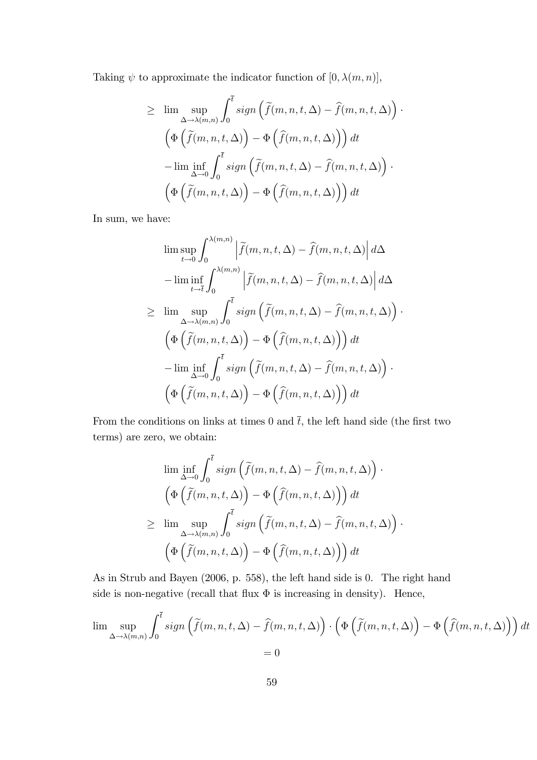Taking  $\psi$  to approximate the indicator function of  $[0, \lambda(m, n)],$ 

$$
\geq \lim_{\Delta \to \lambda(m,n)} \sup_{\mathbf{0}} \int_0^{\overline{t}} sign\left(\tilde{f}(m,n,t,\Delta) - \hat{f}(m,n,t,\Delta)\right) \cdot
$$

$$
\left(\Phi\left(\tilde{f}(m,n,t,\Delta)\right) - \Phi\left(\hat{f}(m,n,t,\Delta)\right)\right) dt
$$

$$
-\lim_{\Delta \to 0} \inf_{\mathbf{0}} \int_0^{\overline{t}} sign\left(\tilde{f}(m,n,t,\Delta) - \hat{f}(m,n,t,\Delta)\right) \cdot
$$

$$
\left(\Phi\left(\tilde{f}(m,n,t,\Delta)\right) - \Phi\left(\hat{f}(m,n,t,\Delta)\right)\right) dt
$$

In sum, we have:

$$
\limsup_{t \to 0} \int_0^{\lambda(m,n)} \left| \tilde{f}(m,n,t,\Delta) - \tilde{f}(m,n,t,\Delta) \right| d\Delta
$$

$$
- \liminf_{t \to \bar{t}} \int_0^{\lambda(m,n)} \left| \tilde{f}(m,n,t,\Delta) - \tilde{f}(m,n,t,\Delta) \right| d\Delta
$$

$$
\geq \limsup_{\Delta \to \lambda(m,n)} \int_0^{\bar{t}} sign \left( \tilde{f}(m,n,t,\Delta) - \tilde{f}(m,n,t,\Delta) \right)
$$

$$
\left( \Phi \left( \tilde{f}(m,n,t,\Delta) \right) - \Phi \left( \tilde{f}(m,n,t,\Delta) \right) \right) dt
$$

$$
- \liminf_{\Delta \to 0} \int_0^{\bar{t}} sign \left( \tilde{f}(m,n,t,\Delta) - \tilde{f}(m,n,t,\Delta) \right) \cdot \left( \Phi \left( \tilde{f}(m,n,t,\Delta) \right) - \Phi \left( \tilde{f}(m,n,t,\Delta) \right) \right) dt
$$

 $\ddot{\phantom{0}}$ 

From the conditions on links at times 0 and  $\bar{t}$ , the left hand side (the first two terms) are zero, we obtain:

$$
\liminf_{\Delta \to 0} \int_0^{\overline{t}} sign\left(\tilde{f}(m, n, t, \Delta) - \hat{f}(m, n, t, \Delta)\right) \cdot
$$

$$
\left(\Phi\left(\tilde{f}(m, n, t, \Delta)\right) - \Phi\left(\hat{f}(m, n, t, \Delta)\right)\right) dt
$$

$$
\geq \limsup_{\Delta \to \lambda(m, n)} \int_0^{\overline{t}} sign\left(\tilde{f}(m, n, t, \Delta) - \hat{f}(m, n, t, \Delta)\right) \cdot
$$

$$
\left(\Phi\left(\tilde{f}(m, n, t, \Delta)\right) - \Phi\left(\hat{f}(m, n, t, \Delta)\right)\right) dt
$$

As in Strub and Bayen (2006, p. 558), the left hand side is 0. The right hand side is non-negative (recall that flux  $\Phi$  is increasing in density). Hence,

$$
\lim_{\Delta \to \lambda(m,n)} \int_0^{\overline{t}} \operatorname{sign}\left(\widetilde{f}(m,n,t,\Delta) - \widehat{f}(m,n,t,\Delta)\right) \cdot \left(\Phi\left(\widetilde{f}(m,n,t,\Delta)\right) - \Phi\left(\widehat{f}(m,n,t,\Delta)\right)\right) dt
$$
  
= 0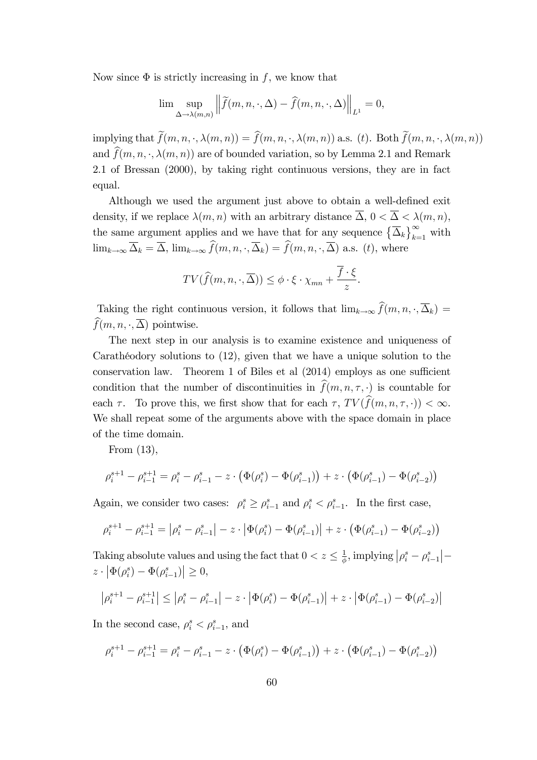Now since  $\Phi$  is strictly increasing in f, we know that

$$
\lim_{\Delta \to \lambda(m,n)} \left\| \widetilde{f}(m,n,\cdot,\Delta) - \widehat{f}(m,n,\cdot,\Delta) \right\|_{L^1} = 0,
$$

implying that  $\widetilde{f}(m, n, \cdot, \lambda(m, n)) = \widehat{f}(m, n, \cdot, \lambda(m, n))$  a.s. (t). Both  $\widetilde{f}(m, n, \cdot, \lambda(m, n))$ and  $\widehat{f}(m, n, \cdot, \lambda(m, n))$  are of bounded variation, so by Lemma 2.1 and Remark 2.1 of Bressan (2000), by taking right continuous versions, they are in fact equal.

Although we used the argument just above to obtain a well-defined exit density, if we replace  $\lambda(m, n)$  with an arbitrary distance  $\overline{\Delta}$ ,  $0 < \overline{\Delta} < \lambda(m, n)$ , the same argument applies and we have that for any sequence  $\left\{\overline{\Delta}_k\right\}_{k=1}^{\infty}$  with  $\lim_{k\to\infty}\overline{\Delta}_k = \overline{\Delta}, \lim_{k\to\infty}\widehat{f}(m, n, \cdot, \overline{\Delta}_k) = \widehat{f}(m, n, \cdot, \overline{\Delta})$  a.s. (t), where

$$
TV(\widehat{f}(m, n, \cdot, \overline{\Delta})) \leq \phi \cdot \xi \cdot \chi_{mn} + \frac{\overline{f} \cdot \xi}{z}.
$$

Taking the right continuous version, it follows that  $\lim_{k\to\infty} \widehat{f}(m, n, \cdot, \overline{\Delta}_k) =$  $\widehat{f}(m, n, \cdot, \overline{\Delta})$  pointwise.

The next step in our analysis is to examine existence and uniqueness of Carathéodory solutions to  $(12)$ , given that we have a unique solution to the conservation law. Theorem 1 of Biles et al  $(2014)$  employs as one sufficient condition that the number of discontinuities in  $\widehat{f}(m, n, \tau, \cdot)$  is countable for each  $\tau$ . To prove this, we first show that for each  $\tau$ ,  $TV(\widehat{f}(m, n, \tau, \cdot)) < \infty$ . We shall repeat some of the arguments above with the space domain in place of the time domain.

From (13),

$$
\rho_i^{s+1} - \rho_{i-1}^{s+1} = \rho_i^s - \rho_{i-1}^s - z \cdot \left(\Phi(\rho_i^s) - \Phi(\rho_{i-1}^s)\right) + z \cdot \left(\Phi(\rho_{i-1}^s) - \Phi(\rho_{i-2}^s)\right)
$$

Again, we consider two cases:  $\rho_i^s \geq \rho_{i-1}^s$  and  $\rho_i^s < \rho_{i-1}^s$ . In the first case,

$$
\rho_i^{s+1} - \rho_{i-1}^{s+1} = \left| \rho_i^s - \rho_{i-1}^s \right| - z \cdot \left| \Phi(\rho_i^s) - \Phi(\rho_{i-1}^s) \right| + z \cdot \left( \Phi(\rho_{i-1}^s) - \Phi(\rho_{i-2}^s) \right)
$$

Taking absolute values and using the fact that  $0 < z \leq \frac{1}{\phi}$  $\frac{1}{\phi}$ , implying  $\rho_i^s - \rho_{i-1}^s$  $\left| - \right|$  $z \cdot |\Phi(\rho_i^s) - \Phi(\rho_{i-1}^s)| \geq 0,$ 

$$
\left|\rho_i^{s+1}-\rho_{i-1}^{s+1}\right|\leq \left|\rho_i^s-\rho_{i-1}^s\right|-z\cdot \left|\Phi(\rho_i^s)-\Phi(\rho_{i-1}^s)\right|+z\cdot \left|\Phi(\rho_{i-1}^s)-\Phi(\rho_{i-2}^s)\right|
$$

In the second case,  $\rho_i^s < \rho_{i-1}^s$ , and

$$
\rho_i^{s+1} - \rho_{i-1}^{s+1} = \rho_i^s - \rho_{i-1}^s - z \cdot \left(\Phi(\rho_i^s) - \Phi(\rho_{i-1}^s)\right) + z \cdot \left(\Phi(\rho_{i-1}^s) - \Phi(\rho_{i-2}^s)\right)
$$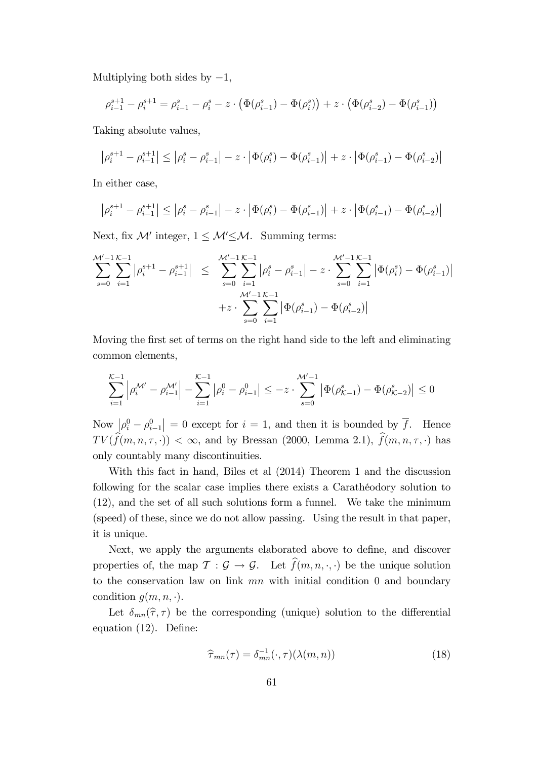Multiplying both sides by  $-1$ ,

$$
\rho_{i-1}^{s+1} - \rho_i^{s+1} = \rho_{i-1}^s - \rho_i^s - z \cdot \left( \Phi(\rho_{i-1}^s) - \Phi(\rho_i^s) \right) + z \cdot \left( \Phi(\rho_{i-2}^s) - \Phi(\rho_{i-1}^s) \right)
$$

Taking absolute values,

$$
\left|\rho_i^{s+1} - \rho_{i-1}^{s+1}\right| \le \left|\rho_i^s - \rho_{i-1}^s\right| - z \cdot \left|\Phi(\rho_i^s) - \Phi(\rho_{i-1}^s)\right| + z \cdot \left|\Phi(\rho_{i-1}^s) - \Phi(\rho_{i-2}^s)\right|
$$

In either case,

$$
\left|\rho_i^{s+1}-\rho_{i-1}^{s+1}\right|\leq \left|\rho_i^s-\rho_{i-1}^s\right|-z\cdot \left|\Phi(\rho_i^s)-\Phi(\rho_{i-1}^s)\right|+z\cdot \left|\Phi(\rho_{i-1}^s)-\Phi(\rho_{i-2}^s)\right|
$$

Next, fix  $\mathcal{M}'$  integer,  $1 \leq \mathcal{M}' \leq \mathcal{M}$ . Summing terms:

$$
\sum_{s=0}^{\mathcal{M}'-1} \sum_{i=1}^{\mathcal{K}-1} |\rho_i^{s+1} - \rho_{i-1}^{s+1}| \leq \sum_{s=0}^{\mathcal{M}'-1} \sum_{i=1}^{\mathcal{K}-1} |\rho_i^s - \rho_{i-1}^s| - z \cdot \sum_{s=0}^{\mathcal{M}'-1} \sum_{i=1}^{\mathcal{K}-1} |\Phi(\rho_i^s) - \Phi(\rho_{i-1}^s)|
$$
  
 
$$
+ z \cdot \sum_{s=0}^{\mathcal{M}'-1} \sum_{i=1}^{\mathcal{K}-1} |\Phi(\rho_{i-1}^s) - \Phi(\rho_{i-2}^s)|
$$

Moving the first set of terms on the right hand side to the left and eliminating common elements,

$$
\sum_{i=1}^{\mathcal{K}-1} \left| \rho_i^{\mathcal{M}'} - \rho_{i-1}^{\mathcal{M}'} \right| - \sum_{i=1}^{\mathcal{K}-1} \left| \rho_i^0 - \rho_{i-1}^0 \right| \le -z \cdot \sum_{s=0}^{\mathcal{M}'-1} \left| \Phi(\rho_{\mathcal{K}-1}^s) - \Phi(\rho_{\mathcal{K}-2}^s) \right| \le 0
$$

Now  $\int_{0}^{\infty} \rho_i^0 - \rho_{i-1}^0$  $= 0$  except for  $i = 1$ , and then it is bounded by  $\overline{f}$ . Hence  $TV(\widehat{f}(m, n, \tau, \cdot)) < \infty$ , and by Bressan (2000, Lemma 2.1),  $\widehat{f}(m, n, \tau, \cdot)$  has only countably many discontinuities.

With this fact in hand, Biles et al (2014) Theorem 1 and the discussion following for the scalar case implies there exists a Caratheodory solution to (12), and the set of all such solutions form a funnel. We take the minimum (speed) of these, since we do not allow passing. Using the result in that paper, it is unique.

Next, we apply the arguments elaborated above to define, and discover properties of, the map  $\mathcal{T} : \mathcal{G} \to \mathcal{G}$ . Let  $\widehat{f}(m, n, \cdot, \cdot)$  be the unique solution to the conservation law on link  $mn$  with initial condition 0 and boundary condition  $g(m, n, \cdot)$ .

Let  $\delta_{mn}(\hat{\tau}, \tau)$  be the corresponding (unique) solution to the differential equation  $(12)$ . Define:

$$
\widehat{\tau}_{mn}(\tau) = \delta_{mn}^{-1}(\cdot, \tau)(\lambda(m, n)) \tag{18}
$$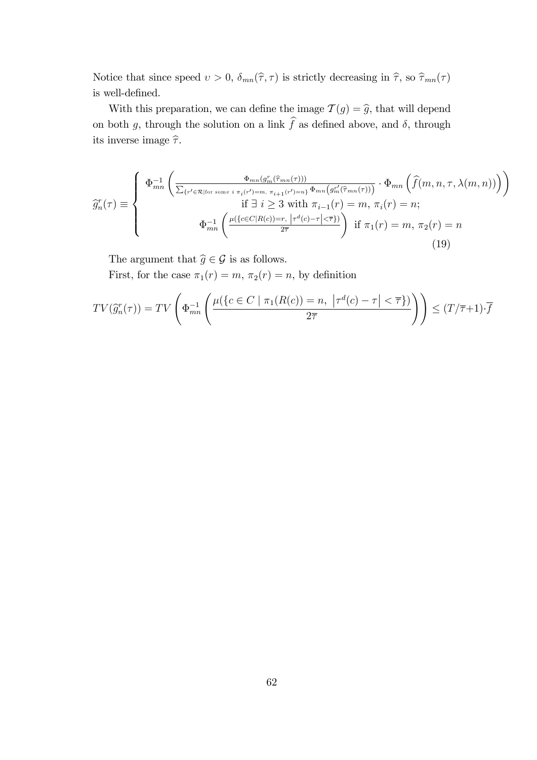Notice that since speed  $v > 0$ ,  $\delta_{mn}(\hat{\tau}, \tau)$  is strictly decreasing in  $\hat{\tau}$ , so  $\hat{\tau}_{mn}(\tau)$ is well-defined.

With this preparation, we can define the image  $\mathcal{T}(g) = \hat{g}$ , that will depend on both g, through the solution on a link  $\hat{f}$  as defined above, and  $\delta$ , through its inverse image  $\widehat{\tau}.$ 

$$
\widehat{g}_n^r(\tau) \equiv \begin{cases}\n\Phi_{mn}^{-1}\left(\frac{\Phi_{mn}(g_m^r(\widehat{\tau}_{mn}(\tau)))}{\sum_{\{r' \in \mathcal{R} \mid \text{for some } i \pi_i(r') = m, \pi_{i+1}(r') = n\} } \Phi_{mn}(g_m^{r'}(\widehat{\tau}_{mn}(\tau)))} \cdot \Phi_{mn}\left(\widehat{f}(m, n, \tau, \lambda(m, n))\right)\right) \\
\text{if } \exists i \geq 3 \text{ with } \pi_{i-1}(r) = m, \pi_i(r) = n; \\
\Phi_{mn}^{-1}\left(\frac{\mu(\{c \in C | R(c) = r, \ |\tau^d(c) - \tau| < \overline{\tau}\})}{2\overline{\tau}}\right) & \text{if } \pi_1(r) = m, \pi_2(r) = n\n\end{cases} \tag{19}
$$

The argument that  $\widehat{g} \in \mathcal{G}$  is as follows.

First, for the case  $\pi_1(r) = m$ ,  $\pi_2(r) = n$ , by definition

$$
TV(\widehat{g}_n^r(\tau)) = TV\left(\Phi_{mn}^{-1}\left(\frac{\mu(\lbrace c \in C \mid \pi_1(R(c)) = n, \ \vert \tau^d(c) - \tau \vert < \overline{\tau} \rbrace)}{2\overline{\tau}}\right)\right) \leq (T/\overline{\tau} + 1) \cdot \overline{f}
$$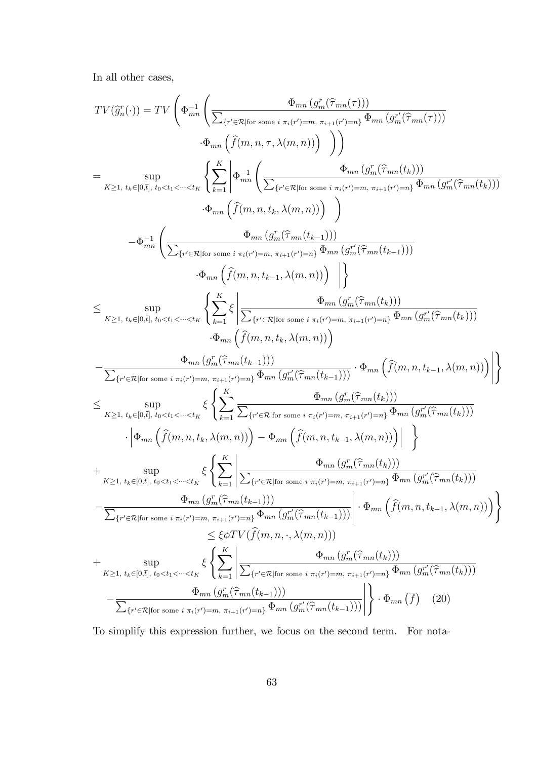In all other cases,

$$
TV(\widetilde{g}_n^r(\cdot)) = TV \left( \Phi_{mn}^{-1} \left( \frac{\Phi_{mn} (g_m^r(\widehat{\tau}_{mn}(\tau)))}{\sum_{\{r' \in \mathcal{R} \mid \text{for some } i \pi(r') = m, \pi_{i+1}(r') = n\}} \Phi_{mn} (g_m^r(\widehat{\tau}_{mn}(\tau)))} \right. \\ \left. \Phi_{mn} \left( \widehat{f}(m, n, \tau, \lambda(m, n)) \right) \right) \right) \\ \left. \Phi_{mn} \left( \widehat{f}(m, n, \tau, \lambda(m, n)) \right) \right) \\ \left. \Phi_{mn} \left( \widehat{f}(m, n, \tau, \lambda(m, n)) \right) \\ \Phi_{mn} \left( \widehat{f}(m, n, t_k, \lambda(m, n)) \right) \\ \Phi_{mn} \left( \widehat{f}(m, n, t_k, \lambda(m, n)) \right) \right) \\ \left. \Phi_{mn} \left( \widehat{f}(m, n, t_k, \lambda(m, n)) \right) \right) \\ \left. \Phi_{mn} \left( \widehat{f}(m, n, t_k, \lambda(m, n)) \right) \right) \\ \left. \Phi_{mn} \left( \widehat{f}(m, n, t_k, \lambda(m, n)) \right) \right) \\ \left. \Phi_{mn} \left( \widehat{f}(m, n, t_k, \lambda(m, n)) \right) \right) \\ \left. \Phi_{mn} \left( \widehat{f}(m, n, t_k, \lambda(m, n)) \right) \right) \\ \left. \Phi_{mn} \left( \widehat{f}(m, n, t_k, \lambda(m, n)) \right) \right) \\ \left. \Phi_{mn} \left( \widehat{f}(m, n, t_k, \lambda(m, n)) \right) \right) \\ \left. \Phi_{mn} \left( \widehat{f}(m, n, t_k, \lambda(m, n)) \right) \right) \\ \left. \Phi_{mn} \left( \widehat{f}(m, n, t_k, \lambda(m, n)) \right) \right) \\ \left. \Phi_{mn} \left( \widehat{f}(m, n, t_k, \lambda(m, n)) \right) \right) \\ \left. \Phi_{mn} \left( \widehat{f}(m, n, t_k, \lambda(m, n)) \right) \right) \\ \left. \Phi_{mn} \left( \widehat{f}(m, n, t_k, \lambda(m, n)) \right) \right) \\ \left. \Phi_{mn} \left( \widehat{
$$

To simplify this expression further, we focus on the second term. For nota-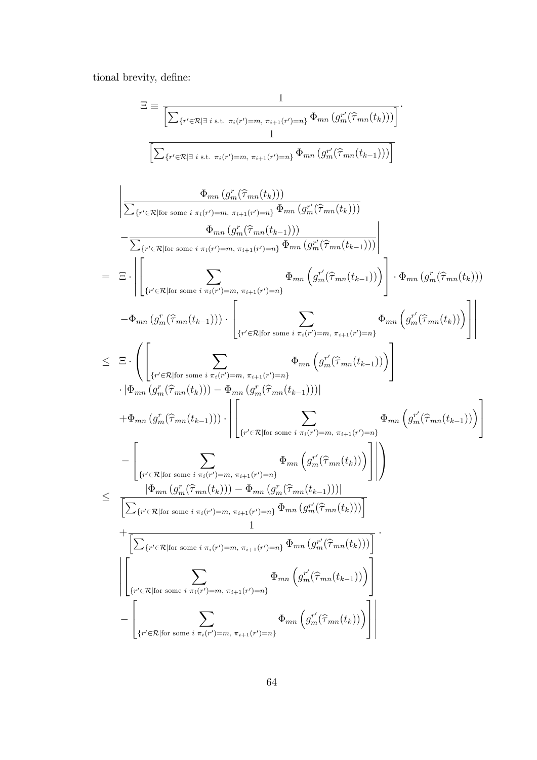tional brevity, define:  $\,$ 

$$
\Xi = \frac{1}{\left[\sum_{\{r'\in\mathcal{R}\mid\exists\ i\ s.t.\ \pi_{i}(r')=m,\ \pi_{i+1}(r')=n\}}\frac{1}{\Phi_{mn}\left(g'_{m}(\hat{\tau}_{mn}(t_{k}))\right)}\right]}.
$$
\n
$$
\frac{1}{\left[\sum_{\{r'\in\mathcal{R}\mid\text{for some }i\ \pi_{i}(r')=m,\ \pi_{i+1}(r')=n\}}\Phi_{mn}\left(g''_{m}(\hat{\tau}_{mn}(t_{k}))\right)\right]}.
$$
\n
$$
\frac{1}{\left[\sum_{\{r'\in\mathcal{R}\mid\text{for some }i\ \pi_{i}(r')=m,\ \pi_{i+1}(r')=n\}}\Phi_{mn}\left(g''_{m}(\hat{\tau}_{mn}(t_{k}))\right)\right]}.
$$
\n
$$
-\frac{1}{\sum_{\{r'\in\mathcal{R}\mid\text{for some }i\ \pi_{i}(r')=m,\ \pi_{i+1}(r')=n\}}\Phi_{mn}\left(g''_{m}(\hat{\tau}_{mn}(t_{k-1}))\right)}.
$$
\n
$$
-\frac{1}{\left[\sum_{\{r'\in\mathcal{R}\mid\text{for some }i\ \pi_{i}(r')=m,\ \pi_{i+1}(r')=n\}}\Phi_{mn}\left(g''_{m}(\hat{\tau}_{mn}(t_{k-1}))\right)\right]}.
$$
\n
$$
-\Phi_{mn}\left(g''_{m}(\hat{\tau}_{mn}(t_{k-1}))\right) \cdot \left[\sum_{\{r'\in\mathcal{R}\mid\text{for some }i\ \pi_{i}(r')=m,\ \pi_{i+1}(r')=n\}}\Phi_{mn}\left(g''_{m}(\hat{\tau}_{mn}(t_{k-1}))\right)\right] \cdot \Phi_{mn}\left(g''_{m}(\hat{\tau}_{mn}(t_{k}))\right)\right]
$$
\n
$$
+\Phi_{mn}\left(g''_{m}(\hat{\tau}_{mn}(t_{k-1}))\right) \cdot \left[\sum_{\{r'\in\mathcal{R}\mid\text{for some }i\ \pi_{i}(r')=m,\ \pi_{i+1}(r')=n\}}\Phi_{mn}\left(g''_{m}(\hat{\tau}_{mn}(t_{k-1}))\right)\right]
$$
\n
$$
+\Phi_{mn}\left(g''_{m}(\hat{\tau}_{mn}(t_{k-1}))\right) \cdot \left[\sum_{\{r'\in\mathcal{R
$$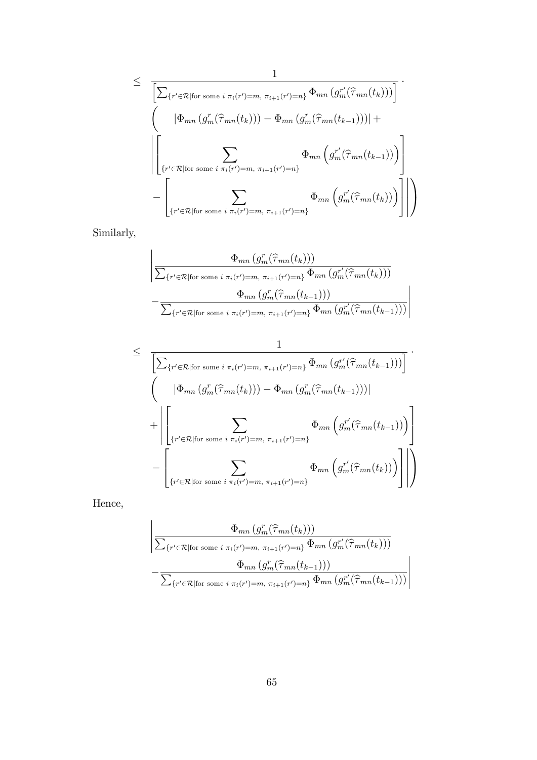$$
\leq \frac{1}{\left[\sum_{\{r' \in \mathcal{R} \mid \text{for some } i \pi_i(r') = m, \pi_{i+1}(r') = n\}} \Phi_{mn} \left(g_m^{r'}(\hat{\tau}_{mn}(t_k))\right)\right]} \cdot \left(\left[\Phi_{mn} \left(g_m^{r}(\hat{\tau}_{mn}(t_k))\right) - \Phi_{mn} \left(g_m^{r}(\hat{\tau}_{mn}(t_{k-1}))\right)\right] + \left[\sum_{\{r' \in \mathcal{R} \mid \text{for some } i \pi_i(r') = m, \pi_{i+1}(r') = n\}} \Phi_{mn} \left(g_m^{r'}(\hat{\tau}_{mn}(t_{k-1}))\right)\right] - \left[\sum_{\{r' \in \mathcal{R} \mid \text{for some } i \pi_i(r') = m, \pi_{i+1}(r') = n\}} \Phi_{mn} \left(g_m^{r'}(\hat{\tau}_{mn}(t_k))\right)\right]\right)
$$

Similarly,

$$
\frac{\Phi_{mn}(g_m^r(\hat{\tau}_{mn}(t_k)))}{\sum_{\{r' \in \mathcal{R} | \text{for some } i \pi_i(r') = m, \pi_{i+1}(r') = n\}} \Phi_{mn}(g_m^{r'}(\hat{\tau}_{mn}(t_k)))}
$$

$$
-\frac{\Phi_{mn}(g_m^r(\hat{\tau}_{mn}(t_{k-1})))}{\sum_{\{r' \in \mathcal{R} | \text{for some } i \pi_i(r') = m, \pi_{i+1}(r') = n\}} \Phi_{mn}(g_m^{r'}(\hat{\tau}_{mn}(t_{k-1})))}
$$

$$
\leq \frac{1}{\left[\sum_{\{r' \in \mathcal{R} \mid \text{for some } i \pi_i(r') = m, \pi_{i+1}(r') = n\}} \Phi_{mn}(g_m^{r'}(\hat{\tau}_{mn}(t_{k-1})))\right]} \cdot \left(\frac{|\Phi_{mn}(g_m^r(\hat{\tau}_{mn}(t_k))) - \Phi_{mn}(g_m^r(\hat{\tau}_{mn}(t_{k-1})))|}{\sum_{\{r' \in \mathcal{R} \mid \text{for some } i \pi_i(r') = m, \pi_{i+1}(r') = n\}} \Phi_{mn}(g_m^{r'}(\hat{\tau}_{mn}(t_{k-1})))\right)} - \left[\sum_{\{r' \in \mathcal{R} \mid \text{for some } i \pi_i(r') = m, \pi_{i+1}(r') = n\}} \Phi_{mn}(g_m^{r'}(\hat{\tau}_{mn}(t_k)))\right]\right)
$$

Hence,

$$
\frac{\Phi_{mn}(g_m^r(\hat{\tau}_{mn}(t_k)))}{\sum_{\{r' \in \mathcal{R} | \text{for some } i \pi_i(r') = m, \pi_{i+1}(r') = n\}} \Phi_{mn}(g_m^{r'}(\hat{\tau}_{mn}(t_k)))}
$$

$$
-\frac{\Phi_{mn}(g_m^r(\hat{\tau}_{mn}(t_{k-1})))}{\sum_{\{r' \in \mathcal{R} | \text{for some } i \pi_i(r') = m, \pi_{i+1}(r') = n\}} \Phi_{mn}(g_m^{r'}(\hat{\tau}_{mn}(t_{k-1})))}
$$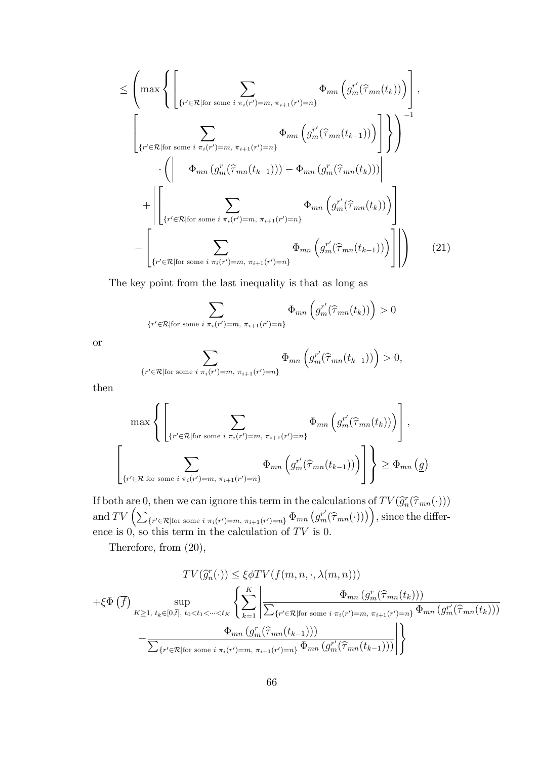$$
\leq \left( \max \left\{ \left[ \sum_{\{r' \in \mathcal{R} \mid \text{for some } i \pi_i(r') = m, \pi_{i+1}(r') = n\}} \Phi_{mn} \left( g_m^{r'}(\hat{\tau}_{mn}(t_k)) \right) \right], \right. \\
\left. \left. \left[ \sum_{\{r' \in \mathcal{R} \mid \text{for some } i \pi_i(r') = m, \pi_{i+1}(r') = n\}} \Phi_{mn} \left( g_m^{r'}(\hat{\tau}_{mn}(t_{k-1})) \right) \right] \right\} \right)^{-1} \\
\cdot \left( \left| \Phi_{mn} \left( g_m^{r}(\hat{\tau}_{mn}(t_{k-1})) \right) - \Phi_{mn} \left( g_m^{r}(\hat{\tau}_{mn}(t_k)) \right) \right| \\
+ \left| \left[ \sum_{\{r' \in \mathcal{R} \mid \text{for some } i \pi_i(r') = m, \pi_{i+1}(r') = n\}} \Phi_{mn} \left( g_m^{r'}(\hat{\tau}_{mn}(t_k)) \right) \right] \right| \\
- \left[ \sum_{\{r' \in \mathcal{R} \mid \text{for some } i \pi_i(r') = m, \pi_{i+1}(r') = n\}} \Phi_{mn} \left( g_m^{r'}(\hat{\tau}_{mn}(t_{k-1})) \right) \right] \right) \tag{21}
$$

The key point from the last inequality is that as long as

$$
\sum_{\{r' \in \mathcal{R} \mid \text{for some } i \pi_i(r') = m, \pi_{i+1}(r') = n\}} \Phi_{mn}\left(g_m^{r'}(\hat{\tau}_{mn}(t_k))\right) > 0
$$

or

$$
\sum_{\{r' \in \mathcal{R} \mid \text{for some } i \pi_i(r') = m, \pi_{i+1}(r') = n\}} \Phi_{mn} \left( g_m^{r'}(\hat{\tau}_{mn}(t_{k-1})) \right) > 0,
$$

then

$$
\max \left\{ \left[ \sum_{\{r' \in \mathcal{R} \mid \text{for some } i \pi_i(r') = m, \pi_{i+1}(r') = n\}} \Phi_{mn} \left( g_m^{r'}(\hat{\tau}_{mn}(t_k)) \right) \right], \atop \left\{ r' \in \mathcal{R} \mid \text{for some } i \pi_i(r') = m, \pi_{i+1}(r') = n \right\}} \Phi_{mn} \left( g_m^{r'}(\hat{\tau}_{mn}(t_{k-1})) \right) \right\} \geq \Phi_{mn} \left( g \right)
$$

If both are 0, then we can ignore this term in the calculations of  $TV(\widehat{g}_n^r(\widehat{\tau}_{mn}(\cdot)))$ and  $TV\left(\sum_{\{r' \in \mathcal{R} \mid \text{for some } i \pi_i(r')=m, \pi_{i+1}(r')=n\}} \Phi_{mn}\left(g^{r'}_m(\widehat{\tau}_{mn}(\cdot))\right)\right)$ , since the difference is 0, so this term in the calculation of  $TV$  is 0.

Therefore, from (20),

$$
TV(\widehat{g}_n^r(\cdot)) \leq \xi \phi TV(f(m, n, \cdot, \lambda(m, n)))
$$
  
+ $\xi \Phi(\overline{f})$   

$$
\sum_{K \geq 1, t_k \in [0, \overline{t}], t_0 < t_1 < \dots < t_K} \left\{ \sum_{k=1}^K \left| \frac{\Phi_{mn}(g_m^r(\widehat{\tau}_{mn}(t_k)))}{\sum_{\{r' \in \mathcal{R} | \text{for some } i \pi_i(r') = m, \pi_{i+1}(r') = n\}} \Phi_{mn}(g_m^{r'}(\widehat{\tau}_{mn}(t_k)))} \right| \right\}
$$
  
- $\frac{\Phi_{mn}(g_m^r(\widehat{\tau}_{mn}(t_{k-1})))}{\sum_{\{r' \in \mathcal{R} | \text{for some } i \pi_i(r') = m, \pi_{i+1}(r') = n\}} \Phi_{mn}(g_m^{r'}(\widehat{\tau}_{mn}(t_{k-1})))} \left| \right\}$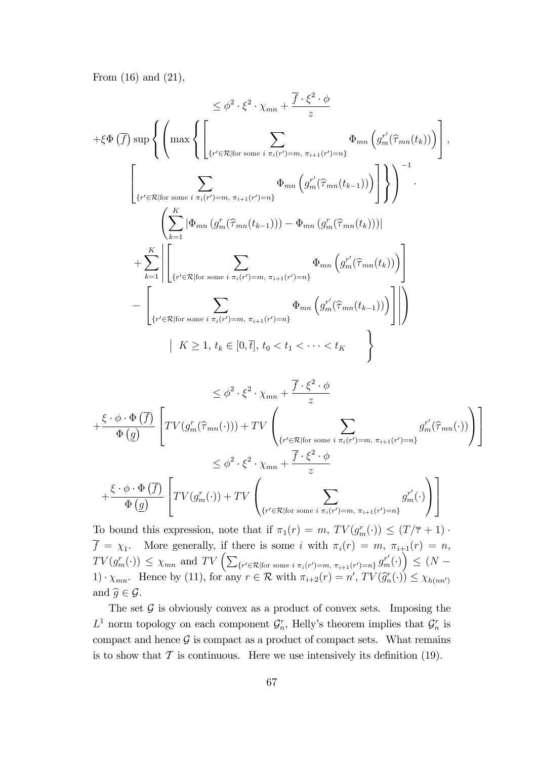From (16) and (21),

$$
\leq \phi^2 \cdot \xi^2 \cdot \chi_{mn} + \frac{\overline{f} \cdot \xi^2 \cdot \phi}{z}
$$
  
+ $\xi \Phi \left(\overline{f}\right) \sup \left\{ \left( \max \left\{ \left[ \sum_{\{r' \in \mathcal{R} \mid \text{for some } i \pi_i(r') = m, \pi_{i+1}(r') = n\}} \Phi_{mn} \left( g_m^{r'}(\widehat{\tau}_{mn}(t_k)) \right) \right] \right\}, \right\}$   

$$
\left[ \sum_{\{r' \in \mathcal{R} \mid \text{for some } i \pi_i(r') = m, \pi_{i+1}(r') = n\}} \Phi_{mn} \left( g_m^{r'}(\widehat{\tau}_{mn}(t_{k-1})) \right) \right] \right\} \right)^{-1}.
$$
  

$$
\left\{ \sum_{k=1}^K |\Phi_{mn} \left( g_m^r(\widehat{\tau}_{mn}(t_{k-1})) \right) - \Phi_{mn} \left( g_m^r(\widehat{\tau}_{mn}(t_k)) \right) |
$$
  
+
$$
\sum_{k=1}^K \left| \left[ \sum_{\{r' \in \mathcal{R} \mid \text{for some } i \pi_i(r') = m, \pi_{i+1}(r') = n\}} \Phi_{mn} \left( g_m^{r'}(\widehat{\tau}_{mn}(t_k)) \right) \right] - \left[ \sum_{\{r' \in \mathcal{R} \mid \text{for some } i \pi_i(r') = m, \pi_{i+1}(r') = n\}} \Phi_{mn} \left( g_m^{r'}(\widehat{\tau}_{mn}(t_{k-1})) \right) \right] \right| \right\}
$$
  

$$
| K \geq 1, t_k \in [0, \overline{t}], t_0 < t_1 < \dots < t_K
$$
  

$$
< \phi^2 \cdot \xi^2 \cdot \chi + \frac{\overline{f} \cdot \xi^2 \cdot \phi}{z}
$$

$$
\leq \phi^2 \cdot \xi^2 \cdot \chi_{mn} + \frac{f' \cdot \zeta' \cdot \varphi}{z}
$$
\n
$$
+ \frac{\xi \cdot \phi \cdot \Phi(\overline{f})}{\Phi(\underline{g})} \left[ TV(g_m^r(\widehat{\tau}_{mn}(\cdot))) + TV \left( \sum_{\{r' \in \mathcal{R} \mid \text{for some } i \pi_i(r') = m, \pi_{i+1}(r') = n\}} g_m^{r'}(\widehat{\tau}_{mn}(\cdot)) \right) \right]
$$
\n
$$
\leq \phi^2 \cdot \xi^2 \cdot \chi_{mn} + \frac{\overline{f} \cdot \xi^2 \cdot \phi}{z}
$$
\n
$$
+ \frac{\xi \cdot \phi \cdot \Phi(\overline{f})}{\Phi(\underline{g})} \left[ TV(g_m^r(\cdot)) + TV \left( \sum_{\{r' \in \mathcal{R} \mid \text{for some } i \pi_i(r') = m, \pi_{i+1}(r') = n\}} g_m^{r'}(\cdot) \right) \right]
$$

To bound this expression, note that if  $\pi_1(r) = m$ ,  $TV(g_m^r(\cdot)) \le (T/\overline{\tau} + 1)$ .  $f = \chi_1$ . More generally, if there is some i with  $\pi_i(r) = m$ ,  $\pi_{i+1}(r) = n$ ,  $TV(g_m^r(\cdot)) \leq \chi_{mn}$  and  $TV\left(\sum_{\{r' \in \mathcal{R} \mid \text{for some } i \pi_i(r') = m, \pi_{i+1}(r') = n\}} g_m^{r'}(\cdot)\right) \leq (N -$ 1)  $x_{mn}$ . Hence by (11), for any  $r \in \mathcal{R}$  with  $\pi_{i+2}(r) = n'$ ,  $TV(\hat{g}_n^r(\cdot)) \leq \chi_{h(nn')}$ and  $\widehat{g} \in \mathcal{G}$ .

The set  $\mathcal G$  is obviously convex as a product of convex sets. Imposing the  $L^1$  norm topology on each component  $\mathcal{G}_n^r$ , Helly's theorem implies that  $\mathcal{G}_n^r$  is compact and hence  $\mathcal G$  is compact as a product of compact sets. What remains is to show that  $\mathcal T$  is continuous. Here we use intensively its definition (19).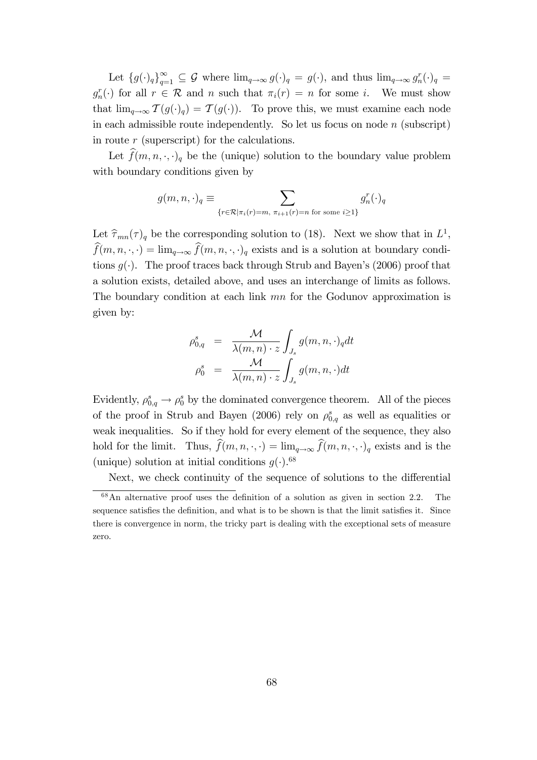Let  ${g(\cdot)_q}_{q=1}^{\infty} \subseteq G$  where  $\lim_{q\to\infty} g(\cdot)_q = g(\cdot)$ , and thus  $\lim_{q\to\infty} g_n^r(\cdot)_q =$  $g_n^r(\cdot)$  for all  $r \in \mathcal{R}$  and n such that  $\pi_i(r) = n$  for some i. We must show that  $\lim_{q\to\infty} \mathcal{T}(g(\cdot)_q) = \mathcal{T}(g(\cdot)).$  To prove this, we must examine each node in each admissible route independently. So let us focus on node  $n$  (subscript) in route  $r$  (superscript) for the calculations.

Let  $\widehat{f}(m, n, \cdot, \cdot)_q$  be the (unique) solution to the boundary value problem with boundary conditions given by

$$
g(m, n, \cdot)_q \equiv \sum_{\{r \in \mathcal{R} \mid \pi_i(r) = m, \pi_{i+1}(r) = n \text{ for some } i \ge 1\}} g_n^r(\cdot)_q
$$

Let  $\widehat{\tau}_{mn}(\tau)_q$  be the corresponding solution to (18). Next we show that in  $L^1$ ,  $\widehat{f}(m, n, \cdot, \cdot) = \lim_{q \to \infty} \widehat{f}(m, n, \cdot, \cdot)_{q}$  exists and is a solution at boundary conditions  $q(.)$ . The proof traces back through Strub and Bayen's (2006) proof that a solution exists, detailed above, and uses an interchange of limits as follows. The boundary condition at each link mn for the Godunov approximation is given by:

$$
\rho_{0,q}^s = \frac{\mathcal{M}}{\lambda(m,n) \cdot z} \int_{J_s} g(m,n,\cdot)_q dt
$$

$$
\rho_0^s = \frac{\mathcal{M}}{\lambda(m,n) \cdot z} \int_{J_s} g(m,n,\cdot) dt
$$

Evidently,  $\rho_{0,q}^s \to \rho_0^s$  by the dominated convergence theorem. All of the pieces of the proof in Strub and Bayen (2006) rely on  $\rho_{0,q}^s$  as well as equalities or weak inequalities. So if they hold for every element of the sequence, they also hold for the limit. Thus,  $\widehat{f}(m, n, \cdot, \cdot) = \lim_{q \to \infty} \widehat{f}(m, n, \cdot, \cdot)$  exists and is the (unique) solution at initial conditions  $g(\cdot)$ .<sup>68</sup>

Next, we check continuity of the sequence of solutions to the differential

 $68$ An alternative proof uses the definition of a solution as given in section 2.2. The sequence satisfies the definition, and what is to be shown is that the limit satisfies it. Since there is convergence in norm, the tricky part is dealing with the exceptional sets of measure zero.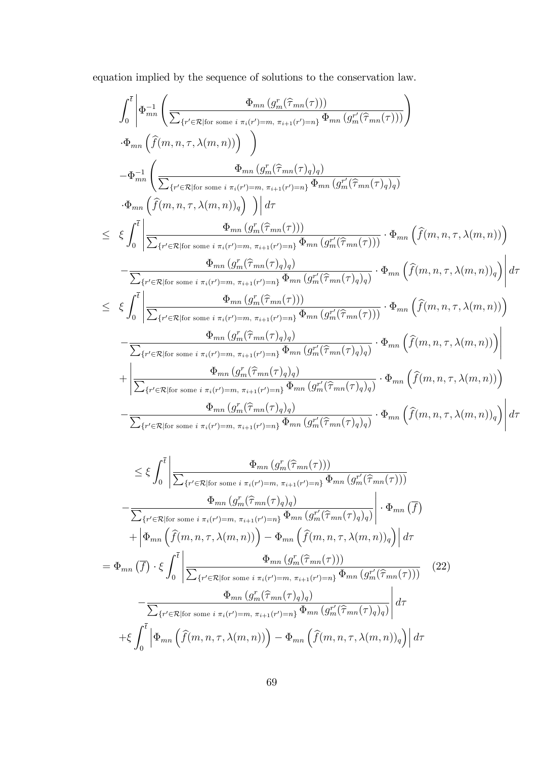equation implied by the sequence of solutions to the conservation law.

$$
\int_{0}^{\overline{t}}\left| \Phi_{mn}^{-1}\left(\frac{\Phi_{mn}\left(g_{m}^{r}(\widehat{\tau}_{mn}(\tau))\right)}{\sum_{\{r'\in\mathcal{R}|\text{for some }i\pi_{i}(r')=m,\pi_{i+1}(r')=n\}}\Phi_{mn}\left(g_{m}^{r'}(\widehat{\tau}_{mn}(\tau))\right)}\right)\right|
$$
  
\n
$$
-\Phi_{mn}^{-1}\left(\frac{\Phi_{mn}\left(g_{m}^{r}(\widehat{\tau}_{mn}(\tau))\right)}{\sum_{\{r'\in\mathcal{R}|\text{for some }i\pi_{i}(r')=m,\pi_{i+1}(r')=n\}}\Phi_{mn}\left(g_{m}^{r}(\widehat{\tau}_{mn}(\tau))\right)}\right)
$$
  
\n
$$
-\Phi_{mn}\left(\widehat{f}(m,n,\tau,\lambda(m,n))\right)\right)\left| d\tau
$$
  
\n
$$
\leq \xi \int_{0}^{\overline{t}}\left|\frac{\Phi_{mn}\left(g_{m}^{r}(\widehat{\tau}_{mn}(\tau))\right)}{\sum_{\{r'\in\mathcal{R}|\text{for some }i\pi_{i}(r')=m,\pi_{i+1}(r')=n\}}\Phi_{mn}\left(g_{m}^{r}(\widehat{\tau}_{mn}(\tau))\right)}\right| \Phi_{mn}\left(\widehat{f}(m,n,\tau,\lambda(m,n))\right)\right|
$$
  
\n
$$
-\frac{\Phi_{mn}\left(g_{m}^{r}(\widehat{\tau}_{mn}(\tau))\right)}{\sum_{\{r'\in\mathcal{R}|\text{for some }i\pi_{i}(r')=m,\pi_{i+1}(r')=n\}}\Phi_{mn}\left(g_{m}^{r'}(\widehat{\tau}_{mn}(\tau))\right)}\cdot \Phi_{mn}\left(\widehat{f}(m,n,\tau,\lambda(m,n))\right)\right| d\tau
$$
  
\n
$$
\leq \xi \int_{0}^{\overline{t}}\left|\frac{\Phi_{mn}\left(g_{m}^{r}(\widehat{\tau}_{mn}(\tau))\right)}{\sum_{\{r'\in\mathcal{R}|\text{for some }i\pi_{i}(r')=m,\pi_{i+1}(r')=n\}}\Phi_{mn}\left(g_{m}^{r'}(\widehat{\tau}_{mn}(\tau))\right)}\cdot \Phi_{mn}\left(\widehat{f}(m,n,\tau,\lambda(m,n))\right)\right| d\tau
$$
  
\n<

$$
\leq \xi \int_{0}^{\overline{t}} \left| \frac{\Phi_{mn} \left( g_{m}^{r}(\widehat{\tau}_{mn}(\tau)) \right)}{\sum_{\{r' \in \mathcal{R} \mid \text{for some } i \pi_{i}(r') = m, \pi_{i+1}(r') = n\}} \Phi_{mn} \left( g_{m}^{r'}(\widehat{\tau}_{mn}(\tau)) \right)} \right|
$$

$$
- \frac{\Phi_{mn} \left( g_{m}^{r}(\widehat{\tau}_{mn}(\tau)_{q}) \right)}{\sum_{\{r' \in \mathcal{R} \mid \text{for some } i \pi_{i}(r') = m, \pi_{i+1}(r') = n\}} \Phi_{mn} \left( g_{m}^{r'}(\widehat{\tau}_{mn}(\tau)_{q}) \right)} \right| \cdot \Phi_{mn} \left( \overline{f} \right)
$$

$$
+ \left| \Phi_{mn} \left( \widehat{f}(m, n, \tau, \lambda(m, n)) \right) - \Phi_{mn} \left( \widehat{f}(m, n, \tau, \lambda(m, n)) \right) \right| d\tau
$$

$$
= \Phi_{mn} \left( \overline{f} \right) \cdot \xi \int_{0}^{\overline{t}} \left| \frac{\Phi_{mn} \left( g_{m}^{r}(\widehat{\tau}_{mn}(\tau)) \right)}{\sum_{\{r' \in \mathcal{R} \mid \text{for some } i \pi_{i}(r') = m, \pi_{i+1}(r') = n\}} \Phi_{mn} \left( g_{m}^{r'}(\widehat{\tau}_{mn}(\tau)) \right)} \right| d\tau
$$

$$
- \frac{\Phi_{mn} \left( g_{m}^{r}(\widehat{\tau}_{mn}(\tau)_{q}) \right)}{\sum_{\{r' \in \mathcal{R} \mid \text{for some } i \pi_{i}(r') = m, \pi_{i+1}(r') = n\}} \Phi_{mn} \left( g_{m}^{r'}(\widehat{\tau}_{mn}(\tau)_{q}) \right)} d\tau
$$

$$
+ \xi \int_{0}^{\overline{t}} \left| \Phi_{mn} \left( \widehat{f}(m, n, \tau, \lambda(m, n)) \right) - \Phi_{mn} \left( \widehat{f}(m, n, \tau, \lambda(m, n)) \right) \right| d\tau
$$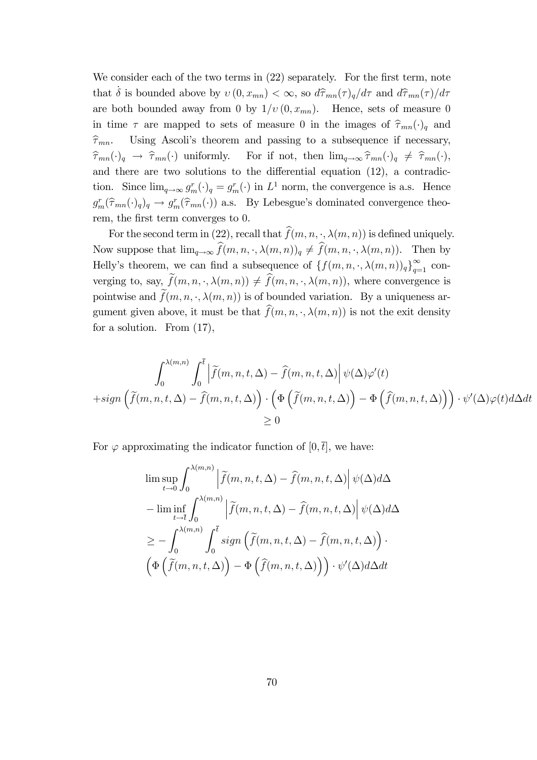We consider each of the two terms in  $(22)$  separately. For the first term, note that  $\dot{\delta}$  is bounded above by  $v(0, x_{mn}) < \infty$ , so  $d\hat{\tau}_{mn}(\tau)_q/d\tau$  and  $d\hat{\tau}_{mn}(\tau)/d\tau$ are both bounded away from 0 by  $1/v(0, x_{mn})$ . Hence, sets of measure 0 in time  $\tau$  are mapped to sets of measure 0 in the images of  $\hat{\tau}_{mn}(\cdot)_{q}$  and  $\hat{\tau}_{mn}$ . Using Ascoli's theorem and passing to a subsequence if necessary,  $\hat{\tau}_{mn}$ . Using Ascoli's theorem and passing to a subsequence if necessary,<br>  $\hat{\tau}_{mn}(\cdot)_q \to \hat{\tau}_{mn}(\cdot)$  uniformly. For if not, then  $\lim_{q\to\infty} \hat{\tau}_{mn}(\cdot)_q \neq \hat{\tau}_{mn}(\cdot)$ , For if not, then  $\lim_{q\to\infty} \hat{\tau}_{mn}(\cdot)_q \neq \hat{\tau}_{mn}(\cdot),$ and there are two solutions to the differential equation  $(12)$ , a contradiction. Since  $\lim_{q\to\infty} g_m^r(\cdot)_q = g_m^r(\cdot)$  in  $L^1$  norm, the convergence is a.s. Hence  $g_m^r(\hat{\tau}_{mn}(\cdot)_q)_q \to g_m^r(\hat{\tau}_{mn}(\cdot))$  a.s. By Lebesgue's dominated convergence theorem, the first term converges to 0.

For the second term in (22), recall that  $\hat{f}(m, n, \cdot, \lambda(m, n))$  is defined uniquely. Now suppose that  $\lim_{q\to\infty} \widehat{f}(m, n, \cdot, \lambda(m, n))_q \neq \widehat{f}(m, n, \cdot, \lambda(m, n)).$  Then by Helly's theorem, we can find a subsequence of  $\{f(m, n, \cdot, \lambda(m, n))_q\}_{q=1}^{\infty}$  converging to, say,  $\tilde{f}(m, n, \cdot, \lambda(m, n)) \neq \hat{f}(m, n, \cdot, \lambda(m, n))$ , where convergence is pointwise and  $\widetilde{f}(m, n, \cdot, \lambda(m, n))$  is of bounded variation. By a uniqueness argument given above, it must be that  $\hat{f}(m, n, \cdot, \lambda(m, n))$  is not the exit density for a solution. From (17),

$$
\int_0^{\lambda(m,n)} \int_0^{\overline{t}} \left| \tilde{f}(m,n,t,\Delta) - \hat{f}(m,n,t,\Delta) \right| \psi(\Delta) \varphi'(t)
$$
  
+sign  $(\tilde{f}(m,n,t,\Delta) - \hat{f}(m,n,t,\Delta)) \cdot (\Phi(\tilde{f}(m,n,t,\Delta)) - \Phi(\hat{f}(m,n,t,\Delta))) \cdot \psi'(\Delta) \varphi(t) d\Delta dt$   
 $\ge 0$ 

For  $\varphi$  approximating the indicator function of  $[0,\bar{t}]$ , we have:

$$
\limsup_{t \to 0} \int_0^{\lambda(m,n)} \left| \tilde{f}(m,n,t,\Delta) - \hat{f}(m,n,t,\Delta) \right| \psi(\Delta) d\Delta
$$
  
\n
$$
- \liminf_{t \to \bar{t}} \int_0^{\lambda(m,n)} \left| \tilde{f}(m,n,t,\Delta) - \hat{f}(m,n,t,\Delta) \right| \psi(\Delta) d\Delta
$$
  
\n
$$
\geq - \int_0^{\lambda(m,n)} \int_0^{\bar{t}} sign \left( \tilde{f}(m,n,t,\Delta) - \hat{f}(m,n,t,\Delta) \right) \cdot \left( \Phi \left( \tilde{f}(m,n,t,\Delta) \right) - \Phi \left( \hat{f}(m,n,t,\Delta) \right) \right) \cdot \psi'(\Delta) d\Delta dt
$$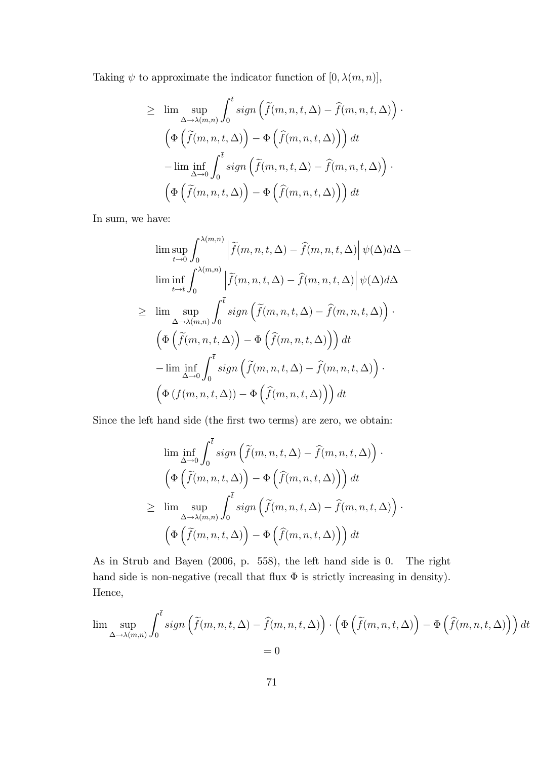Taking  $\psi$  to approximate the indicator function of  $[0, \lambda(m, n)],$ 

$$
\geq \lim_{\Delta \to \lambda(m,n)} \sup_{\mathbf{0}} \int_0^{\overline{t}} sign\left(\tilde{f}(m,n,t,\Delta) - \hat{f}(m,n,t,\Delta)\right) \cdot
$$

$$
\left(\Phi\left(\tilde{f}(m,n,t,\Delta)\right) - \Phi\left(\hat{f}(m,n,t,\Delta)\right)\right) dt
$$

$$
-\lim_{\Delta \to 0} \inf_{\mathbf{0}} \int_0^{\overline{t}} sign\left(\tilde{f}(m,n,t,\Delta) - \hat{f}(m,n,t,\Delta)\right) \cdot
$$

$$
\left(\Phi\left(\tilde{f}(m,n,t,\Delta)\right) - \Phi\left(\hat{f}(m,n,t,\Delta)\right)\right) dt
$$

In sum, we have:

$$
\limsup_{t \to 0} \int_0^{\lambda(m,n)} \left| \tilde{f}(m,n,t,\Delta) - \hat{f}(m,n,t,\Delta) \right| \psi(\Delta) d\Delta -
$$
  
\n
$$
\liminf_{t \to \bar{t}} \int_0^{\lambda(m,n)} \left| \tilde{f}(m,n,t,\Delta) - \hat{f}(m,n,t,\Delta) \right| \psi(\Delta) d\Delta
$$
  
\n
$$
\geq \limsup_{\Delta \to \lambda(m,n)} \int_0^{\bar{t}} sign \left( \tilde{f}(m,n,t,\Delta) - \hat{f}(m,n,t,\Delta) \right) \cdot
$$
  
\n
$$
\left( \Phi \left( \tilde{f}(m,n,t,\Delta) \right) - \Phi \left( \hat{f}(m,n,t,\Delta) \right) \right) dt
$$
  
\n
$$
- \liminf_{\Delta \to 0} \int_0^{\bar{t}} sign \left( \tilde{f}(m,n,t,\Delta) - \hat{f}(m,n,t,\Delta) \right) \cdot
$$
  
\n
$$
\left( \Phi \left( f(m,n,t,\Delta) \right) - \Phi \left( \hat{f}(m,n,t,\Delta) \right) \right) dt
$$

Since the left hand side (the first two terms) are zero, we obtain:

$$
\liminf_{\Delta \to 0} \int_0^{\overline{t}} sign\left(\tilde{f}(m, n, t, \Delta) - \hat{f}(m, n, t, \Delta)\right) \cdot
$$

$$
\left(\Phi\left(\tilde{f}(m, n, t, \Delta)\right) - \Phi\left(\hat{f}(m, n, t, \Delta)\right)\right) dt
$$

$$
\geq \limsup_{\Delta \to \lambda(m, n)} \int_0^{\overline{t}} sign\left(\tilde{f}(m, n, t, \Delta) - \hat{f}(m, n, t, \Delta)\right) \cdot
$$

$$
\left(\Phi\left(\tilde{f}(m, n, t, \Delta)\right) - \Phi\left(\hat{f}(m, n, t, \Delta)\right)\right) dt
$$

As in Strub and Bayen (2006, p. 558), the left hand side is 0. The right hand side is non-negative (recall that flux  $\Phi$  is strictly increasing in density). Hence,

$$
\lim_{\Delta \to \lambda(m,n)} \int_0^{\overline{t}} \operatorname{sign}\left(\tilde{f}(m,n,t,\Delta) - \hat{f}(m,n,t,\Delta)\right) \cdot \left(\Phi\left(\tilde{f}(m,n,t,\Delta)\right) - \Phi\left(\hat{f}(m,n,t,\Delta)\right)\right) dt
$$
  
= 0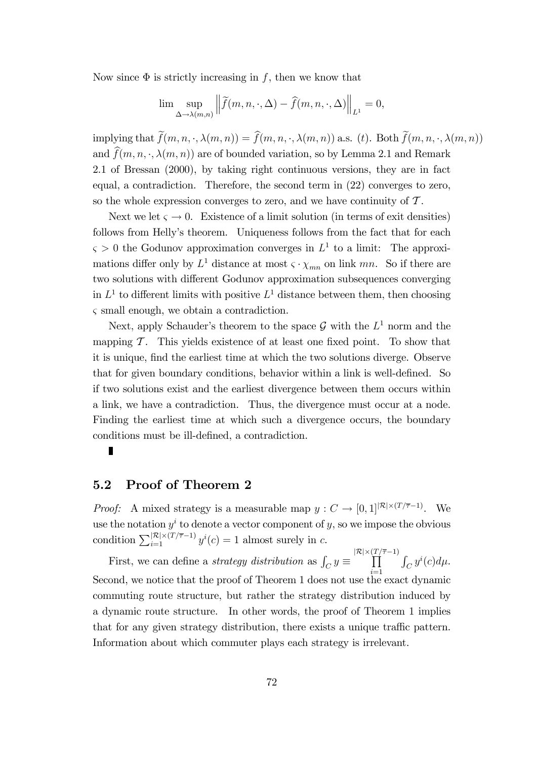Now since  $\Phi$  is strictly increasing in f, then we know that

$$
\lim \sup_{\Delta \to \lambda(m,n)} \left\| \widetilde{f}(m,n,\cdot,\Delta) - \widehat{f}(m,n,\cdot,\Delta) \right\|_{L^1} = 0,
$$

implying that  $\tilde{f}(m, n, \cdot, \lambda(m, n)) = \hat{f}(m, n, \cdot, \lambda(m, n))$  a.s. (t). Both  $\tilde{f}(m, n, \cdot, \lambda(m, n))$ and  $f(m, n, \cdot, \lambda(m, n))$  are of bounded variation, so by Lemma 2.1 and Remark 2.1 of Bressan (2000), by taking right continuous versions, they are in fact equal, a contradiction. Therefore, the second term in (22) converges to zero, so the whole expression converges to zero, and we have continuity of  $\mathcal{T}$ .

Next we let  $\varsigma \to 0$ . Existence of a limit solution (in terms of exit densities) follows from Helly's theorem. Uniqueness follows from the fact that for each  $\varsigma > 0$  the Godunov approximation converges in  $L^1$  to a limit: The approximations differ only by  $L^1$  distance at most  $\varsigma \cdot \chi_{mn}$  on link mn. So if there are two solutions with different Godunov approximation subsequences converging in  $L^1$  to different limits with positive  $L^1$  distance between them, then choosing  $\varsigma$  small enough, we obtain a contradiction.

Next, apply Schauder's theorem to the space  $\mathcal G$  with the  $L^1$  norm and the mapping  $\mathcal T$ . This yields existence of at least one fixed point. To show that it is unique, Önd the earliest time at which the two solutions diverge. Observe that for given boundary conditions, behavior within a link is well-defined. So if two solutions exist and the earliest divergence between them occurs within a link, we have a contradiction. Thus, the divergence must occur at a node. Finding the earliest time at which such a divergence occurs, the boundary conditions must be ill-defined, a contradiction.

#### 5.2 Proof of Theorem 2

*Proof:* A mixed strategy is a measurable map  $y : C \to [0,1]^{|\mathcal{R}| \times (T/\overline{\tau}-1)}$ . We use the notation  $y^i$  to denote a vector component of y, so we impose the obvious condition  $\sum_{i=1}^{|\mathcal{R}| \times (T/\overline{\tau}-1)} y^{i}(c) = 1$  almost surely in c.

First, we can define a *strategy distribution* as  $\int_C y \equiv \prod_{i=1}^{|\mathcal{R}| \times (T/\overline{\tau}-1)}$  $i=1$  $\int_C y^i(c)d\mu.$ Second, we notice that the proof of Theorem 1 does not use the exact dynamic commuting route structure, but rather the strategy distribution induced by a dynamic route structure. In other words, the proof of Theorem 1 implies that for any given strategy distribution, there exists a unique traffic pattern. Information about which commuter plays each strategy is irrelevant.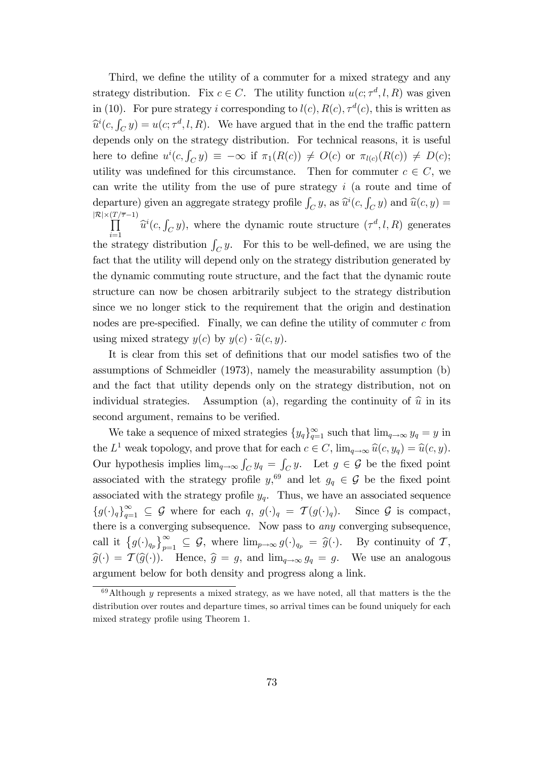Third, we define the utility of a commuter for a mixed strategy and any strategy distribution. Fix  $c \in C$ . The utility function  $u(c; \tau^d, l, R)$  was given in (10). For pure strategy i corresponding to  $l(c)$ ,  $R(c)$ ,  $\tau^{d}(c)$ , this is written as  $\widehat{u}^i(c, \int_C y) = u(c; \tau^d, l, R)$ . We have argued that in the end the traffic pattern depends only on the strategy distribution. For technical reasons, it is useful here to define  $u^i(c, \int_C y) \equiv -\infty$  if  $\pi_1(R(c)) \neq O(c)$  or  $\pi_{l(c)}(R(c)) \neq D(c)$ ; utility was undefined for this circumstance. Then for commuter  $c \in C$ , we can write the utility from the use of pure strategy  $i$  (a route and time of departure) given an aggregate strategy profile  $\int_C y$ , as  $\widehat{u}^i(c, \cdot)$ departure) given an aggregate strategy profile  $\int_C y$ , as  $\hat{u}^i(c, \int_C y)$  and  $\hat{u}(c, y) =$ <br>  $|\mathcal{R}| \times (T/\overline{\tau}-1)$ <br>  $\prod \hat{u}^i(c, \int_C y)$ , where the dynamic route structure  $(\tau^d, l, R)$  generates  $\prod_{i=1}^{\infty}$   $\hat{u}^i(c, \int_C y)$ , where the dynamic route structure  $(\tau^d, l, R)$  generates the strategy distribution  $\int_C y$ . For this to be well-defined, we are using the

fact that the utility will depend only on the strategy distribution generated by the dynamic commuting route structure, and the fact that the dynamic route structure can now be chosen arbitrarily subject to the strategy distribution since we no longer stick to the requirement that the origin and destination nodes are pre-specified. Finally, we can define the utility of commuter  $c$  from using mixed strategy  $y(c)$  by  $y(c) \cdot \hat{u}(c, y)$ .

It is clear from this set of definitions that our model satisfies two of the assumptions of Schmeidler (1973), namely the measurability assumption (b) and the fact that utility depends only on the strategy distribution, not on individual strategies. Assumption (a), regarding the continuity of  $\hat{u}$  in its second argument, remains to be verified.

We take a sequence of mixed strategies  $\{y_q\}_{q=1}^{\infty}$  such that  $\lim_{q\to\infty} y_q = y$  in the  $L^1$  weak topology, and prove that for each  $c \in C$ ,  $\lim_{q \to \infty} \widehat{u}(c, y_q) = \widehat{u}(c, y)$ . Our hypothesis implies  $\lim_{q\to\infty} \int_C y_q = \int_C y$ . Let  $g \in \mathcal{G}$  be the fixed point associated with the strategy profile  $y$ <sup>69</sup> and let  $g_q \in \mathcal{G}$  be the fixed point associated with the strategy profile  $y_q$ . Thus, we have an associated sequence  ${g(\cdot)_q}_{q=1}^{\infty} \subseteq G$  where for each  $q, g(\cdot)_q = \mathcal{T}(g(\cdot)_q)$ . Since G is compact, there is a converging subsequence. Now pass to any converging subsequence, call it  $\{g(\cdot)_{q_p}\}_{p=1}^{\infty} \subseteq \mathcal{G}$ , where  $\lim_{p\to\infty} g(\cdot)_{q_p} = \widehat{g}(\cdot)$ . By continuity of  $\mathcal{T}$ ,  $\widehat{g}(\cdot) = \mathcal{T}(\widehat{g}(\cdot)).$  Hence,  $\widehat{g} = g$ , and  $\lim_{q\to\infty} g_q = g$ . We use an analogous argument below for both density and progress along a link.

 $69$ Although y represents a mixed strategy, as we have noted, all that matters is the the distribution over routes and departure times, so arrival times can be found uniquely for each mixed strategy profile using Theorem 1.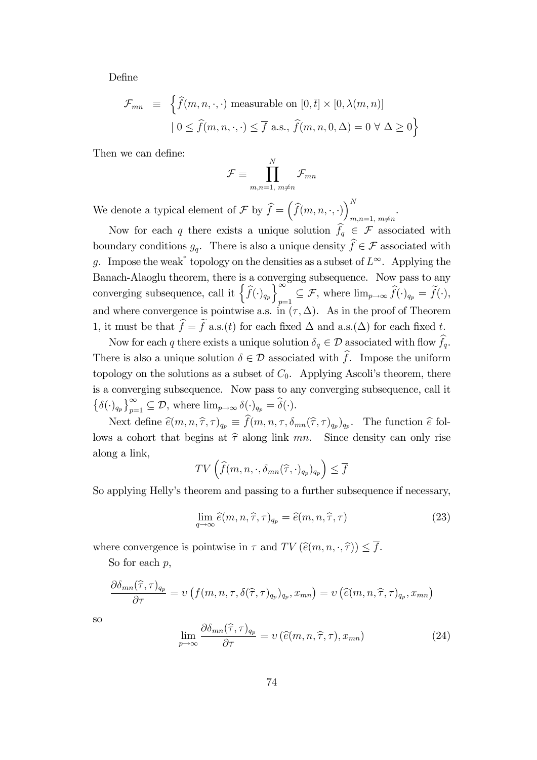DeÖne

$$
\mathcal{F}_{mn} \equiv \left\{ \widehat{f}(m, n, \cdot, \cdot) \text{ measurable on } [0, \overline{t}] \times [0, \lambda(m, n)] \right\}
$$

$$
| 0 \le \widehat{f}(m, n, \cdot, \cdot) \le \overline{f} \text{ a.s., } \widehat{f}(m, n, 0, \Delta) = 0 \,\forall \Delta \ge 0 \right\}
$$

Then we can define:

$$
\mathcal{F}\equiv\prod_{m,n=1,\ m\neq n}^N\mathcal{F}_{mn}
$$

.

We denote a typical element of  $\mathcal{F}$  by  $\widehat{f} = (\widehat{f}(m, n, \cdot, \cdot))_{m=0}^{N}$  $m,n=1, m \neq n$ 

Now for each q there exists a unique solution  $\hat{f}_q \in \mathcal{F}$  associated with boundary conditions  $g_q$ . There is also a unique density  $\widehat{f} \in \mathcal{F}$  associated with g. Impose the weak<sup>\*</sup> topology on the densities as a subset of  $L^{\infty}$ . Applying the Banach-Alaoglu theorem, there is a converging subsequence. Now pass to any converging subsequence, call it  $\left\{\widehat{f}(\cdot)_{q_p}\right\}_{p=1}^{\infty}$  $p=1} \subseteq \mathcal{F}$ , where  $\lim_{p\to\infty} f(\cdot)_{q_p} = f(\cdot)$ , and where convergence is pointwise a.s. in  $(\tau, \Delta)$ . As in the proof of Theorem 1, it must be that  $\hat{f} = \tilde{f}$  a.s.(t) for each fixed  $\Delta$  and a.s.( $\Delta$ ) for each fixed t.

Now for each q there exists a unique solution  $\delta_q \in \mathcal{D}$  associated with flow  $\widehat{f}_q$ . There is also a unique solution  $\delta \in \mathcal{D}$  associated with  $\hat{f}$ . Impose the uniform topology on the solutions as a subset of  $C_0$ . Applying Ascoli's theorem, there is a converging subsequence. Now pass to any converging subsequence, call it  $\{\delta(\cdot)_{q_p}\}_{p=1}^{\infty} \subseteq \mathcal{D}$ , where  $\lim_{p\to\infty} \delta(\cdot)_{q_p} = \widehat{\delta}(\cdot)$ .

Next define  $\hat{e}(m, n, \hat{\tau}, \tau)_{q_p} \equiv f(m, n, \tau, \delta_{mn}(\hat{\tau}, \tau)_{q_p})_{q_p}$ . The function  $\hat{e}$  follows a cohort that begins at  $\hat{\tau}$  along link mn. Since density can only rise along a link,

$$
TV\left(\widehat{f}(m, n, \cdot, \delta_{mn}(\widehat{\tau}, \cdot)_{q_p})_{q_p}\right) \leq \overline{f}
$$

So applying Helly's theorem and passing to a further subsequence if necessary,

$$
\lim_{q \to \infty} \hat{e}(m, n, \hat{\tau}, \tau)_{q_p} = \hat{e}(m, n, \hat{\tau}, \tau)
$$
\n(23)

where convergence is pointwise in  $\tau$  and  $TV(\hat{e}(m, n, \cdot, \hat{\tau})) \leq f$ .

So for each  $p$ ,

$$
\frac{\partial \delta_{mn}(\widehat{\tau},\tau)_{q_p}}{\partial \tau} = \nu\left(f(m,n,\tau,\delta(\widehat{\tau},\tau)_{q_p})_{q_p},x_{mn}\right) = \nu\left(\widehat{e}(m,n,\widehat{\tau},\tau)_{q_p},x_{mn}\right)
$$

so

$$
\lim_{p \to \infty} \frac{\partial \delta_{mn}(\hat{\tau}, \tau)_{q_p}}{\partial \tau} = \nu \left( \hat{e}(m, n, \hat{\tau}, \tau), x_{mn} \right) \tag{24}
$$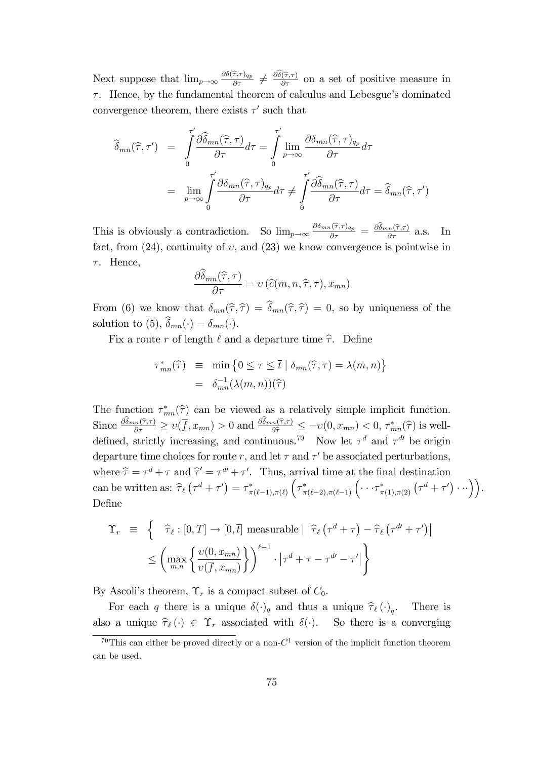Next suppose that  $\lim_{p\to\infty} \frac{\partial \delta(\hat{\tau},\tau)_{qp}}{\partial \tau} \neq \frac{\partial \hat{\delta}(\hat{\tau},\tau)}{\partial \tau}$  on a set of positive measure in  $\tau$ . Hence, by the fundamental theorem of calculus and Lebesgue's dominated convergence theorem, there exists  $\tau'$  such that

$$
\widehat{\delta}_{mn}(\widehat{\tau},\tau') = \int_0^{\tau'} \frac{\partial \widehat{\delta}_{mn}(\widehat{\tau},\tau)}{\partial \tau} d\tau = \int_0^{\tau'} \lim_{p \to \infty} \frac{\partial \delta_{mn}(\widehat{\tau},\tau)_{q_p}}{\partial \tau} d\tau \n= \lim_{p \to \infty} \int_0^{\tau'} \frac{\partial \delta_{mn}(\widehat{\tau},\tau)_{q_p}}{\partial \tau} d\tau \neq \int_0^{\tau'} \frac{\partial \widehat{\delta}_{mn}(\widehat{\tau},\tau)}{\partial \tau} d\tau = \widehat{\delta}_{mn}(\widehat{\tau},\tau')
$$

This is obviously a contradiction. So  $\lim_{p\to\infty} \frac{\partial \delta_{mn}(\hat{\tau},\tau)_{q_p}}{\partial \tau} = \frac{\partial \hat{\delta}_{mn}(\hat{\tau},\tau)}{\partial \tau}$  a.s. In fact, from  $(24)$ , continuity of v, and  $(23)$  we know convergence is pointwise in  $\tau$ . Hence,

$$
\frac{\partial \widehat{\delta}_{mn}(\widehat{\tau},\tau)}{\partial \tau} = \upsilon \left( \widehat{e}(m,n,\widehat{\tau},\tau), x_{mn} \right)
$$

From (6) we know that  $\delta_{mn}(\hat{\tau}, \hat{\tau}) = \hat{\delta}_{mn}(\hat{\tau}, \hat{\tau}) = 0$ , so by uniqueness of the solution to (5),  $\widehat{\delta}_{mn}(\cdot) = \delta_{mn}(\cdot)$ .

Fix a route r of length  $\ell$  and a departure time  $\hat{\tau}$ . Define

$$
\tau_{mn}^*(\widehat{\tau}) \equiv \min \left\{ 0 \le \tau \le \overline{t} \mid \delta_{mn}(\widehat{\tau}, \tau) = \lambda(m, n) \right\}
$$

$$
= \delta_{mn}^{-1}(\lambda(m, n))(\widehat{\tau})
$$

The function  $\tau_{mn}^*(\hat{\tau})$  can be viewed as a relatively simple implicit function. Since  $\frac{\partial \delta_{mn}(\hat{\tau},\tau)}{\partial \tau} \geq v(\overline{f},x_{mn}) > 0$  and  $\frac{\partial \delta_{mn}(\hat{\tau},\tau)}{\partial \hat{\tau}} \leq -v(0,x_{mn}) < 0$ ,  $\tau_{mn}^*(\hat{\tau})$  is welldefined, strictly increasing, and continuous.<sup>70</sup> Now let  $\tau^d$  and  $\tau^{d'}$  be origin departure time choices for route r, and let  $\tau$  and  $\tau'$  be associated perturbations, where  $\hat{\tau} = \tau^d + \tau$  and  $\hat{\tau}' = \tau^{d'} + \tau'$ . Thus, arrival time at the final destination can be written as:  $\hat{\tau}_{\ell} (\tau^d + \tau') = \tau_{\pi(\ell-1), \pi(\ell)}^*$  $\left(\tau_{\pi(\ell-2),\pi(\ell-1)}^*\left(\cdots\tau_{\pi(1),\pi(2)}^*\left(\tau^d+\tau'\right)\cdots\right)\right).$ Define

$$
\begin{aligned} \Upsilon_r & \equiv \left\{ \quad \widehat{\tau}_{\ell} : [0, T] \to [0, \overline{t}] \text{ measurable} \mid \left| \widehat{\tau}_{\ell} \left( \tau^d + \tau \right) - \widehat{\tau}_{\ell} \left( \tau^{d\prime} + \tau' \right) \right| \\ &\le \left( \max_{m, n} \left\{ \frac{\upsilon(0, x_{mn})}{\upsilon(\overline{f}, x_{mn})} \right\} \right)^{\ell - 1} \cdot \left| \tau^d + \tau - \tau^{d\prime} - \tau' \right| \right\} \end{aligned}
$$

By Ascoli's theorem,  $\Upsilon_r$  is a compact subset of  $C_0$ .

For each q there is a unique  $\delta(\cdot)_q$  and thus a unique  $\hat{\tau}_{\ell}(\cdot)_q$ . There is also a unique  $\hat{\tau}_{\ell}(\cdot) \in \Upsilon_r$  associated with  $\delta(\cdot)$ . So there is a converging

<sup>&</sup>lt;sup>70</sup>This can either be proved directly or a non- $C<sup>1</sup>$  version of the implicit function theorem can be used.